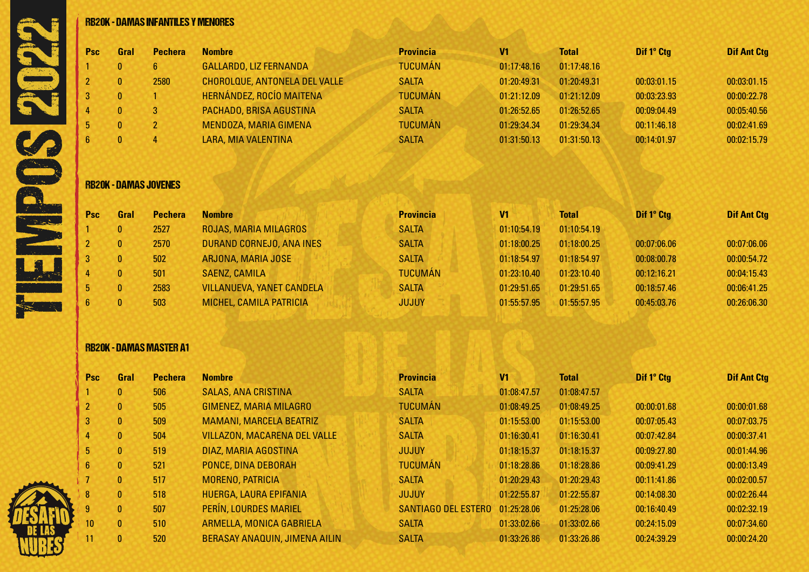| <b>Psc</b>     | Gral         | <b>Pechera</b>               | <b>Nombre</b>                 | <b>Provincia</b> | V <sub>1</sub> | <b>Total</b> | Dif 1º Ctg  | <b>Dif Ant Ctg</b> |
|----------------|--------------|------------------------------|-------------------------------|------------------|----------------|--------------|-------------|--------------------|
|                | 0            | 6 <sup>1</sup>               | GALLARDO, LIZ FERNANDA        | <b>TUCUMÁN</b>   | 01:17:48.16    | 01:17:48.16  |             |                    |
|                | $\mathbf{0}$ | 2580                         | CHOROLOUE, ANTONELA DEL VALLE | <b>SALTA</b>     | 01:20:49.31    | 01:20:49.31  | 00:03:01.15 | 00:03:01.15        |
|                | $\mathbf{0}$ |                              | HERNÁNDEZ, ROCÍO MAITENA      | <b>TUCUMÁN</b>   | 01:21:12.09    | 01:21:12.09  | 00:03:23.93 | 00:00:22.78        |
|                | $\mathbf{0}$ | 3                            | PACHADO, BRISA AGUSTINA       | <b>SALTA</b>     | 01:26:52.65    | 01:26:52.65  | 00:09:04.49 | 00:05:40.56        |
| 5 <sup>5</sup> | $\mathbf{0}$ | $2^{\circ}$                  | MENDOZA, MARIA GIMENA         | <b>TUCUMÁN</b>   | 01:29:34.34    | 01:29:34.34  | 00:11:46.18 | 00:02:41.69        |
| $6^{\circ}$    | $\mathbf{0}$ | 4                            | LARA, MIA VALENTINA           | <b>SALTA</b>     | 01:31:50.13    | 01:31:50.13  | 00:14:01.97 | 00:02:15.79        |
|                |              | <b>RB20K - DAMAS JOVENES</b> |                               |                  |                |              |             |                    |
|                |              |                              | <b>Nombre</b>                 | <b>Provincia</b> | V <sub>1</sub> | <b>Total</b> | Dif 1° Ctg  | <b>Dif Ant Ctg</b> |
| Psc            | Gral         | <b>Pechera</b>               |                               |                  |                |              |             |                    |
|                | $\mathbf{0}$ | 2527                         | ROJAS, MARIA MILAGROS         | <b>SALTA</b>     | 01:10:54.19    | 01:10:54.19  |             |                    |
|                | $\mathbf{0}$ | 2570                         | DURAND CORNEJO, ANA INES      | <b>SALTA</b>     | 01:18:00.25    | 01:18:00.25  | 00:07:06.06 | 00:07:06.06        |

 0 501 SAENZ, CAMILA TUCUMÁN 01:23:10.40 01:23:10.40 00:12:16.21 00:04:15.43 5 0 2583 VILLANUEVA, YANET CANDELA SALTA SALTA 01:29:51.65 01:29:51.65 00:18:57.46 00:18:57.46 0 503 MICHEL, CAMILA PATRICIA JUJUY 01:55:57.95 01:55:57.95 00:45:03.76 00:26:06.30

### RB20K - DAMAS MASTER A1

| <b>Psc</b>     | <b>Gral</b>  | <b>Pechera</b> | <b>Nombre</b>                       | <b>Provincia</b>    | V <sub>1</sub> | <b>Total</b> | Dif 1° Ctg  | <b>Dif Ant Ctg</b> |
|----------------|--------------|----------------|-------------------------------------|---------------------|----------------|--------------|-------------|--------------------|
|                | $\mathbf{0}$ | 506            | <b>SALAS, ANA CRISTINA</b>          | <b>SALTA</b>        | 01:08:47.57    | 01:08:47.57  |             |                    |
| $\overline{2}$ | $\bf{0}$     | 505            | GIMENEZ, MARIA MILAGRO              | <b>TUCUMÁN</b>      | 01:08:49.25    | 01:08:49.25  | 00:00:01.68 | 00:00:01.68        |
| 3              | $\mathbf{0}$ | 509            | <b>MAMANI, MARCELA BEATRIZ</b>      | <b>SALTA</b>        | 01:15:53.00    | 01:15:53.00  | 00:07:05.43 | 00:07:03.75        |
|                | 0            | 504            | <b>VILLAZON, MACARENA DEL VALLE</b> | <b>SALTA</b>        | 01:16:30.41    | 01:16:30.41  | 00:07:42.84 | 00:00:37.41        |
| 5              | $\mathbf{0}$ | 519            | DIAZ, MARIA AGOSTINA                | <b>JUJUY</b>        | 01:18:15.37    | 01:18:15.37  | 00:09:27.80 | 00:01:44.96        |
| 6              | $\bf{0}$     | 521            | PONCE, DINA DEBORAH                 | <b>TUCUMÁN</b>      | 01:18:28.86    | 01:18:28.86  | 00:09:41.29 | 00:00:13.49        |
|                | $\mathbf{0}$ | 517            | MORENO, PATRICIA                    | <b>SALTA</b>        | 01:20:29.43    | 01:20:29.43  | 00:11:41.86 | 00:02:00.57        |
| 8              | $\mathbf{0}$ | 518            | HUERGA, LAURA EPIFANIA              | <b>JUJUY</b>        | 01:22:55.87    | 01:22:55.87  | 00:14:08.30 | 00:02:26.44        |
| 9              | $\mathbf{0}$ | 507            | <b>PERÍN, LOURDES MARIEL</b>        | SANTIAGO DEL ESTERO | 01:25:28.06    | 01:25:28.06  | 00:16:40.49 | 00:02:32.19        |
| 10             | $\mathbf{0}$ | 510            | ARMELLA, MONICA GABRIELA            | <b>SALTA</b>        | 01:33:02.66    | 01:33:02.66  | 00:24:15.09 | 00:07:34.60        |
| 11             | $\mathbf{0}$ | 520            | BERASAY ANAQUIN, JIMENA AILIN       | <b>SALTA</b>        | 01:33:26.86    | 01:33:26.86  | 00:24:39.29 | 00:00:24.20        |

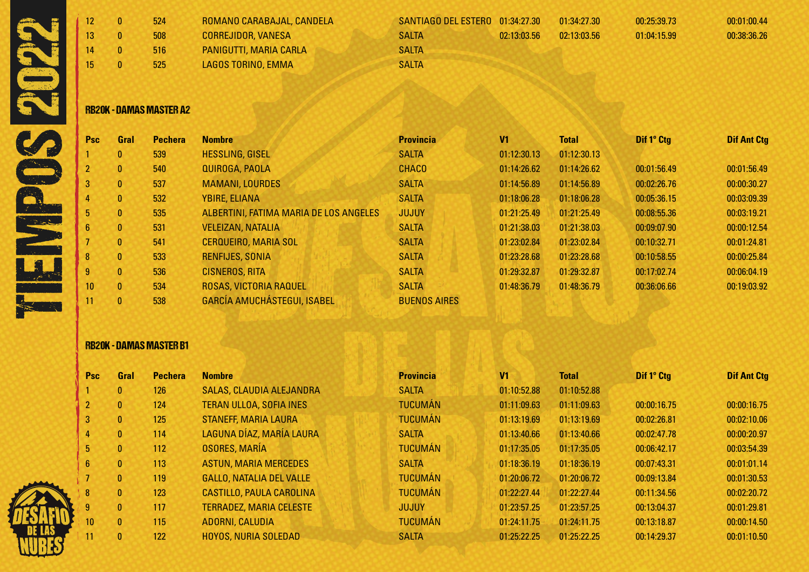|  | 13 <sup>°</sup><br>14<br>15 | $\mathbf{0}$<br>$\bf{0}$<br>$\mathbf{0}$<br>0. | 524<br>508<br>516<br>525       | ROMANO CARABAJAL, CANDELA<br><b>CORREJIDOR, VANESA</b><br>PANIGUTTI, MARIA CARLA<br>LAGOS TORINO, EMMA | SANTIAGO DEL ESTERO<br><b>SALTA</b><br><b>SALTA</b><br><b>SALTA</b> | 01:34:27.30<br>02:13:03.56 | 01:34:27.30<br>02:13:03.56 | 00:25:39.73<br>01:04:15.99 | 00:01:00.44<br>00:38:36.26 |
|--|-----------------------------|------------------------------------------------|--------------------------------|--------------------------------------------------------------------------------------------------------|---------------------------------------------------------------------|----------------------------|----------------------------|----------------------------|----------------------------|
|  |                             |                                                | <b>RB20K - DAMAS MASTER A2</b> |                                                                                                        |                                                                     |                            |                            |                            |                            |

### RB20K - DAMAS MASTER A2

| <b>Psc</b>      | Gral         | <b>Pechera</b> | <b>Nombre</b>                          | <b>Provincia</b>    | V <sub>1</sub> | <b>Total</b> | Dif 1° Ctg  | <b>Dif Ant Ctg</b> |
|-----------------|--------------|----------------|----------------------------------------|---------------------|----------------|--------------|-------------|--------------------|
|                 | $\mathbf{0}$ | 539            | <b>HESSLING, GISEL</b>                 | <b>SALTA</b>        | 01:12:30.13    | 01:12:30.13  |             |                    |
| 2               | $\mathbf{0}$ | 540            | QUIROGA, PAOLA                         | <b>CHACO</b>        | 01:14:26.62    | 01:14:26.62  | 00:01:56.49 | 00:01:56.49        |
| 3               | $\mathbf{0}$ | 537            | <b>MAMANI, LOURDES</b>                 | <b>SALTA</b>        | 01:14:56.89    | 01:14:56.89  | 00:02:26.76 | 00:00:30.27        |
| $\overline{4}$  | $\mathbf{0}$ | 532            | <b>YBIRE, ELIANA</b>                   | <b>SALTA</b>        | 01:18:06.28    | 01:18:06.28  | 00:05:36.15 | 00:03:09.39        |
| 5               | $\mathbf{0}$ | 535            | ALBERTINI, FATIMA MARIA DE LOS ANGELES | <b>JUJUY</b>        | 01:21:25.49    | 01:21:25.49  | 00:08:55.36 | 00:03:19.21        |
| 6               | $\mathbf{0}$ | 531            | <b>VELEIZAN, NATALIA</b>               | <b>SALTA</b>        | 01:21:38.03    | 01:21:38.03  | 00:09:07.90 | 00:00:12.54        |
|                 | $\mathbf{0}$ | 541            | <b>CERQUEIRO, MARIA SOL</b>            | <b>SALTA</b>        | 01:23:02.84    | 01:23:02.84  | 00:10:32.71 | 00:01:24.81        |
| 8               | $\mathbf{0}$ | 533            | RENFIJES, SONIA                        | <b>SALTA</b>        | 01:23:28.68    | 01:23:28.68  | 00:10:58.55 | 00:00:25.84        |
| 9               | $\mathbf{0}$ | 536            | <b>CISNEROS, RITA</b>                  | <b>SALTA</b>        | 01:29:32.87    | 01:29:32.87  | 00:17:02.74 | 00:06:04.19        |
| 10 <sup>°</sup> | $\mathbf{0}$ | 534            | ROSAS, VICTORIA RAQUEL                 | <b>SALTA</b>        | 01:48:36.79    | 01:48:36.79  | 00:36:06.66 | 00:19:03.92        |
| 11              | $\mathbf{0}$ | 538            | <b>GARCÍA AMUCHÁSTEGUI, ISABEL</b>     | <b>BUENOS AIRES</b> |                |              |             |                    |

## RB20K - DAMAS MASTER B1

| <b>Psc</b>      | Gral         | <b>Pechera</b> | <b>Nombre</b>                   | <b>Provincia</b> | V1          | <b>Total</b> | Dif 1° Ctg  | <b>Dif Ant Ctg</b> |
|-----------------|--------------|----------------|---------------------------------|------------------|-------------|--------------|-------------|--------------------|
|                 | $\mathbf{0}$ | 126            | SALAS, CLAUDIA ALEJANDRA        | <b>SALTA</b>     | 01:10:52.88 | 01:10:52.88  |             |                    |
| $\overline{2}$  | $\mathbf{0}$ | 124            | <b>TERAN ULLOA, SOFIA INES</b>  | <b>TUCUMÁN</b>   | 01:11:09.63 | 01:11:09.63  | 00:00:16.75 | 00:00:16.75        |
| 3               | $\mathbf{0}$ | 125            | <b>STANEFF, MARIA LAURA</b>     | <b>TUCUMÁN</b>   | 01:13:19.69 | 01:13:19.69  | 00:02:26.81 | 00:02:10.06        |
| 4               | $\mathbf{0}$ | 114            | LAGUNA DÍAZ, MARÍA LAURA        | <b>SALTA</b>     | 01:13:40.66 | 01:13:40.66  | 00:02:47.78 | 00:00:20.97        |
| 5               | $\mathbf{0}$ | 112            | <b>OSORES, MARÍA</b>            | <b>TUCUMAN</b>   | 01:17:35.05 | 01:17:35.05  | 00:06:42.17 | 00:03:54.39        |
| 6               | $\mathbf{0}$ | 113            | <b>ASTUN, MARIA MERCEDES</b>    | <b>SALTA</b>     | 01:18:36.19 | 01:18:36.19  | 00:07:43.31 | 00:01:01.14        |
|                 | $\mathbf{0}$ | 119            | <b>GALLO, NATALIA DEL VALLE</b> | <b>TUCUMÁN</b>   | 01:20:06.72 | 01:20:06.72  | 00:09:13.84 | 00:01:30.53        |
| 8               | $\mathbf{0}$ | 123            | <b>CASTILLO, PAULA CAROLINA</b> | <b>TUCUMÁN</b>   | 01:22:27.44 | 01:22:27.44  | 00:11:34.56 | 00:02:20.72        |
| $9^{\circ}$     | $\mathbf{0}$ | 117            | <b>TERRADEZ, MARIA CELESTE</b>  | <b>JUJUY</b>     | 01:23:57.25 | 01:23:57.25  | 00:13:04.37 | 00:01:29.81        |
| 10 <sup>°</sup> | $\mathbf{0}$ | 115            | ADORNI, CALUDIA                 | <b>TUCUMÁN</b>   | 01:24:11.75 | 01:24:11.75  | 00:13:18.87 | 00:00:14.50        |
| 11              | $\mathbf{0}$ | 122            | <b>HOYOS, NURIA SOLEDAD</b>     | <b>SALTA</b>     | 01:25:22.25 | 01:25:22.25  | 00:14:29.37 | 00:01:10.50        |

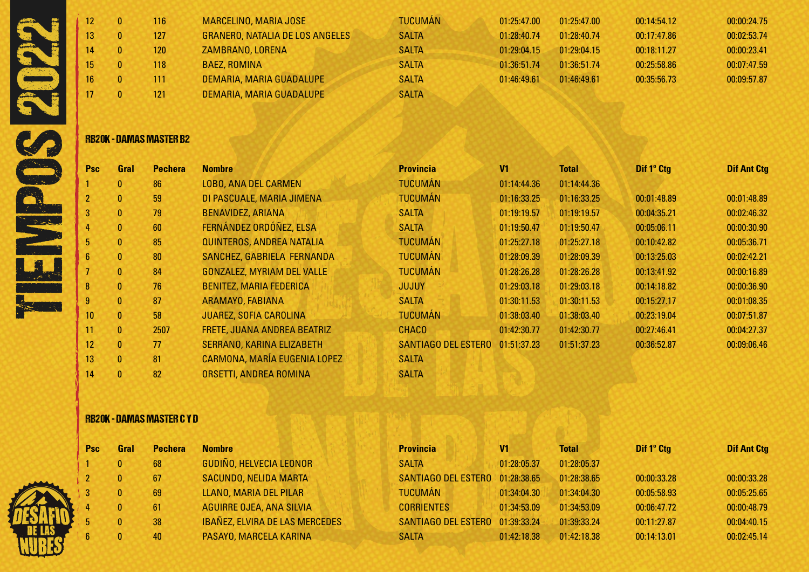|  | 116 | MARCELINO, MARIA JOSE                  | <b>TUCUMÁN</b> | 01:25:47.00 | 01:25:47.00 | 00:14:54.12 | 00:00:24.75 |
|--|-----|----------------------------------------|----------------|-------------|-------------|-------------|-------------|
|  | 127 | <b>GRANERO, NATALIA DE LOS ANGELES</b> | <b>SALTA</b>   | 01:28:40.74 | 01:28:40.74 | 00:17:47.86 | 00:02:53.74 |
|  | 120 | ZAMBRANO, LORENA                       | <b>SALTA</b>   | 01:29:04.15 | 01:29:04.15 | 00:18:11.27 | 00:00:23.41 |
|  | 118 | <b>BAEZ, ROMINA</b>                    | <b>SALTA</b>   | 01:36:51.74 | 01:36:51.74 | 00:25:58.86 | 00:07:47.59 |
|  | 111 | DEMARIA, MARIA GUADALUPE               | <b>SALTA</b>   | 01:46:49.61 | 01:46:49.61 | 00:35:56.73 | 00:09:57.87 |
|  | 121 | DEMARIA, MARIA GUADALUPE               | <b>SALTA</b>   |             |             |             |             |

### RB20K - DAMAS MASTER B2

| <b>Psc</b> | Gral         | <b>Pechera</b> | <b>Nombre</b>                     | <b>Provincia</b>    | V <sub>1</sub> | <b>Total</b> | Dif 1° Ctg  | <b>Dif Ant Ctg</b> |
|------------|--------------|----------------|-----------------------------------|---------------------|----------------|--------------|-------------|--------------------|
|            | $\mathbf{0}$ | 86             | <b>LOBO, ANA DEL CARMEN</b>       | <b>TUCUMÁN</b>      | 01:14:44.36    | 01:14:44.36  |             |                    |
|            | $\mathbf{0}$ | 59             | DI PASCUALE, MARIA JIMENA         | <b>TUCUMÁN</b>      | 01:16:33.25    | 01:16:33.25  | 00:01:48.89 | 00:01:48.89        |
| 3          | $\mathbf{0}$ | 79             | <b>BENAVIDEZ, ARIANA</b>          | <b>SALTA</b>        | 01:19:19.57    | 01:19:19.57  | 00:04:35.21 | 00:02:46.32        |
| 4          | $\mathbf{0}$ | 60             | FERNÁNDEZ ORDÓÑEZ, ELSA           | <b>SALTA</b>        | 01:19:50.47    | 01:19:50.47  | 00:05:06.11 | 00:00:30.90        |
| 5          | $\mathbf{0}$ | 85             | QUINTEROS, ANDREA NATALIA         | <b>TUCUMÁN</b>      | 01:25:27.18    | 01:25:27.18  | 00:10:42.82 | 00:05:36.71        |
| 6          | $\mathbf{0}$ | 80             | SANCHEZ, GABRIELA FERNANDA        | <b>TUCUMÁN</b>      | 01:28:09.39    | 01:28:09.39  | 00:13:25.03 | 00:02:42.21        |
|            | $\mathbf{0}$ | 84             | <b>GONZALEZ, MYRIAM DEL VALLE</b> | <b>TUCUMÁN</b>      | 01:28:26.28    | 01:28:26.28  | 00:13:41.92 | 00:00:16.89        |
| 8          | $\mathbf{0}$ | 76             | <b>BENITEZ, MARIA FEDERICA</b>    | <b>JUJUY</b>        | 01:29:03.18    | 01:29:03.18  | 00:14:18.82 | 00:00:36.90        |
| 9          | $\mathbf{0}$ | 87             | ARAMAYO, FABIANA                  | <b>SALTA</b>        | 01:30:11.53    | 01:30:11.53  | 00:15:27.17 | 00:01:08.35        |
| 10         | $\mathbf{0}$ | 58             | <b>JUAREZ, SOFIA CAROLINA</b>     | <b>TUCUMÁN</b>      | 01:38:03.40    | 01:38:03.40  | 00:23:19.04 | 00:07:51.87        |
| 11         | $\mathbf{0}$ | 2507           | FRETE, JUANA ANDREA BEATRIZ       | <b>CHACO</b>        | 01:42:30.77    | 01:42:30.77  | 00:27:46.41 | 00:04:27.37        |
| 12         | $\mathbf{0}$ | 77             | SERRANO, KARINA ELIZABETH         | SANTIAGO DEL ESTERO | 01:51:37.23    | 01:51:37.23  | 00:36:52.87 | 00:09:06.46        |
| 13         | $\mathbf{0}$ | 81             | CARMONA, MARÍA EUGENIA LOPEZ      | <b>SALTA</b>        |                |              |             |                    |
| 14         | $\mathbf{0}$ | 82             | ORSETTI, ANDREA ROMINA            | <b>SALTA</b>        |                |              |             |                    |
|            |              |                |                                   |                     |                |              |             |                    |

## RB20K - DAMAS MASTER C Y D

| <b>Psc</b> | Gral         | <b>Pechera</b> | <b>Nombre</b>                         | <b>Provincia</b>                | V1          | Total       | Dif 1° Ctg  | <b>Dif Ant Ctg</b> |
|------------|--------------|----------------|---------------------------------------|---------------------------------|-------------|-------------|-------------|--------------------|
|            |              | 68             | <b>GUDIÑO, HELVECIA LEONOR</b>        | <b>SALTA</b>                    | 01:28:05.37 | 01:28:05.37 |             |                    |
|            |              | 67             | <b>SACUNDO, NELIDA MARTA</b>          | SANTIAGO DEL ESTERO 01:28:38.65 |             | 01:28:38.65 | 00:00:33.28 | 00:00:33.28        |
|            | 0.           | 69             | LLANO, MARIA DEL PILAR                | <b>TUCUMÁN</b>                  | 01:34:04.30 | 01:34:04.30 | 00:05:58.93 | 00:05:25.65        |
|            | $\mathbf{0}$ | 61             | AGUIRRE OJEA, ANA SILVIA              | <b>CORRIENTES</b>               | 01:34:53.09 | 01:34:53.09 | 00:06:47.72 | 00:00:48.79        |
|            | $\mathbf{0}$ | 38             | <b>IBAÑEZ, ELVIRA DE LAS MERCEDES</b> | SANTIAGO DEL ESTERO 01:39:33.24 |             | 01:39:33.24 | 00:11:27.87 | 00:04:40.15        |
|            |              | 40             | PASAYO, MARCELA KARINA                | <b>SALTA</b>                    | 01:42:18.38 | 01:42:18.38 | 00:14:13.01 | 00:02:45.14        |

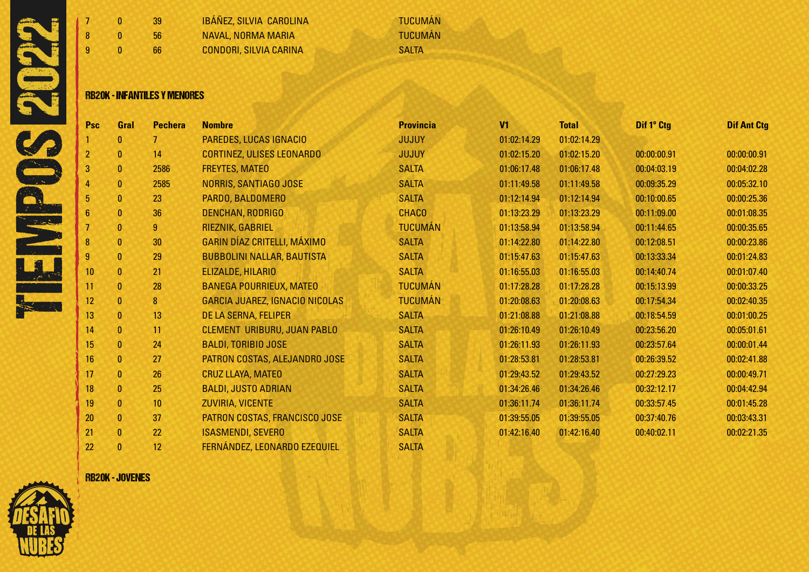

| التواد | 9 | 66<br><b>RB20K - INFANTILES Y MENORES</b> | <b>CONDORI, SILVIA CARINA</b> | <b>SALTA</b>   |
|--------|---|-------------------------------------------|-------------------------------|----------------|
| e.     | 8 | 56                                        | <b>NAVAL, NORMA MARIA</b>     | <b>TUCUMÁN</b> |
|        |   | 39                                        | IBÁÑEZ, SILVIA CAROLINA       | <b>TUCUMÁN</b> |

## RB20K - INFANTILES Y MENORES

| Psc            | Gral         | <b>Pechera</b> | <b>Nombre</b>                      | <b>Provincia</b> | V <sub>1</sub> | <b>Total</b> | Dif 1° Ctg  | <b>Dif Ant Ctg</b> |
|----------------|--------------|----------------|------------------------------------|------------------|----------------|--------------|-------------|--------------------|
|                | 0            |                | <b>PAREDES, LUCAS IGNACIO</b>      | <b>JUJUY</b>     | 01:02:14.29    | 01:02:14.29  |             |                    |
| $\overline{2}$ | $\bf{0}$     | 14             | <b>CORTINEZ, ULISES LEONARDO</b>   | <b>JUJUY</b>     | 01:02:15.20    | 01:02:15.20  | 00:00:00.91 | 00:00:00.91        |
| 3              | $\bf{0}$     | 2586           | <b>FREYTES, MATEO</b>              | <b>SALTA</b>     | 01:06:17.48    | 01:06:17.48  | 00:04:03.19 | 00:04:02.28        |
| 4              | $\mathbf{0}$ | 2585           | <b>NORRIS, SANTIAGO JOSE</b>       | <b>SALTA</b>     | 01:11:49.58    | 01:11:49.58  | 00:09:35.29 | 00:05:32.10        |
| 5              | $\bf{0}$     | 23             | PARDO, BALDOMERO                   | <b>SALTA</b>     | 01:12:14.94    | 01:12:14.94  | 00:10:00.65 | 00:00:25.36        |
| 6              | $\mathbf{0}$ | 36             | <b>DENCHAN, RODRIGO</b>            | <b>CHACO</b>     | 01:13:23.29    | 01:13:23.29  | 00:11:09.00 | 00:01:08.35        |
|                | $\bf{0}$     | $\overline{9}$ | RIEZNIK, GABRIEL                   | <b>TUCUMÁN</b>   | 01:13:58.94    | 01:13:58.94  | 00:11:44.65 | 00:00:35.65        |
| 8              | $\bf{0}$     | 30             | GARIN DÍAZ CRITELLI, MÁXIMO        | <b>SALTA</b>     | 01:14:22.80    | 01:14:22.80  | 00:12:08.51 | 00:00:23.86        |
| 9              | $\mathbf{0}$ | 29             | <b>BUBBOLINI NALLAR, BAUTISTA</b>  | <b>SALTA</b>     | 01:15:47.63    | 01:15:47.63  | 00:13:33.34 | 00:01:24.83        |
| 10             | $\bf{0}$     | 21             | ELIZALDE, HILARIO                  | <b>SALTA</b>     | 01:16:55.03    | 01:16:55.03  | 00:14:40.74 | 00:01:07.40        |
| 11             | $\mathbf{0}$ | 28             | <b>BANEGA POURRIEUX, MATEO</b>     | <b>TUCUMÁN</b>   | 01:17:28.28    | 01:17:28.28  | 00:15:13.99 | 00:00:33.25        |
| 12             | $\mathbf{0}$ | 8              | GARCIA JUAREZ, IGNACIO NICOLAS     | <b>TUCUMÁN</b>   | 01:20:08.63    | 01:20:08.63  | 00:17:54.34 | 00:02:40.35        |
| 13             | $\mathbf{0}$ | 13             | DE LA SERNA, FELIPER               | <b>SALTA</b>     | 01:21:08.88    | 01:21:08.88  | 00:18:54.59 | 00:01:00.25        |
| 14             | $\bf{0}$     | 11             | <b>CLEMENT URIBURU, JUAN PABLO</b> | <b>SALTA</b>     | 01:26:10.49    | 01:26:10.49  | 00:23:56.20 | 00:05:01.61        |
| 15             | $\mathbf{0}$ | 24             | <b>BALDI, TORIBIO JOSE</b>         | <b>SALTA</b>     | 01:26:11.93    | 01:26:11.93  | 00:23:57.64 | 00:00:01.44        |
| 16             | $\mathbf{0}$ | 27             | PATRON COSTAS, ALEJANDRO JOSE      | <b>SALTA</b>     | 01:28:53.81    | 01:28:53.81  | 00:26:39.52 | 00:02:41.88        |
| 17             | $\mathbf{0}$ | 26             | CRUZ LLAYA, MATEO                  | <b>SALTA</b>     | 01:29:43.52    | 01:29:43.52  | 00:27:29.23 | 00:00:49.71        |
| 18             | $\bf{0}$     | 25             | <b>BALDI, JUSTO ADRIAN</b>         | <b>SALTA</b>     | 01:34:26.46    | 01:34:26.46  | 00:32:12.17 | 00:04:42.94        |
| 19             | $\mathbf{0}$ | 10             | <b>ZUVIRIA, VICENTE</b>            | <b>SALTA</b>     | 01:36:11.74    | 01:36:11.74  | 00:33:57.45 | 00:01:45.28        |
| 20             | $\mathbf{0}$ | 37             | PATRON COSTAS, FRANCISCO JOSE      | <b>SALTA</b>     | 01:39:55.05    | 01:39:55.05  | 00:37:40.76 | 00:03:43.31        |
| 21             | $\mathbf{0}$ | 22             | <b>ISASMENDI, SEVERO</b>           | <b>SALTA</b>     | 01:42:16.40    | 01:42:16.40  | 00:40:02.11 | 00:02:21.35        |
| 22             | 0            | 12             | FERNÁNDEZ, LEONARDO EZEQUIEL       | <b>SALTA</b>     |                |              |             |                    |

RB20K - JOVENES

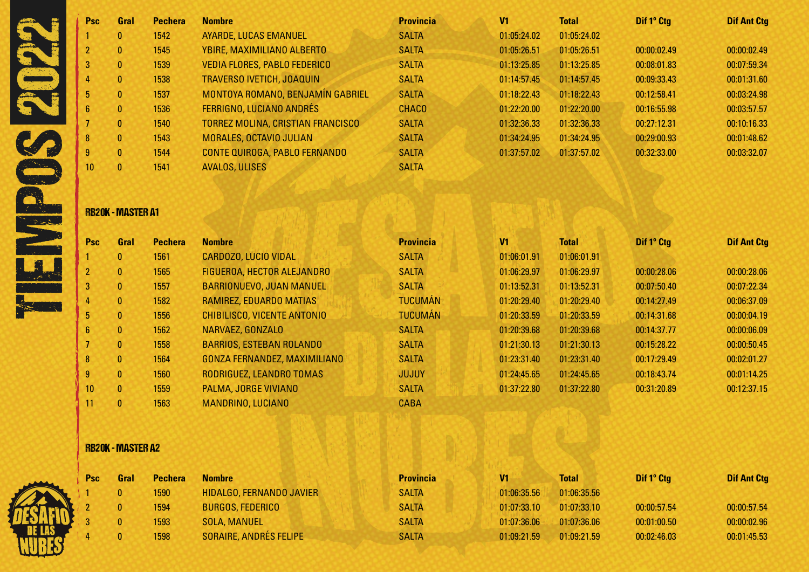| <b>Psc</b>      | Gral           | <b>Pechera</b> | <b>Nombre</b>                            | <b>Provincia</b> | V <sub>1</sub> | <b>Total</b> | Dif 1° Ctg  | <b>Dif Ant Ctg</b> |
|-----------------|----------------|----------------|------------------------------------------|------------------|----------------|--------------|-------------|--------------------|
|                 | 0              | 1542           | <b>AYARDE, LUCAS EMANUEL</b>             | <b>SALTA</b>     | 01:05:24.02    | 01:05:24.02  |             |                    |
|                 | 0              | 1545           | YBIRE, MAXIMILIANO ALBERTO               | <b>SALTA</b>     | 01:05:26.51    | 01:05:26.51  | 00:00:02.49 | 00:00:02.49        |
|                 | $\mathbf{0}$   | 1539           | <b>VEDIA FLORES, PABLO FEDERICO</b>      | <b>SALTA</b>     | 01:13:25.85    | 01:13:25.85  | 00:08:01.83 | 00:07:59.34        |
|                 | $\mathbf{0}$   | 1538           | <b>TRAVERSO IVETICH, JOAQUIN</b>         | <b>SALTA</b>     | 01:14:57.45    | 01:14:57.45  | 00:09:33.43 | 00:01:31.60        |
|                 | 0              | 1537           | MONTOYA ROMANO, BENJAMÍN GABRIEL         | <b>SALTA</b>     | 01:18:22.43    | 01:18:22.43  | 00:12:58.41 | 00:03:24.98        |
| $6^{\circ}$     | $\mathbf{0}$   | 1536           | <b>FERRIGNO, LUCIANO ANDRÉS</b>          | <b>CHACO</b>     | 01:22:20.00    | 01:22:20.00  | 00:16:55.98 | 00:03:57.57        |
|                 | $\mathbf{0}$   | 1540           | <b>TORREZ MOLINA, CRISTIAN FRANCISCO</b> | <b>SALTA</b>     | 01:32:36.33    | 01:32:36.33  | 00:27:12.31 | 00:10:16.33        |
| 8               | $\mathbf{0}$   | 1543           | MORALES, OCTAVIO JULIAN                  | <b>SALTA</b>     | 01:34:24.95    | 01:34:24.95  | 00:29:00.93 | 00:01:48.62        |
| 9               | $\overline{0}$ | 1544           | CONTE QUIROGA, PABLO FERNANDO            | <b>SALTA</b>     | 01:37:57.02    | 01:37:57.02  | 00:32:33.00 | 00:03:32.07        |
| 10 <sup>1</sup> | 0              | 1541           | <b>AVALOS, ULISES</b>                    | <b>SALTA</b>     |                |              |             |                    |

# RB20K - MASTER A1

| <b>Psc</b>      | Gral                    | <b>Pechera</b> | <b>Nombre</b>                       | <b>Provincia</b> | V <sub>1</sub> | <b>Total</b> | Dif 1º Ctg  | <b>Dif Ant Ctg</b> |
|-----------------|-------------------------|----------------|-------------------------------------|------------------|----------------|--------------|-------------|--------------------|
|                 | $\mathbf{0}$            | 1561           | <b>CARDOZO, LUCIO VIDAL</b>         | <b>SALTA</b>     | 01:06:01.91    | 01:06:01.91  |             |                    |
|                 | $\mathbf{0}$            | 1565           | <b>FIGUEROA, HECTOR ALEJANDRO</b>   | <b>SALTA</b>     | 01:06:29.97    | 01:06:29.97  | 00:00:28.06 | 00:00:28.06        |
| 3               | $\mathbf{0}$            | 1557           | BARRIONUEVO, JUAN MANUEL            | <b>SALTA</b>     | 01:13:52.31    | 01:13:52.31  | 00:07:50.40 | 00:07:22.34        |
| 4               | $\mathbf{0}$            | 1582           | <b>RAMIREZ, EDUARDO MATIAS</b>      | <b>TUCUMÁN</b>   | 01:20:29.40    | 01:20:29.40  | 00:14:27.49 | 00:06:37.09        |
| 5.              | $\mathbf{0}$            | 1556           | <b>CHIBILISCO, VICENTE ANTONIO</b>  | <b>TUCUMÁN</b>   | 01:20:33.59    | 01:20:33.59  | 00:14:31.68 | 00:00:04.19        |
| 6               | $\mathbf{0}$            | 1562           | NARVAEZ, GONZALO                    | <b>SALTA</b>     | 01:20:39.68    | 01:20:39.68  | 00:14:37.77 | 00:00:06.09        |
|                 | $\mathbf{0}$            | 1558           | <b>BARRIOS, ESTEBAN ROLANDO</b>     | <b>SALTA</b>     | 01:21:30.13    | 01:21:30.13  | 00:15:28.22 | 00:00:50.45        |
| 8               | $\mathbf{0}$            | 1564           | <b>GONZA FERNANDEZ, MAXIMILIANO</b> | <b>SALTA</b>     | 01:23:31.40    | 01:23:31.40  | 00:17:29.49 | 00:02:01.27        |
| 9               | $\mathbf{0}$            | 1560           | RODRIGUEZ, LEANDRO TOMAS            | <b>JUJUY</b>     | 01:24:45.65    | 01:24:45.65  | 00:18:43.74 | 00:01:14.25        |
| 10 <sup>°</sup> | $\overline{\mathbf{0}}$ | 1559           | PALMA, JORGE VIVIANO                | <b>SALTA</b>     | 01:37:22.80    | 01:37:22.80  | 00:31:20.89 | 00:12:37.15        |
| 11              | $\mathbf{0}$            | 1563           | MANDRINO, LUCIANO                   | <b>CABA</b>      |                |              |             |                    |

# RB20K - MASTER A2

| <b>Psc</b> | Gral | <b>Pechera</b> | <b>Nombre</b>                   | <b>Provincia</b> | V1          | Total       | Dif 1° Ctg  | <b>Dif Ant Ctg</b> |
|------------|------|----------------|---------------------------------|------------------|-------------|-------------|-------------|--------------------|
|            |      | 1590           | <b>HIDALGO, FERNANDO JAVIER</b> | <b>SALTA</b>     | 01:06:35.56 | 01:06:35.56 |             |                    |
|            |      | 1594           | <b>BURGOS, FEDERICO</b>         | <b>SALTA</b>     | 01:07:33.10 | 01:07:33.10 | 00:00:57.54 | 00:00:57.54        |
|            |      | 1593           | <b>SOLA, MANUEL</b>             | <b>SALTA</b>     | 01:07:36.06 | 01:07:36.06 | 00:01:00.50 | 00:00:02.96        |
|            |      | 1598           | <b>SORAIRE, ANDRÉS FELIPE</b>   | <b>SALTA</b>     | 01:09:21.59 | 01:09:21.59 | 00:02:46.03 | 00:01:45.53        |

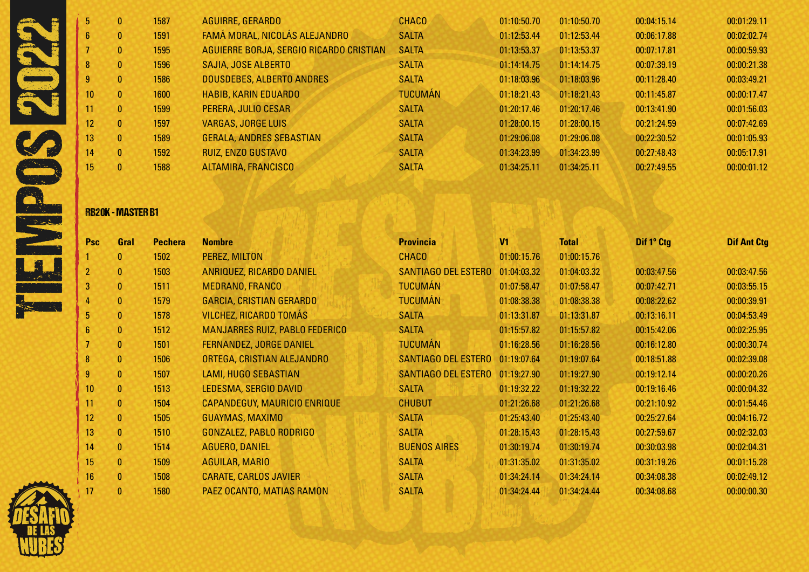| 5.              | 0              | 1587 | <b>AGUIRRE, GERARDO</b>                 | <b>CHACO</b>   | 01:10:50.70 | 01:10:50.70 | 00:04:15.14 | 00:01:29.11 |
|-----------------|----------------|------|-----------------------------------------|----------------|-------------|-------------|-------------|-------------|
| 6 <sup>1</sup>  | 0              | 1591 | FAMÁ MORAL, NICOLÁS ALEJANDRO           | <b>SALTA</b>   | 01:12:53.44 | 01:12:53.44 | 00:06:17.88 | 00:02:02.74 |
|                 | 0              | 1595 | AGUIERRE BORJA, SERGIO RICARDO CRISTIAN | <b>SALTA</b>   | 01:13:53.37 | 01:13:53.37 | 00:07:17.81 | 00:00:59.93 |
|                 | 0              | 1596 | SAJIA, JOSE ALBERTO                     | <b>SALTA</b>   | 01:14:14.75 | 01:14:14.75 | 00:07:39.19 | 00:00:21.38 |
| 9               | 0              | 1586 | DOUSDEBES, ALBERTO ANDRES               | <b>SALTA</b>   | 01:18:03.96 | 01:18:03.96 | 00:11:28.40 | 00:03:49.21 |
| 10 <sup>°</sup> | $\mathbf{0}$   | 1600 | <b>HABIB, KARIN EDUARDO</b>             | <b>TUCUMÁN</b> | 01:18:21.43 | 01:18:21.43 | 00:11:45.87 | 00:00:17.47 |
| 11              | 0              | 1599 | PERERA, JULIO CESAR                     | <b>SALTA</b>   | 01:20:17.46 | 01:20:17.46 | 00:13:41.90 | 00:01:56.03 |
| 12 <sup>°</sup> | $\mathbf{0}$   | 1597 | <b>VARGAS, JORGE LUIS</b>               | <b>SALTA</b>   | 01:28:00.15 | 01:28:00.15 | 00:21:24.59 | 00:07:42.69 |
| 13 <sup>°</sup> | $\mathbf{0}$   | 1589 | <b>GERALA, ANDRES SEBASTIAN</b>         | <b>SALTA</b>   | 01:29:06.08 | 01:29:06.08 | 00:22:30.52 | 00:01:05.93 |
| 14              | $\overline{0}$ | 1592 | RUIZ, ENZO GUSTAVO                      | <b>SALTA</b>   | 01:34:23.99 | 01:34:23.99 | 00:27:48.43 | 00:05:17.91 |
| 15              | 0.             | 1588 | <b>ALTAMIRA, FRANCISCO</b>              | <b>SALTA</b>   | 01:34:25.11 | 01:34:25.11 | 00:27:49.55 | 00:00:01.12 |
|                 |                |      |                                         |                |             |             |             |             |

# RB20K - MASTER B1

| <b>Psc</b>       | Gral         | <b>Pechera</b> | <b>Nombre</b>                         | <b>Provincia</b>                | V <sub>1</sub> | <b>Total</b> | Dif 1° Ctg  | <b>Dif Ant Ctg</b> |
|------------------|--------------|----------------|---------------------------------------|---------------------------------|----------------|--------------|-------------|--------------------|
|                  | $\mathbf{0}$ | 1502           | PEREZ, MILTON                         | <b>CHACO</b>                    | 01:00:15.76    | 01:00:15.76  |             |                    |
| $\overline{2}$   | $\mathbf{0}$ | 1503           | ANRIQUEZ, RICARDO DANIEL              | <b>SANTIAGO DEL ESTERO</b>      | 01:04:03.32    | 01:04:03.32  | 00:03:47.56 | 00:03:47.56        |
| 3                | $\mathbf{0}$ | 1511           | <b>MEDRANO, FRANCO</b>                | <b>TUCUMÁN</b>                  | 01:07:58.47    | 01:07:58.47  | 00:07:42.71 | 00:03:55.15        |
| 4                | $\mathbf{0}$ | 1579           | <b>GARCIA, CRISTIAN GERARDO</b>       | <b>TUCUMÁN</b>                  | 01:08:38.38    | 01:08:38.38  | 00:08:22.62 | 00:00:39.91        |
| 5 <sup>5</sup>   | $\mathbf{0}$ | 1578           | <b>VILCHEZ, RICARDO TOMÁS</b>         | <b>SALTA</b>                    | 01:13:31.87    | 01:13:31.87  | 00:13:16.11 | 00:04:53.49        |
| $6\phantom{.}$   | $\mathbf{0}$ | 1512           | <b>MANJARRES RUIZ, PABLO FEDERICO</b> | <b>SALTA</b>                    | 01:15:57.82    | 01:15:57.82  | 00:15:42.06 | 00:02:25.95        |
|                  | $\mathbf{0}$ | 1501           | <b>FERNANDEZ, JORGE DANIEL</b>        | <b>TUCUMÁN</b>                  | 01:16:28.56    | 01:16:28.56  | 00:16:12.80 | 00:00:30.74        |
| $\boldsymbol{8}$ | $\mathbf{0}$ | 1506           | ORTEGA, CRISTIAN ALEJANDRO            | <b>SANTIAGO DEL ESTERO</b>      | 01:19:07.64    | 01:19:07.64  | 00:18:51.88 | 00:02:39.08        |
| $9\phantom{.0}$  | $\mathbf{0}$ | 1507           | LAMI, HUGO SEBASTIAN                  | SANTIAGO DEL ESTERO 01:19:27.90 |                | 01:19:27.90  | 00:19:12.14 | 00:00:20.26        |
| 10 <sup>°</sup>  | $\mathbf{0}$ | 1513           | LEDESMA, SERGIO DAVID                 | <b>SALTA</b>                    | 01:19:32.22    | 01:19:32.22  | 00:19:16.46 | 00:00:04.32        |
| 11               | $\mathbf{0}$ | 1504           | CAPANDEGUY, MAURICIO ENRIQUE          | <b>CHUBUT</b>                   | 01:21:26.68    | 01:21:26.68  | 00:21:10.92 | 00:01:54.46        |
| 12               | $\mathbf{0}$ | 1505           | GUAYMAS, MAXIMO                       | <b>SALTA</b>                    | 01:25:43.40    | 01:25:43.40  | 00:25:27.64 | 00:04:16.72        |
| 13               | $\mathbf{0}$ | 1510           | GONZALEZ, PABLO RODRIGO               | <b>SALTA</b>                    | 01:28:15.43    | 01:28:15.43  | 00:27:59.67 | 00:02:32.03        |
| 14               | $\mathbf{0}$ | 1514           | AGUERO, DANIEL                        | <b>BUENOS AIRES</b>             | 01:30:19.74    | 01:30:19.74  | 00:30:03.98 | 00:02:04.31        |
| 15               | $\mathbf{0}$ | 1509           | <b>AGUILAR, MARIO</b>                 | <b>SALTA</b>                    | 01:31:35.02    | 01:31:35.02  | 00:31:19.26 | 00:01:15.28        |
| 16               | $\mathbf{0}$ | 1508           | <b>CARATE, CARLOS JAVIER</b>          | <b>SALTA</b>                    | 01:34:24.14    | 01:34:24.14  | 00:34:08.38 | 00:02:49.12        |
| 17               | $\mathbf{0}$ | 1580           | PAEZ OCANTO, MATIAS RAMON             | <b>SALTA</b>                    | 01:34:24.44    | 01:34:24.44  | 00:34:08.68 | 00:00:00.30        |

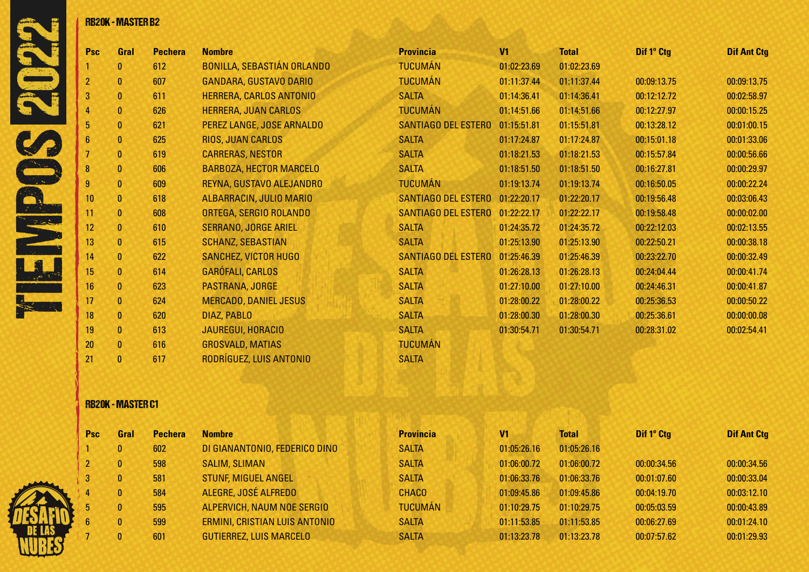

|          |                  | <b>RB20K - MASTER B2</b> |                |                                   |                            |             |              |             |                    |
|----------|------------------|--------------------------|----------------|-----------------------------------|----------------------------|-------------|--------------|-------------|--------------------|
|          | Psc              | Gral                     | <b>Pechera</b> | <b>Nombre</b>                     | <b>Provincia</b>           | V1          | <b>Total</b> | Dif 1° Ctg  | <b>Dif Ant Ctg</b> |
|          |                  | $\mathbf{0}$             | 612            | <b>BONILLA, SEBASTIÁN ORLANDO</b> | <b>TUCUMÁN</b>             | 01:02:23.69 | 01:02:23.69  |             |                    |
|          | $\overline{2}$   | $\theta$                 | 607            | <b>GANDARA, GUSTAVO DARIO</b>     | <b>TUCUMÁN</b>             | 01:11:37.44 | 01:11:37.44  | 00:09:13.75 | 00:09:13.75        |
|          | 3                | $\bf{0}$                 | 611            | HERRERA, CARLOS ANTONIO           | <b>SALTA</b>               | 01:14:36.41 | 01:14:36.41  | 00:12:12.72 | 00:02:58.97        |
|          |                  | $\bf{0}$                 | 626            | HERRERA, JUAN CARLOS              | <b>TUCUMÁN</b>             | 01:14:51.66 | 01:14:51.66  | 00:12:27.97 | 00:00:15.25        |
|          | 5                | $\mathbf{0}$             | 621            | PEREZ LANGE, JOSE ARNALDO         | SANTIAGO DEL ESTERO        | 01:15:51.81 | 01:15:51.81  | 00:13:28.12 | 00:01:00.15        |
|          | 6                | $\bf{0}$                 | 625            | <b>RIOS, JUAN CARLOS</b>          | <b>SALTA</b>               | 01:17:24.87 | 01:17:24.87  | 00:15:01.18 | 00:01:33.06        |
|          |                  | $\bf{0}$                 | 619            | <b>CARRERAS, NESTOR</b>           | <b>SALTA</b>               | 01:18:21.53 | 01:18:21.53  | 00:15:57.84 | 00:00:56.66        |
|          | 8                | $\mathbf{0}$             | 606            | <b>BARBOZA, HECTOR MARCELO</b>    | <b>SALTA</b>               | 01:18:51.50 | 01:18:51.50  | 00:16:27.81 | 00:00:29.97        |
|          | 9                | $\mathbf{0}$             | 609            | REYNA, GUSTAVO ALEJANDRO          | <b>TUCUMÁN</b>             | 01:19:13.74 | 01:19:13.74  | 00:16:50.05 | 00:00:22.24        |
|          | 10               | $\mathbf{0}$             | 618            | ALBARRACIN, JULIO MARIO           | SANTIAGO DEL ESTERO        | 01:22:20.17 | 01:22:20.17  | 00:19:56.48 | 00:03:06.43        |
|          | 11               | $\mathbf{0}$             | 608            | ORTEGA, SERGIO ROLANDO            | <b>SANTIAGO DEL ESTERO</b> | 01:22:22.17 | 01:22:22.17  | 00:19:58.48 | 00:00:02.00        |
| 10 miles | 12               | $\mathbf{0}$             | 610            | <b>SERRANO, JORGE ARIEL</b>       | <b>SALTA</b>               | 01:24:35.72 | 01:24:35.72  | 00:22:12.03 | 00:02:13.55        |
|          | 13 <sup>°</sup>  | $\mathbf{0}$             | 615            | <b>SCHANZ, SEBASTIAN</b>          | <b>SALTA</b>               | 01:25:13.90 | 01:25:13.90  | 00:22:50.21 | 00:00:38.18        |
|          | 14               | $\mathbf{0}$             | 622            | <b>SANCHEZ, VICTOR HUGO</b>       | <b>SANTIAGO DEL ESTERO</b> | 01:25:46.39 | 01:25:46.39  | 00:23:22.70 | 00:00:32.49        |
|          | 15 <sub>15</sub> | $\mathbf{0}$             | 614            | <b>GARÓFALI, CARLOS</b>           | <b>SALTA</b>               | 01:26:28.13 | 01:26:28.13  | 00:24:04.44 | 00:00:41.74        |
|          | 16               | $\mathbf{0}$             | 623            | PASTRANA, JORGE                   | <b>SALTA</b>               | 01:27:10.00 | 01:27:10.00  | 00:24:46.31 | 00:00:41.87        |
|          | 17               | $\mathbf{0}$             | 624            | <b>MERCADO, DANIEL JESUS</b>      | <b>SALTA</b>               | 01:28:00.22 | 01:28:00.22  | 00:25:36.53 | 00:00:50.22        |
|          | 18               | $\mathbf{0}$             | 620            | DIAZ, PABLO                       | <b>SALTA</b>               | 01:28:00.30 | 01:28:00.30  | 00:25:36.61 | 00:00:00.08        |
|          | 19               | $\mathbf{0}$             | 613            | JAUREGUI, HORACIO                 | <b>SALTA</b>               | 01:30:54.71 | 01:30:54.71  | 00:28:31.02 | 00:02:54.41        |
|          | 20               | $\mathbf{0}$             | 616            | <b>GROSVALD, MATIAS</b>           | <b>TUCUMÁN</b>             |             |              |             |                    |
|          | 21               | $\mathbf{0}$             | 617            | RODRÍGUEZ, LUIS ANTONIO           | <b>SALTA</b>               |             |              |             |                    |

### RB20K - MASTER C1

|    | <b>Psc</b> | Gral         | <b>Pechera</b> | <b>Nombre</b>                        | <b>Provincia</b> | V <sub>1</sub> | <b>Total</b> | Dif 1° Ctg  | <b>Dif Ant Ctg</b> |
|----|------------|--------------|----------------|--------------------------------------|------------------|----------------|--------------|-------------|--------------------|
|    |            | 0            | 602            | DI GIANANTONIO, FEDERICO DINO        | <b>SALTA</b>     | 01:05:26.16    | 01:05:26.16  |             |                    |
|    |            | $\mathbf{0}$ | 598            | <b>SALIM, SLIMAN</b>                 | <b>SALTA</b>     | 01:06:00.72    | 01:06:00.72  | 00:00:34.56 | 00:00:34.56        |
| -3 |            | 0            | 581            | <b>STUNF, MIGUEL ANGEL</b>           | <b>SALTA</b>     | 01:06:33.76    | 01:06:33.76  | 00:01:07.60 | 00:00:33.04        |
|    |            | 0.           | 584            | ALEGRE, JOSÉ ALFREDO                 | <b>CHACO</b>     | 01:09:45.86    | 01:09:45.86  | 00:04:19.70 | 00:03:12.10        |
|    | 5          | 0            | 595            | ALPERVICH, NAUM NOE SERGIO           | <b>TUCUMÁN</b>   | 01:10:29.75    | 01:10:29.75  | 00:05:03.59 | 00:00:43.89        |
|    | 6          | 0            | 599            | <b>ERMINI, CRISTIAN LUIS ANTONIO</b> | <b>SALTA</b>     | 01:11:53.85    | 01:11:53.85  | 00:06:27.69 | 00:01:24.10        |
|    |            | 0.           | 601            | <b>GUTIERREZ, LUIS MARCELO</b>       | <b>SALTA</b>     | 01:13:23.78    | 01:13:23.78  | 00:07:57.62 | 00:01:29.93        |

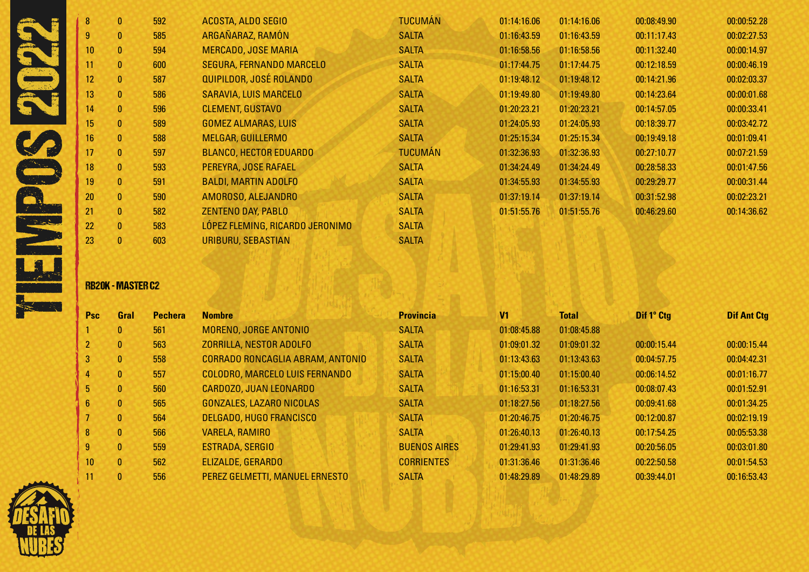| 8 <sup>°</sup>  | 0              | 592 | ACOSTA, ALDO SEGIO              | <b>TUCUMÁN</b> | 01:14:16.06 | 01:14:16.06 | 00:08:49.90 | 00:00:52.28 |
|-----------------|----------------|-----|---------------------------------|----------------|-------------|-------------|-------------|-------------|
| 9 <sup>°</sup>  | 0              | 585 | ARGAÑARAZ, RAMÓN                | <b>SALTA</b>   | 01:16:43.59 | 01:16:43.59 | 00:11:17.43 | 00:02:27.53 |
| 10 <sup>°</sup> | 0              | 594 | <b>MERCADO, JOSE MARIA</b>      | <b>SALTA</b>   | 01:16:58.56 | 01:16:58.56 | 00:11:32.40 | 00:00:14.97 |
| 11              | $\bf{0}$       | 600 | <b>SEGURA, FERNANDO MARCELO</b> | <b>SALTA</b>   | 01:17:44.75 | 01:17:44.75 | 00:12:18.59 | 00:00:46.19 |
| 12 <sub>2</sub> | $\mathbf{0}$   | 587 | QUIPILDOR, JOSÉ ROLANDO         | <b>SALTA</b>   | 01:19:48.12 | 01:19:48.12 | 00:14:21.96 | 00:02:03.37 |
| 13              | 0              | 586 | SARAVIA, LUIS MARCELO           | <b>SALTA</b>   | 01:19:49.80 | 01:19:49.80 | 00:14:23.64 | 00:00:01.68 |
| 14              | 0              | 596 | <b>CLEMENT, GUSTAVO</b>         | <b>SALTA</b>   | 01:20:23.21 | 01:20:23.21 | 00:14:57.05 | 00:00:33.41 |
| 15              | 0              | 589 | <b>GOMEZ ALMARAS, LUIS</b>      | <b>SALTA</b>   | 01:24:05.93 | 01:24:05.93 | 00:18:39.77 | 00:03:42.72 |
| 16              | $\mathbf{0}$   | 588 | <b>MELGAR, GUILLERMO</b>        | <b>SALTA</b>   | 01:25:15.34 | 01:25:15.34 | 00:19:49.18 | 00:01:09.41 |
| 17              | $\overline{0}$ | 597 | <b>BLANCO, HECTOR EDUARDO</b>   | <b>TUCUMÁN</b> | 01:32:36.93 | 01:32:36.93 | 00:27:10.77 | 00:07:21.59 |
| 18              | 0              | 593 | PEREYRA, JOSE RAFAEL            | <b>SALTA</b>   | 01:34:24.49 | 01:34:24.49 | 00:28:58.33 | 00:01:47.56 |
| 19              | 0              | 591 | <b>BALDI, MARTIN ADOLFO</b>     | <b>SALTA</b>   | 01:34:55.93 | 01:34:55.93 | 00:29:29.77 | 00:00:31.44 |
| 20              | $\mathbf{0}$   | 590 | AMOROSO, ALEJANDRO              | <b>SALTA</b>   | 01:37:19.14 | 01:37:19.14 | 00:31:52.98 | 00:02:23.21 |
| 21              | $\mathbf{0}$   | 582 | <b>ZENTENO DAY, PABLO</b>       | <b>SALTA</b>   | 01:51:55.76 | 01:51:55.76 | 00:46:29.60 | 00:14:36.62 |
| 22              | $\mathbf{0}$   | 583 | LÓPEZ FLEMING, RICARDO JERONIMO | <b>SALTA</b>   |             |             |             |             |
| 23              | 0              | 603 | <b>URIBURU, SEBASTIAN</b>       | <b>SALTA</b>   |             |             |             |             |

### RB20K - MASTER C2

| <b>Psc</b>      | Gral         | <b>Pechera</b> | <b>Nombre</b>                    | <b>Provincia</b>    | V <sub>1</sub> | <b>Total</b> | Dif 1° Ctg  | <b>Dif Ant Ctg</b> |
|-----------------|--------------|----------------|----------------------------------|---------------------|----------------|--------------|-------------|--------------------|
|                 | $\mathbf{0}$ | 561            | MORENO, JORGE ANTONIO            | <b>SALTA</b>        | 01:08:45.88    | 01:08:45.88  |             |                    |
| 2 <sup>2</sup>  | $\mathbf{0}$ | 563            | ZORRILLA, NESTOR ADOLFO          | <b>SALTA</b>        | 01:09:01.32    | 01:09:01.32  | 00:00:15.44 | 00:00:15.44        |
| 3 <sup>1</sup>  | $\mathbf{0}$ | 558            | CORRADO RONCAGLIA ABRAM, ANTONIO | <b>SALTA</b>        | 01:13:43.63    | 01:13:43.63  | 00:04:57.75 | 00:04:42.31        |
| 4               | $\mathbf{0}$ | 557            | COLODRO, MARCELO LUIS FERNANDO   | <b>SALTA</b>        | 01:15:00.40    | 01:15:00.40  | 00:06:14.52 | 00:01:16.77        |
| 5 <sub>1</sub>  | $\mathbf{0}$ | 560            | CARDOZO, JUAN LEONARDO           | <b>SALTA</b>        | 01:16:53.31    | 01:16:53.31  | 00:08:07.43 | 00:01:52.91        |
| 6 <sup>1</sup>  | $\mathbf{0}$ | 565            | GONZALES, LAZARO NICOLAS         | <b>SALTA</b>        | 01:18:27.56    | 01:18:27.56  | 00:09:41.68 | 00:01:34.25        |
|                 | $\mathbf{0}$ | 564            | DELGADO, HUGO FRANCISCO          | <b>SALTA</b>        | 01:20:46.75    | 01:20:46.75  | 00:12:00.87 | 00:02:19.19        |
| 8               | $\mathbf{0}$ | 566            | VARELA, RAMIRO                   | <b>SALTA</b>        | 01:26:40.13    | 01:26:40.13  | 00:17:54.25 | 00:05:53.38        |
| 9 <sup>°</sup>  | $\mathbf{0}$ | 559            | ESTRADA, SERGIO                  | <b>BUENOS AIRES</b> | 01:29:41.93    | 01:29:41.93  | 00:20:56.05 | 00:03:01.80        |
| 10 <sup>°</sup> | $\mathbf{0}$ | 562            | <b>ELIZALDE, GERARDO</b>         | <b>CORRIENTES</b>   | 01:31:36.46    | 01:31:36.46  | 00:22:50.58 | 00:01:54.53        |
|                 | $\mathbf{0}$ | 556            | PEREZ GELMETTI, MANUEL ERNESTO   | <b>SALTA</b>        | 01:48:29.89    | 01:48:29.89  | 00:39:44.01 | 00:16:53.43        |

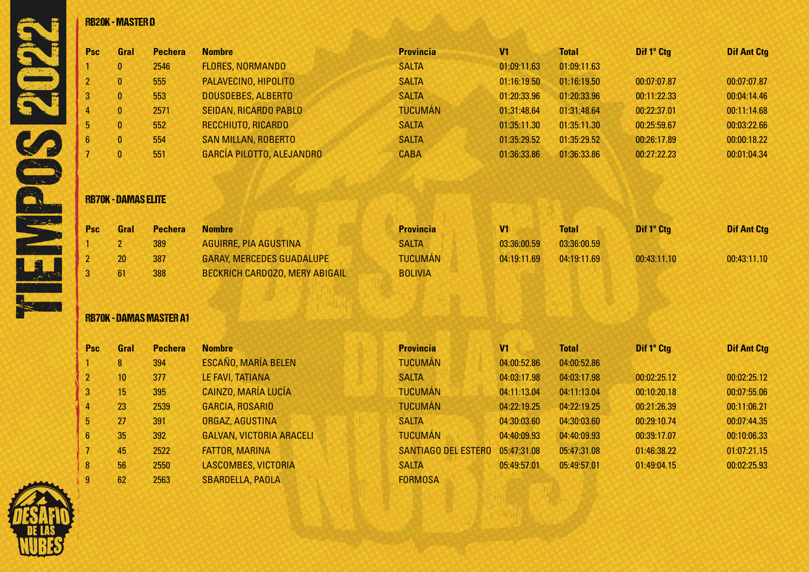| Psc            | Gral                       | <b>Pechera</b> | <b>Nombre</b>                    | <b>Provincia</b> | V <sub>1</sub> | <b>Total</b> | Dif 1° Ctg  | <b>Dif Ant Ctg</b> |
|----------------|----------------------------|----------------|----------------------------------|------------------|----------------|--------------|-------------|--------------------|
|                | $\mathbf{0}$               | 2546           | <b>FLORES, NORMANDO</b>          | <b>SALTA</b>     | 01:09:11.63    | 01:09:11.63  |             |                    |
| 2              | $\bf{0}$                   | 555            | PALAVECINO, HIPOLITO             | <b>SALTA</b>     | 01:16:19.50    | 01:16:19.50  | 00:07:07.87 | 00:07:07.87        |
| 3              | $\bf{0}$                   | 553            | <b>DOUSDEBES, ALBERTO</b>        | <b>SALTA</b>     | 01:20:33.96    | 01:20:33.96  | 00:11:22.33 | 00:04:14.46        |
|                | $\bf{0}$                   | 2571           | SEIDAN, RICARDO PABLO            | <b>TUCUMÁN</b>   | 01:31:48.64    | 01:31:48.64  | 00:22:37.01 | 00:11:14.68        |
| 5              | $\mathbf{0}$               | 552            | RECCHIUTO, RICARDO               | <b>SALTA</b>     | 01:35:11.30    | 01:35:11.30  | 00:25:59.67 | 00:03:22.66        |
| $6\phantom{.}$ | $\bf{0}$                   | 554            | <b>SAN MILLAN, ROBERTO</b>       | <b>SALTA</b>     | 01:35:29.52    | 01:35:29.52  | 00:26:17.89 | 00:00:18.22        |
|                | $\bf{0}$                   | 551            | GARCÍA PILOTTO, ALEJANDRO        | <b>CABA</b>      | 01:36:33.86    | 01:36:33.86  | 00:27:22.23 | 00:01:04.34        |
|                | <b>RB70K - DAMAS ELITE</b> |                |                                  |                  |                |              |             |                    |
| Psc            | Gral                       | <b>Pechera</b> | <b>Nombre</b>                    | <b>Provincia</b> | V1             | <b>Total</b> | Dif 1° Ctg  | <b>Dif Ant Ctg</b> |
|                | $\mathbf{2}$               | 389            | <b>AGUIRRE, PIA AGUSTINA</b>     | <b>SALTA</b>     | 03:36:00.59    | 03:36:00.59  |             |                    |
|                | 20                         | 387            | <b>GARAY, MERCEDES GUADALUPE</b> | <b>TUCUMÁN</b>   | 04:19:11.69    | 04:19:11.69  | 00:43:11.10 | 00:43:11.10        |
|                | 61                         | 388            | BECKRICH CARDOZO, MERY ABIGAIL   | <b>BOLIVIA</b>   |                |              |             |                    |

## RB70K - DAMAS ELITE

| <b>Psc</b> | Gral | <b>Pechera</b> | <b>Nombre</b>                         | <b>Provincia</b> | V1          | <b>Total</b> | Dif 1° Ctg  | <b>Dif Ant Ctg</b> |
|------------|------|----------------|---------------------------------------|------------------|-------------|--------------|-------------|--------------------|
|            |      | 389            | AGUIRRE, PIA AGUSTINA                 | <b>SALTA</b>     | 03:36:00.59 | 03:36:00.59  |             |                    |
|            | 20   | 387            | <b>GARAY, MERCEDES GUADALUPE</b>      | <b>TUCUMAN</b>   | 04:19:11.69 | 04:19:11.69  | 00:43:11.10 | 00:43:11.10        |
|            | 61   | 388            | <b>BECKRICH CARDOZO, MERY ABIGAIL</b> | <b>BOLIVIA</b>   |             |              |             |                    |

# RB70K - DAMAS MASTER A1

| <b>Psc</b> | Gral            | <b>Pechera</b> | <b>Nombre</b>                   | <b>Provincia</b>           | V <sub>1</sub> | <b>Total</b> | Dif 1° Ctg  | <b>Dif Ant Ctg</b> |
|------------|-----------------|----------------|---------------------------------|----------------------------|----------------|--------------|-------------|--------------------|
|            | 8               | 394            | <b>ESCAÑO, MARÍA BELEN</b>      | <b>TUCUMÁN</b>             | 04:00:52.86    | 04:00:52.86  |             |                    |
|            | 10 <sup>°</sup> | 377            | LE FAVI, TATIANA                | <b>SALTA</b>               | 04:03:17.98    | 04:03:17.98  | 00:02:25.12 | 00:02:25.12        |
| 3          | 15              | 395            | CAINZO, MARÍA LUCÍA             | <b>TUCUMÁN</b>             | 04:11:13.04    | 04:11:13.04  | 00:10:20.18 | 00:07:55.06        |
| 4          | 23              | 2539           | <b>GARCIA, ROSARIO</b>          | <b>TUCUMÁN</b>             | 04:22:19.25    | 04:22:19.25  | 00:21:26.39 | 00:11:06.21        |
| 5          | 27              | 391            | ORGAZ, AGUSTINA                 | <b>SALTA</b>               | 04:30:03.60    | 04:30:03.60  | 00:29:10.74 | 00:07:44.35        |
| 6          | 35              | 392            | <b>GALVAN, VICTORIA ARACELI</b> | <b>TUCUMÁN</b>             | 04:40:09.93    | 04:40:09.93  | 00:39:17.07 | 00:10:06.33        |
|            | 45              | 2522           | <b>FATTOR, MARINA</b>           | <b>SANTIAGO DEL ESTERO</b> | 05:47:31.08    | 05:47:31.08  | 01:46:38.22 | 01:07:21.15        |
| 8          | 56              | 2550           | LASCOMBES, VICTORIA             | <b>SALTA</b>               | 05:49:57.01    | 05:49:57.01  | 01:49:04.15 | 00:02:25.93        |
| 9          | 62              | 2563           | <b>SBARDELLA, PAOLA</b>         | <b>FORMOSA</b>             |                |              |             |                    |



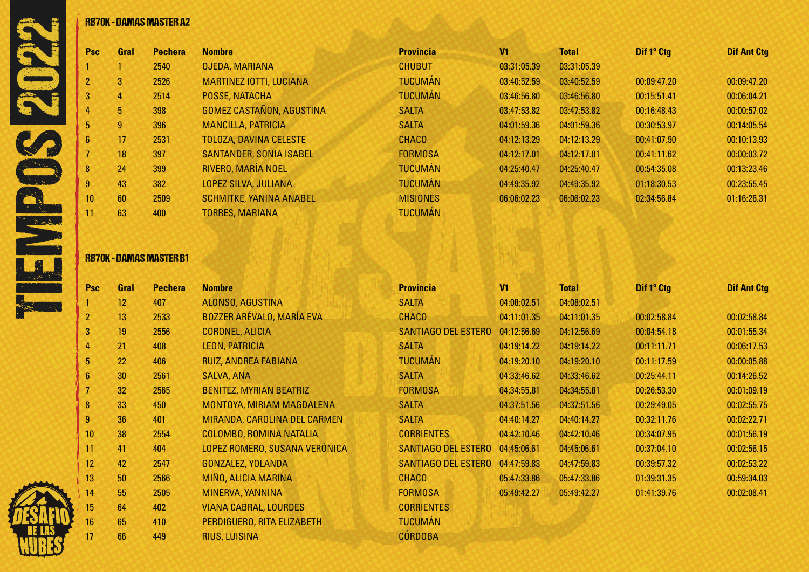|            |                 | <b>RB70K - DAMAS MASTER A2</b> |                                 |                  |                |              |             |                    |
|------------|-----------------|--------------------------------|---------------------------------|------------------|----------------|--------------|-------------|--------------------|
| Psc        | Gral            | <b>Pechera</b>                 | <b>Nombre</b>                   | <b>Provincia</b> | V <sub>1</sub> | <b>Total</b> | Dif 1° Ctg  | <b>Dif Ant Ctg</b> |
|            |                 | 2540                           | <b>OJEDA, MARIANA</b>           | <b>CHUBUT</b>    | 03:31:05.39    | 03:31:05.39  |             |                    |
|            | 3               | 2526                           | <b>MARTINEZ IOTTI, LUCIANA</b>  | <b>TUCUMÁN</b>   | 03:40:52.59    | 03:40:52.59  | 00:09:47.20 | 00:09:47.20        |
| 3          | 4               | 2514                           | POSSE, NATACHA                  | <b>TUCUMÁN</b>   | 03:46:56.80    | 03:46:56.80  | 00:15:51.41 | 00:06:04.21        |
|            | 5 <sub>5</sub>  | 398                            | <b>GOMEZ CASTAÑON, AGUSTINA</b> | <b>SALTA</b>     | 03:47:53.82    | 03:47:53.82  | 00:16:48.43 | 00:00:57.02        |
|            | 9               | 396                            | <b>MANCILLA, PATRICIA</b>       | <b>SALTA</b>     | 04:01:59.36    | 04:01:59.36  | 00:30:53.97 | 00:14:05.54        |
| 6          | 17              | 2531                           | <b>TOLOZA, DAVINA CELESTE</b>   | <b>CHACO</b>     | 04:12:13.29    | 04:12:13.29  | 00:41:07.90 | 00:10:13.93        |
|            | 18              | 397                            | <b>SANTANDER, SONIA ISABEL</b>  | <b>FORMOSA</b>   | 04:12:17.01    | 04:12:17.01  | 00:41:11.62 | 00:00:03.72        |
| 8          | 24              | 399                            | RIVERO, MARÍA NOEL              | <b>TUCUMÁN</b>   | 04:25:40.47    | 04:25:40.47  | 00:54:35.08 | 00:13:23.46        |
| 9          | 43              | 382                            | LOPEZ SILVA, JULIANA            | <b>TUCUMÁN</b>   | 04:49:35.92    | 04:49:35.92  | 01:18:30.53 | 00:23:55.45        |
| 10         | 60              | 2509                           | <b>SCHMITKE, YANINA ANABEL</b>  | <b>MISIONES</b>  | 06:06:02.23    | 06:06:02.23  | 02:34:56.84 | 01:16:26.31        |
|            | 63              | 400                            | <b>TORRES, MARIANA</b>          | <b>TUCUMÁN</b>   |                |              |             |                    |
|            |                 | <b>RB70K - DAMAS MASTER B1</b> |                                 |                  |                |              |             |                    |
| <b>Psc</b> | Gral            | <b>Pechera</b>                 | <b>Nombre</b>                   | <b>Provincia</b> | V <sub>1</sub> | <b>Total</b> | Dif 1° Ctg  | <b>Dif Ant Ctg</b> |
|            | 12 <sup>2</sup> | 407                            | ALONSO, AGUSTINA                | <b>SALTA</b>     | 04:08:02.51    | 04:08:02.51  |             |                    |
|            | 10 <sup>1</sup> | <b>OEOO</b>                    | DOZZED ADEVALO MAADIA EVA       | PIIOP            | $0.4.11.01$ OF | 0.4.11.01.05 | 0.000000000 | 0.000000000        |

### RB70K - DAMAS MASTER B1

| <b>Psc</b>      | Gral            | <b>Pechera</b> | <b>Nombre</b>                    | <b>Provincia</b>           | V <sub>1</sub> | <b>Total</b> | Dif 1° Ctg  | <b>Dif Ant Ctg</b> |
|-----------------|-----------------|----------------|----------------------------------|----------------------------|----------------|--------------|-------------|--------------------|
|                 | 12 <sup>2</sup> | 407            | ALONSO, AGUSTINA                 | <b>SALTA</b>               | 04:08:02.51    | 04:08:02.51  |             |                    |
| $\overline{2}$  | 13              | 2533           | <b>BOZZER ARÉVALO, MARÍA EVA</b> | <b>CHACO</b>               | 04:11:01.35    | 04:11:01.35  | 00:02:58.84 | 00:02:58.84        |
| 3               | 19              | 2556           | <b>CORONEL, ALICIA</b>           | SANTIAGO DEL ESTERO        | 04:12:56.69    | 04:12:56.69  | 00:04:54.18 | 00:01:55.34        |
| 4               | 21              | 408            | LEON, PATRICIA                   | <b>SALTA</b>               | 04:19:14.22    | 04:19:14.22  | 00:11:11.71 | 00:06:17.53        |
| 5 <sub>5</sub>  | 22              | 406            | RUIZ, ANDREA FABIANA             | <b>TUCUMÁN</b>             | 04:19:20.10    | 04:19:20.10  | 00:11:17.59 | 00:00:05.88        |
| $6\phantom{.}6$ | 30              | 2561           | <b>SALVA, ANA</b>                | <b>SALTA</b>               | 04:33:46.62    | 04:33:46.62  | 00:25:44.11 | 00:14:26.52        |
|                 | 32              | 2565           | <b>BENITEZ, MYRIAN BEATRIZ</b>   | <b>FORMOSA</b>             | 04:34:55.81    | 04:34:55.81  | 00:26:53.30 | 00:01:09.19        |
| 8               | 33              | 450            | MONTOYA, MIRIAM MAGDALENA        | <b>SALTA</b>               | 04:37:51.56    | 04:37:51.56  | 00:29:49.05 | 00:02:55.75        |
| 9               | 36              | 401            | MIRANDA, CAROLINA DEL CARMEN     | <b>SALTA</b>               | 04:40:14.27    | 04:40:14.27  | 00:32:11.76 | 00:02:22.71        |
| 10              | 38              | 2554           | COLOMBO, ROMINA NATALIA          | <b>CORRIENTES</b>          | 04:42:10.46    | 04:42:10.46  | 00:34:07.95 | 00:01:56.19        |
| 11              | 41              | 404            | LOPEZ ROMERO, SUSANA VERÓNICA    | SANTIAGO DEL ESTERO        | 04:45:06.61    | 04:45:06.61  | 00:37:04.10 | 00:02:56.15        |
| 12              | 42              | 2547           | <b>GONZALEZ, YOLANDA</b>         | <b>SANTIAGO DEL ESTERO</b> | 04:47:59.83    | 04:47:59.83  | 00:39:57.32 | 00:02:53.22        |
| 13              | 50              | 2566           | MIÑO, ALICIA MARINA              | <b>CHACO</b>               | 05:47:33.86    | 05:47:33.86  | 01:39:31.35 | 00:59:34.03        |
| 14              | 55              | 2505           | MINERVA, YANNINA                 | <b>FORMOSA</b>             | 05:49:42.27    | 05:49:42.27  | 01:41:39.76 | 00:02:08.41        |
| 15              | 64              | 402            | <b>VIANA CABRAL, LOURDES</b>     | <b>CORRIENTES</b>          |                |              |             |                    |
| 16              | 65              | 410            | PERDIGUERO, RITA ELIZABETH       | <b>TUCUMÁN</b>             |                |              |             |                    |
| 17              | 66              | 449            | <b>RIUS, LUISINA</b>             | <b>CÓRDOBA</b>             |                |              |             |                    |

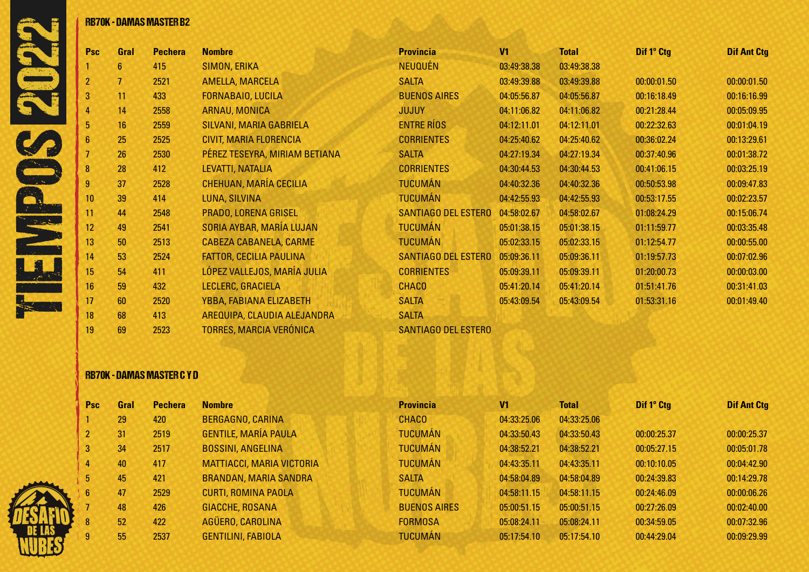|                |                | <b>RB70K - DAMAS MASTER B2</b> |
|----------------|----------------|--------------------------------|
| Psc            | Gral           | <b>Pechera</b>                 |
| 1              | 6              | 415                            |
| $\overline{2}$ | $\overline{7}$ | 2521                           |
| 3              | 11             | 433                            |
| 4              | 14             | 2558                           |
| 5              | 16             | 2559                           |
| 6              | 25             | 2525                           |
| $\overline{1}$ | 26             | 2530                           |
| 8              | 28             | 412                            |
| 9              | 37             | 2528                           |
| 10             | 39             | 414                            |
| 11             | 44             | 2548                           |
| 12             | 49             | 2541                           |
| 13             | 50             | 2513                           |
| 14             | 53             | 2524                           |
| 15             | 54             | 411                            |
| 16             | 59             | 432                            |
| 17             | 60             | 2520                           |

| <b>Psc</b>      | Gral | <b>Pechera</b> | <b>Nombre</b>                  | <b>Provincia</b>           | V <sub>1</sub> | <b>Total</b> |  |
|-----------------|------|----------------|--------------------------------|----------------------------|----------------|--------------|--|
| 1               | 6    | 415            | <b>SIMON, ERIKA</b>            | <b>NEUQUÉN</b>             | 03:49:38.38    | 03:49:38.38  |  |
| $\overline{2}$  | 7.   | 2521           | <b>AMELLA, MARCELA</b>         | <b>SALTA</b>               | 03:49:39.88    | 03:49:39.88  |  |
| 3               | 11   | 433            | FORNABAIO, LUCILA              | <b>BUENOS AIRES</b>        | 04:05:56.87    | 04:05:56.87  |  |
| 4               | 14   | 2558           | ARNAU, MONICA                  | <b>JUJUY</b>               | 04:11:06.82    | 04:11:06.82  |  |
| 5               | 16   | 2559           | <b>SILVANI, MARIA GABRIELA</b> | <b>ENTRE RÍOS</b>          | 04:12:11.01    | 04:12:11.01  |  |
| $6\phantom{.}6$ | 25   | 2525           | CIVIT, MARIA FLORENCIA         | <b>CORRIENTES</b>          | 04:25:40.62    | 04:25:40.62  |  |
| 7               | 26   | 2530           | PÉREZ TESEYRA, MIRIAM BETIANA  | <b>SALTA</b>               | 04:27:19.34    | 04:27:19.34  |  |
| $\bf{8}$        | 28   | 412            | LEVATTI, NATALIA               | <b>CORRIENTES</b>          | 04:30:44.53    | 04:30:44.53  |  |
| 9               | 37   | 2528           | CHEHUAN, MARÍA CECILIA         | <b>TUCUMÁN</b>             | 04:40:32.36    | 04:40:32.36  |  |
| 10              | 39   | 414            | LUNA, SILVINA                  | <b>TUCUMÁN</b>             | 04:42:55.93    | 04:42:55.93  |  |
| 11              | 44   | 2548           | PRADO, LORENA GRISEL           | <b>SANTIAGO DEL ESTERO</b> | 04:58:02.67    | 04:58:02.67  |  |
| 12              | 49   | 2541           | SORIA AYBAR, MARÍA LUJAN       | <b>TUCUMÁN</b>             | 05:01:38.15    | 05:01:38.15  |  |
| 13              | 50   | 2513           | <b>CABEZA CABANELA, CARME</b>  | <b>TUCUMÁN</b>             | 05:02:33.15    | 05:02:33.15  |  |
| 14              | 53   | 2524           | <b>FATTOR, CECILIA PAULINA</b> | <b>SANTIAGO DEL ESTERO</b> | 05:09:36.11    | 05:09:36.11  |  |
| 15              | 54   | 411            | LÓPEZ VALLEJOS, MARÍA JULIA    | <b>CORRIENTES</b>          | 05:09:39.11    | 05:09:39.11  |  |
| 16              | 59   | 432            | LECLERC, GRACIELA              | <b>CHACO</b>               | 05:41:20.14    | 05:41:20.14  |  |
| 17              | 60   | 2520           | YBBA, FABIANA ELIZABETH        | <b>SALTA</b>               | 05:43:09.54    | 05:43:09.54  |  |
| 18              | 68   | 413            | AREQUIPA, CLAUDIA ALEJANDRA    | <b>SALTA</b>               |                |              |  |
| 19              | 69   | 2523           | <b>TORRES, MARCIA VERÓNICA</b> | <b>SANTIAGO DEL ESTERO</b> |                |              |  |

| Psc | Gral           | <b>Pechera</b> | <b>Nombre</b>                  | <b>Provincia</b>           | V <sub>1</sub> | <b>Total</b> | Dif 1° Ctg  | <b>Dif Ant Ctg</b> |
|-----|----------------|----------------|--------------------------------|----------------------------|----------------|--------------|-------------|--------------------|
|     | $6\phantom{1}$ | 415            | SIMON, ERIKA                   | <b>NEUQUÉN</b>             | 03:49:38.38    | 03:49:38.38  |             |                    |
|     | 7              | 2521           | <b>AMELLA, MARCELA</b>         | <b>SALTA</b>               | 03:49:39.88    | 03:49:39.88  | 00:00:01.50 | 00:00:01.50        |
| 3   | 11             | 433            | <b>FORNABAIO, LUCILA</b>       | <b>BUENOS AIRES</b>        | 04:05:56.87    | 04:05:56.87  | 00:16:18.49 | 00:16:16.99        |
|     | 14             | 2558           | ARNAU, MONICA                  | <b>JUJUY</b>               | 04:11:06.82    | 04:11:06.82  | 00:21:28.44 | 00:05:09.95        |
|     | 16             | 2559           | <b>SILVANI, MARIA GABRIELA</b> | <b>ENTRE RÍOS</b>          | 04:12:11.01    | 04:12:11.01  | 00:22:32.63 | 00:01:04.19        |
|     | 25             | 2525           | CIVIT, MARIA FLORENCIA         | <b>CORRIENTES</b>          | 04:25:40.62    | 04:25:40.62  | 00:36:02.24 | 00:13:29.61        |
|     | 26             | 2530           | PÉREZ TESEYRA, MIRIAM BETIANA  | <b>SALTA</b>               | 04:27:19.34    | 04:27:19.34  | 00:37:40.96 | 00:01:38.72        |
| 8   | 28             | 412            | LEVATTI, NATALIA               | <b>CORRIENTES</b>          | 04:30:44.53    | 04:30:44.53  | 00:41:06.15 | 00:03:25.19        |
| 9   | 37             | 2528           | CHEHUAN, MARÍA CECILIA         | <b>TUCUMÁN</b>             | 04:40:32.36    | 04:40:32.36  | 00:50:53.98 | 00:09:47.83        |
| 10  | 39             | 414            | LUNA, SILVINA                  | <b>TUCUMÁN</b>             | 04:42:55.93    | 04:42:55.93  | 00:53:17.55 | 00:02:23.57        |
| 11  | 44             | 2548           | PRADO, LORENA GRISEL           | <b>SANTIAGO DEL ESTERO</b> | 04:58:02.67    | 04:58:02.67  | 01:08:24.29 | 00:15:06.74        |
| 12  | 49             | 2541           | SORIA AYBAR, MARÍA LUJAN       | <b>TUCUMÁN</b>             | 05:01:38.15    | 05:01:38.15  | 01:11:59.77 | 00:03:35.48        |
| 13  | 50             | 2513           | <b>CABEZA CABANELA, CARME</b>  | <b>TUCUMÁN</b>             | 05:02:33.15    | 05:02:33.15  | 01:12:54.77 | 00:00:55.00        |
| 14  | 53             | 2524           | <b>FATTOR, CECILIA PAULINA</b> | <b>SANTIAGO DEL ESTERO</b> | 05:09:36.11    | 05:09:36.11  | 01:19:57.73 | 00:07:02.96        |
| 15  | 54             | 411            | LÓPEZ VALLEJOS, MARÍA JULIA    | <b>CORRIENTES</b>          | 05:09:39.11    | 05:09:39.11  | 01:20:00.73 | 00:00:03.00        |
| 16  | 59             | 432            | LECLERC, GRACIELA              | <b>CHACO</b>               | 05:41:20.14    | 05:41:20.14  | 01:51:41.76 | 00:31:41.03        |
| 17  | 60             | 2520           | YBBA, FABIANA ELIZABETH        | <b>SALTA</b>               | 05:43:09.54    | 05:43:09.54  | 01:53:31.16 | 00:01:49.40        |
| 18  | 68             | 413            | AREQUIPA, CLAUDIA ALEJANDRA    | <b>SALTA</b>               |                |              |             |                    |

# RB70K - DAMAS MASTER C Y D

| Gral | <b>Pechera</b> |                                  |
|------|----------------|----------------------------------|
|      |                | <b>Nombre</b>                    |
| 29   | 420            | BERGAGNO, CARINA                 |
| 31   | 2519           | <b>GENTILE, MARÍA PAULA</b>      |
| 34   | 2517           | <b>BOSSINI, ANGELINA</b>         |
| 40   | 417            | <b>MATTIACCI, MARIA VICTORIA</b> |
| 45   | 421            | <b>BRANDAN, MARIA SANDRA</b>     |
| 47   | 2529           | <b>CURTI, ROMINA PAOLA</b>       |
| 48   | 426            | <b>GIACCHE, ROSANA</b>           |
| 52   | 422            | AGÜERO, CAROLINA                 |
| 55   | 2537           | <b>GENTILINI, FABIOLA</b>        |

| Psc | Gral | <b>Pechera</b> | <b>Nombre</b>                | <b>Provincia</b>    | V <sub>1</sub> | <b>Total</b> | Dif 1° Ctg  | <b>Dif Ant Ctg</b> |
|-----|------|----------------|------------------------------|---------------------|----------------|--------------|-------------|--------------------|
|     | 29   | 420            | <b>BERGAGNO, CARINA</b>      | <b>CHACO</b>        | 04:33:25.06    | 04:33:25.06  |             |                    |
|     | 31   | 2519           | <b>GENTILE, MARÍA PAULA</b>  | <b>TUCUMÁN</b>      | 04:33:50.43    | 04:33:50.43  | 00:00:25.37 | 00:00:25.37        |
|     | 34   | 2517           | <b>BOSSINI, ANGELINA</b>     | <b>TUCUMÁN</b>      | 04:38:52.21    | 04:38:52.21  | 00:05:27.15 | 00:05:01.78        |
|     | 40   | 417            | MATTIACCI, MARIA VICTORIA    | <b>TUCUMÁN</b>      | 04:43:35.11    | 04:43:35.11  | 00:10:10.05 | 00:04:42.90        |
|     | 45   | 421            | <b>BRANDAN, MARIA SANDRA</b> | <b>SALTA</b>        | 04:58:04.89    | 04:58:04.89  | 00:24:39.83 | 00:14:29.78        |
|     | 47   | 2529           | <b>CURTI, ROMINA PAOLA</b>   | <b>TUCUMÁN</b>      | 04:58:11.15    | 04:58:11.15  | 00:24:46.09 | 00:00:06.26        |
|     | 48   | 426            | <b>GIACCHE, ROSANA</b>       | <b>BUENOS AIRES</b> | 05:00:51.15    | 05:00:51.15  | 00:27:26.09 | 00:02:40.00        |
|     | 52   | 422            | AGÜERO, CAROLINA             | <b>FORMOSA</b>      | 05:08:24.11    | 05:08:24.11  | 00:34:59.05 | 00:07:32.96        |
|     | 55   | 2537           | <b>GENTILINI, FABIOLA</b>    | <b>TUCUMÁN</b>      | 05:17:54.10    | 05:17:54.10  | 00:44:29.04 | 00:09:29.99        |
|     |      |                |                              |                     |                |              |             |                    |



K.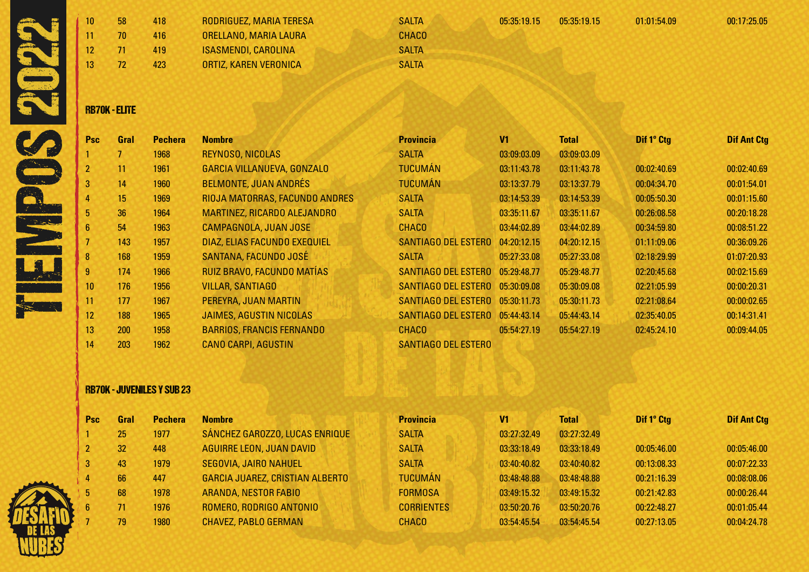| 10<br>12<br>13 | 58<br>70<br>71<br>72 | 418<br>416<br>419<br>423 | RODRIGUEZ, MARIA TERESA<br>ORELLANO, MARIA LAURA<br><b>ISASMENDI, CAROLINA</b><br>ORTIZ, KAREN VERONICA | <b>SALTA</b><br><b>CHACO</b><br><b>SALTA</b><br><b>SALTA</b> | 05:35:19.15 | 05:35:19.15 | 01:01:54.09 | 00:17:25.05 |
|----------------|----------------------|--------------------------|---------------------------------------------------------------------------------------------------------|--------------------------------------------------------------|-------------|-------------|-------------|-------------|
|                | <b>RB70K - ELITE</b> |                          |                                                                                                         |                                                              |             |             |             |             |

| <b>Psc</b>      | Gral | <b>Pechera</b> | <b>Nombre</b>                     | <b>Provincia</b>           | V <sub>1</sub> | <b>Total</b> | Dif 1° Ctg  | <b>Dif Ant Ctg</b> |
|-----------------|------|----------------|-----------------------------------|----------------------------|----------------|--------------|-------------|--------------------|
|                 |      | 1968           | REYNOSO, NICOLAS                  | <b>SALTA</b>               | 03:09:03.09    | 03:09:03.09  |             |                    |
| $\overline{2}$  | 11   | 1961           | <b>GARCIA VILLANUEVA, GONZALO</b> | <b>TUCUMÁN</b>             | 03:11:43.78    | 03:11:43.78  | 00:02:40.69 | 00:02:40.69        |
| 3               | 14   | 1960           | <b>BELMONTE, JUAN ANDRÉS</b>      | <b>TUCUMÁN</b>             | 03:13:37.79    | 03:13:37.79  | 00:04:34.70 | 00:01:54.01        |
| 4               | 15   | 1969           | RIOJA MATORRAS, FACUNDO ANDRES    | <b>SALTA</b>               | 03:14:53.39    | 03:14:53.39  | 00:05:50.30 | 00:01:15.60        |
| 5               | 36   | 1964           | MARTINEZ, RICARDO ALEJANDRO       | <b>SALTA</b>               | 03:35:11.67    | 03:35:11.67  | 00:26:08.58 | 00:20:18.28        |
| 6               | 54   | 1963           | CAMPAGNOLA, JUAN JOSE             | <b>CHACO</b>               | 03:44:02.89    | 03:44:02.89  | 00:34:59.80 | 00:08:51.22        |
|                 | 143  | 1957           | DIAZ, ELIAS FACUNDO EXEQUIEL      | SANTIAGO DEL ESTERO        | 04:20:12.15    | 04:20:12.15  | 01:11:09.06 | 00:36:09.26        |
| 8               | 168  | 1959           | SANTANA, FACUNDO JOSÉ             | <b>SALTA</b>               | 05:27:33.08    | 05:27:33.08  | 02:18:29.99 | 01:07:20.93        |
| 9               | 174  | 1966           | RUIZ BRAVO, FACUNDO MATÍAS        | SANTIAGO DEL ESTERO        | 05:29:48.77    | 05:29:48.77  | 02:20:45.68 | 00:02:15.69        |
| 10 <sup>°</sup> | 176  | 1956           | <b>VILLAR, SANTIAGO</b>           | <b>SANTIAGO DEL ESTERO</b> | 05:30:09.08    | 05:30:09.08  | 02:21:05.99 | 00:00:20.31        |
| 11              | 177  | 1967           | PEREYRA, JUAN MARTIN              | SANTIAGO DEL ESTERO        | 05:30:11.73    | 05:30:11.73  | 02:21:08.64 | 00:00:02.65        |
| 12              | 188  | 1965           | <b>JAIMES, AGUSTIN NICOLAS</b>    | SANTIAGO DEL ESTERO        | 05:44:43.14    | 05:44:43.14  | 02:35:40.05 | 00:14:31.41        |
| 13              | 200  | 1958           | <b>BARRIOS, FRANCIS FERNANDO</b>  | <b>CHACO</b>               | 05:54:27.19    | 05:54:27.19  | 02:45:24.10 | 00:09:44.05        |
| 14              | 203  | 1962           | <b>CANO CARPI, AGUSTIN</b>        | <b>SANTIAGO DEL ESTERO</b> |                |              |             |                    |

## RB70K - JUVENILES Y SUB 23

| <b>Psc</b> | Gral | <b>Pechera</b> | <b>Nombre</b>                          | <b>Provincia</b>  | V1          | <b>Total</b> | Dif 1° Ctg  | <b>Dif Ant Ctg</b> |
|------------|------|----------------|----------------------------------------|-------------------|-------------|--------------|-------------|--------------------|
|            | 25   | 1977           | SÁNCHEZ GAROZZO, LUCAS ENRIQUE         | <b>SALTA</b>      | 03:27:32.49 | 03:27:32.49  |             |                    |
|            | 32   | 448            | <b>AGUIRRE LEON, JUAN DAVID</b>        | <b>SALTA</b>      | 03:33:18.49 | 03:33:18.49  | 00:05:46.00 | 00:05:46.00        |
| 3          | 43   | 1979           | SEGOVIA, JAIRO NAHUEL                  | <b>SALTA</b>      | 03:40:40.82 | 03:40:40.82  | 00:13:08.33 | 00:07:22.33        |
| 4          | 66   | 447            | <b>GARCIA JUAREZ, CRISTIAN ALBERTO</b> | <b>TUCUMÁN</b>    | 03:48:48.88 | 03:48:48.88  | 00:21:16.39 | 00:08:08.06        |
| 5.         | 68   | 1978           | <b>ARANDA, NESTOR FABIO</b>            | <b>FORMOSA</b>    | 03:49:15.32 | 03:49:15.32  | 00:21:42.83 | 00:00:26.44        |
| 6.         |      | 1976           | ROMERO, RODRIGO ANTONIO                | <b>CORRIENTES</b> | 03:50:20.76 | 03:50:20.76  | 00:22:48.27 | 00:01:05.44        |
|            | 79   | 1980           | <b>CHAVEZ, PABLO GERMAN</b>            | <b>CHACO</b>      | 03:54:45.54 | 03:54:45.54  | 00:27:13.05 | 00:04:24.78        |
|            |      |                |                                        |                   |             |              |             |                    |

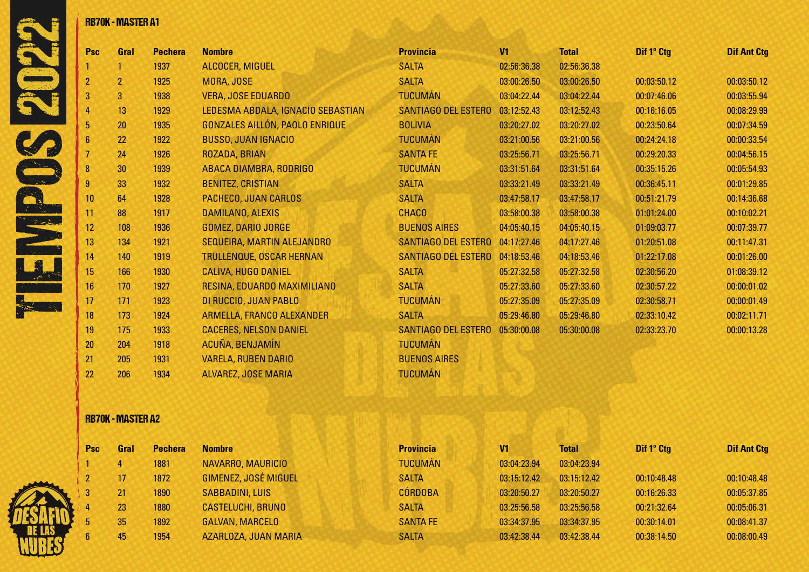|   |                  | <b>RB70K - MASTER A1</b> |                |                                   |                            |                |              |             |                    |
|---|------------------|--------------------------|----------------|-----------------------------------|----------------------------|----------------|--------------|-------------|--------------------|
|   | Psc              | Gral                     | <b>Pechera</b> | <b>Nombre</b>                     | <b>Provincia</b>           | V <sub>1</sub> | <b>Total</b> | Dif 1° Ctg  | <b>Dif Ant Ctg</b> |
|   |                  |                          | 1937           | <b>ALCOCER, MIGUEL</b>            | <b>SALTA</b>               | 02:56:36.38    | 02:56:36.38  |             |                    |
|   | $\overline{2}$   | $\overline{2}$           | 1925           | MORA, JOSE                        | <b>SALTA</b>               | 03:00:26.50    | 03:00:26.50  | 00:03:50.12 | 00:03:50.12        |
|   | 3                | 3                        | 1938           | <b>VERA, JOSE EDUARDO</b>         | <b>TUCUMÁN</b>             | 03:04:22.44    | 03:04:22.44  | 00:07:46.06 | 00:03:55.94        |
|   |                  | 13                       | 1929           | LEDESMA ABDALA, IGNACIO SEBASTIAN | <b>SANTIAGO DEL ESTERO</b> | 03:12:52.43    | 03:12:52.43  | 00:16:16.05 | 00:08:29.99        |
|   | 5                | 20                       | 1935           | GONZALES AILLÓN, PAOLO ENRIQUE    | <b>BOLIVIA</b>             | 03:20:27.02    | 03:20:27.02  | 00:23:50.64 | 00:07:34.59        |
|   | $6\phantom{1}6$  | 22                       | 1922           | <b>BUSSO, JUAN IGNACIO</b>        | <b>TUCUMÁN</b>             | 03:21:00.56    | 03:21:00.56  | 00:24:24.18 | 00:00:33.54        |
|   | $\overline{7}$   | 24                       | 1926           | ROZADA, BRIAN                     | <b>SANTA FE</b>            | 03:25:56.71    | 03:25:56.71  | 00:29:20.33 | 00:04:56.15        |
|   | 8                | 30                       | 1939           | <b>ABACA DIAMBRA, RODRIGO</b>     | <b>TUCUMÁN</b>             | 03:31:51.64    | 03:31:51.64  | 00:35:15.26 | 00:05:54.93        |
|   | 9                | 33                       | 1932           | <b>BENITEZ, CRISTIAN</b>          | <b>SALTA</b>               | 03:33:21.49    | 03:33:21.49  | 00:36:45.11 | 00:01:29.85        |
|   | 10 <sup>°</sup>  | 64                       | 1928           | PACHECO, JUAN CARLOS              | <b>SALTA</b>               | 03:47:58.17    | 03:47:58.17  | 00:51:21.79 | 00:14:36.68        |
|   | 11               | 88                       | 1917           | DAMILANO, ALEXIS                  | <b>CHACO</b>               | 03:58:00.38    | 03:58:00.38  | 01:01:24.00 | 00:10:02.21        |
| 2 | 12 <sup>2</sup>  | 108                      | 1936           | <b>GOMEZ, DARIO JORGE</b>         | <b>BUENOS AIRES</b>        | 04:05:40.15    | 04:05:40.15  | 01:09:03.77 | 00:07:39.77        |
|   | 13               | 134                      | 1921           | SEQUEIRA, MARTIN ALEJANDRO        | <b>SANTIAGO DEL ESTERO</b> | 04:17:27.46    | 04:17:27.46  | 01:20:51.08 | 00:11:47.31        |
|   | 14               | 140                      | 1919           | <b>TRULLENQUE, OSCAR HERNAN</b>   | <b>SANTIAGO DEL ESTERO</b> | 04:18:53.46    | 04:18:53.46  | 01:22:17.08 | 00:01:26.00        |
|   | 15 <sup>15</sup> | 166                      | 1930           | <b>CALIVA, HUGO DANIEL</b>        | <b>SALTA</b>               | 05:27:32.58    | 05:27:32.58  | 02:30:56.20 | 01:08:39.12        |
|   | 16               | 170                      | 1927           | RESINA, EDUARDO MAXIMILIANO       | <b>SALTA</b>               | 05:27:33.60    | 05:27:33.60  | 02:30:57.22 | 00:00:01.02        |
|   | 17               | 171                      | 1923           | DI RUCCIO, JUAN PABLO             | <b>TUCUMÁN</b>             | 05:27:35.09    | 05:27:35.09  | 02:30:58.71 | 00:00:01.49        |
|   | 18               | 173                      | 1924           | ARMELLA, FRANCO ALEXANDER         | <b>SALTA</b>               | 05:29:46.80    | 05:29:46.80  | 02:33:10.42 | 00:02:11.71        |
|   | 19               | 175                      | 1933           | <b>CACERES, NELSON DANIEL</b>     | <b>SANTIAGO DEL ESTERO</b> | 05:30:00.08    | 05:30:00.08  | 02:33:23.70 | 00:00:13.28        |
|   | 20               | 204                      | 1918           | ACUÑA, BENJAMÍN                   | <b>TUCUMÁN</b>             |                |              |             |                    |
|   | 21               | 205                      | 1931           | <b>VARELA, RUBEN DARIO</b>        | <b>BUENOS AIRES</b>        |                |              |             |                    |
|   | 22               | 206                      | 1934           | <b>ALVAREZ, JOSE MARIA</b>        | <b>TUCUMÁN</b>             |                |              |             |                    |

# RB70K - MASTER A2



| ral | <b>Pechera</b> | <b>Nombre</b>               |
|-----|----------------|-----------------------------|
|     | 1881           | NAVARRO, MAURICIO           |
|     | 1872           | <b>GIMENEZ, JOSÉ MIGUEL</b> |
|     | 1890           | <b>SABBADINI, LUIS</b>      |
|     | 1880           | <b>CASTELUCHI, BRUNO</b>    |
| ĩ   | 1892           | <b>GALVAN, MARCELO</b>      |
| ī   | 1954           | <b>AZARLOZA, JUAN MARI</b>  |

| <b>Psc</b> | Gral | <b>Pechera</b> | <b>Nombre</b>               | <b>Provincia</b> | V <sub>1</sub> | <b>Total</b> | Dif 1° Ctg  | <b>Dif Ant Ctg</b> |
|------------|------|----------------|-----------------------------|------------------|----------------|--------------|-------------|--------------------|
|            | 4    | 1881           | NAVARRO, MAURICIO           | <b>TUCUMÁN</b>   | 03:04:23.94    | 03:04:23.94  |             |                    |
|            | 17   | 1872           | <b>GIMENEZ, JOSÉ MIGUEL</b> | <b>SALTA</b>     | 03:15:12.42    | 03:15:12.42  | 00:10:48.48 | 00:10:48.48        |
|            | 21   | 1890           | <b>SABBADINI, LUIS</b>      | <b>CÓRDOBA</b>   | 03:20:50.27    | 03:20:50.27  | 00:16:26.33 | 00:05:37.85        |
|            | 23   | 1880           | <b>CASTELUCHI, BRUNO</b>    | <b>SALTA</b>     | 03:25:56.58    | 03:25:56.58  | 00:21:32.64 | 00:05:06.31        |
|            | 35   | 1892           | <b>GALVAN, MARCELO</b>      | <b>SANTA FE</b>  | 03:34:37.95    | 03:34:37.95  | 00:30:14.01 | 00:08:41.37        |
|            | 45   | 1954           | AZARLOZA, JUAN MARIA        | <b>SALTA</b>     | 03:42:38.44    | 03:42:38.44  | 00:38:14.50 | 00:08:00.49        |
|            |      |                |                             |                  |                |              |             |                    |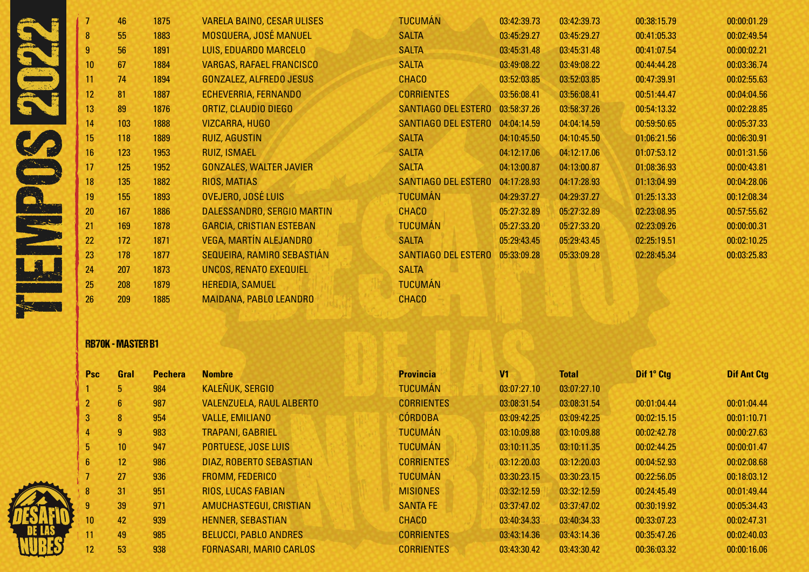|              |    | 46  | 1875 | <b>VARELA BAINO, CESAR ULISES</b> | <b>TUCUMÁN</b>             | 03:42:39.73 | 03:42:39.73 | 00:38:15.79 | 00:00:01.29 |
|--------------|----|-----|------|-----------------------------------|----------------------------|-------------|-------------|-------------|-------------|
|              | 8  | 55  | 1883 | <b>MOSQUERA, JOSÉ MANUEL</b>      | <b>SALTA</b>               | 03:45:29.27 | 03:45:29.27 | 00:41:05.33 | 00:02:49.54 |
|              |    | 56  | 1891 | LUIS, EDUARDO MARCELO             | <b>SALTA</b>               | 03:45:31.48 | 03:45:31.48 | 00:41:07.54 | 00:00:02.21 |
|              | 10 | 67  | 1884 | <b>VARGAS, RAFAEL FRANCISCO</b>   | <b>SALTA</b>               | 03:49:08.22 | 03:49:08.22 | 00:44:44.28 | 00:03:36.74 |
|              | 11 | 74  | 1894 | <b>GONZALEZ, ALFREDO JESUS</b>    | <b>CHACO</b>               | 03:52:03.85 | 03:52:03.85 | 00:47:39.91 | 00:02:55.63 |
|              | 12 | 81  | 1887 | ECHEVERRIA, FERNANDO              | <b>CORRIENTES</b>          | 03:56:08.41 | 03:56:08.41 | 00:51:44.47 | 00:04:04.56 |
|              | 13 | 89  | 1876 | ORTIZ, CLAUDIO DIEGO              | SANTIAGO DEL ESTERO        | 03:58:37.26 | 03:58:37.26 | 00:54:13.32 | 00:02:28.85 |
|              | 14 | 103 | 1888 | <b>VIZCARRA, HUGO</b>             | SANTIAGO DEL ESTERO        | 04:04:14.59 | 04:04:14.59 | 00:59:50.65 | 00:05:37.33 |
|              | 15 | 118 | 1889 | <b>RUIZ, AGUSTIN</b>              | <b>SALTA</b>               | 04:10:45.50 | 04:10:45.50 | 01:06:21.56 | 00:06:30.91 |
|              | 16 | 123 | 1953 | <b>RUIZ, ISMAEL</b>               | <b>SALTA</b>               | 04:12:17.06 | 04:12:17.06 | 01:07:53.12 | 00:01:31.56 |
|              | 17 | 125 | 1952 | <b>GONZALES, WALTER JAVIER</b>    | <b>SALTA</b>               | 04:13:00.87 | 04:13:00.87 | 01:08:36.93 | 00:00:43.81 |
|              | 18 | 135 | 1882 | RIOS, MATIAS                      | <b>SANTIAGO DEL ESTERO</b> | 04:17:28.93 | 04:17:28.93 | 01:13:04.99 | 00:04:28.06 |
|              | 19 | 155 | 1893 | OVEJERO, JOSÉ LUIS                | <b>TUCUMÁN</b>             | 04:29:37.27 | 04:29:37.27 | 01:25:13.33 | 00:12:08.34 |
|              | 20 | 167 | 1886 | DALESSANDRO, SERGIO MARTIN        | <b>CHACO</b>               | 05:27:32.89 | 05:27:32.89 | 02:23:08.95 | 00:57:55.62 |
| التي التعادل | 21 | 169 | 1878 | <b>GARCIA, CRISTIAN ESTEBAN</b>   | <b>TUCUMÁN</b>             | 05:27:33.20 | 05:27:33.20 | 02:23:09.26 | 00:00:00.31 |
|              | 22 | 172 | 1871 | <b>VEGA, MARTÍN ALEJANDRO</b>     | <b>SALTA</b>               | 05:29:43.45 | 05:29:43.45 | 02:25:19.51 | 00:02:10.25 |
|              | 23 | 178 | 1877 | SEQUEIRA, RAMIRO SEBASTIÁN        | <b>SANTIAGO DEL ESTERO</b> | 05:33:09.28 | 05:33:09.28 | 02:28:45.34 | 00:03:25.83 |
|              | 24 | 207 | 1873 | UNCOS, RENATO EXEQUIEL            | <b>SALTA</b>               |             |             |             |             |
|              | 25 | 208 | 1879 | <b>HEREDIA, SAMUEL</b>            | <b>TUCUMÁN</b>             |             |             |             |             |
|              | 26 | 209 | 1885 | MAIDANA, PABLO LEANDRO            | <b>CHACO</b>               |             |             |             |             |
|              |    |     |      |                                   |                            |             |             |             |             |

# RB70K - MASTER B1

|                | Gral<br><b>Psc</b> |     | <b>Pechera</b> | <b>Nombre</b>                   | <b>Provincia</b>  | V <sub>1</sub> | <b>Total</b> | Dif 1° Ctg  | <b>Dif Ant Ctg</b> |
|----------------|--------------------|-----|----------------|---------------------------------|-------------------|----------------|--------------|-------------|--------------------|
|                | 5                  | 984 |                | <b>KALEÑUK, SERGIO</b>          | <b>TUCUMÁN</b>    | 03:07:27.10    | 03:07:27.10  |             |                    |
|                | $6^{\circ}$        | 987 |                | <b>VALENZUELA, RAUL ALBERTO</b> | <b>CORRIENTES</b> | 03:08:31.54    | 03:08:31.54  | 00:01:04.44 | 00:01:04.44        |
| $\overline{3}$ | 8                  | 954 |                | <b>VALLE, EMILIANO</b>          | <b>CÓRDOBA</b>    | 03:09:42.25    | 03:09:42.25  | 00:02:15.15 | 00:01:10.71        |
| 4              | 9                  | 983 |                | <b>TRAPANI, GABRIEL</b>         | <b>TUCUMÁN</b>    | 03:10:09.88    | 03:10:09.88  | 00:02:42.78 | 00:00:27.63        |
| 5              | 10                 | 947 |                | <b>PORTUESE, JOSE LUIS</b>      | <b>TUCUMAN</b>    | 03:10:11.35    | 03:10:11.35  | 00:02:44.25 | 00:00:01.47        |
| $6^{\circ}$    | 12                 | 986 |                | DIAZ, ROBERTO SEBASTIAN         | <b>CORRIENTES</b> | 03:12:20.03    | 03:12:20.03  | 00:04:52.93 | 00:02:08.68        |
|                | 27                 | 936 |                | <b>FROMM, FEDERICO</b>          | <b>TUCUMÁN</b>    | 03:30:23.15    | 03:30:23.15  | 00:22:56.05 | 00:18:03.12        |
| 8              | 31                 | 951 |                | <b>RIOS, LUCAS FABIAN</b>       | <b>MISIONES</b>   | 03:32:12.59    | 03:32:12.59  | 00:24:45.49 | 00:01:49.44        |
| 9              | 39                 | 971 |                | AMUCHASTEGUI, CRISTIAN          | <b>SANTA FE</b>   | 03:37:47.02    | 03:37:47.02  | 00:30:19.92 | 00:05:34.43        |
| 10             | 42                 | 939 |                | <b>HENNER, SEBASTIAN</b>        | <b>CHACO</b>      | 03:40:34.33    | 03:40:34.33  | 00:33:07.23 | 00:02:47.31        |
| 11             | 49                 | 985 |                | <b>BELUCCI, PABLO ANDRES</b>    | <b>CORRIENTES</b> | 03:43:14.36    | 03:43:14.36  | 00:35:47.26 | 00:02:40.03        |
| 12             | 53                 | 938 |                | <b>FORNASARI, MARIO CARLOS</b>  | <b>CORRIENTES</b> | 03:43:30.42    | 03:43:30.42  | 00:36:03.32 | 00:00:16.06        |

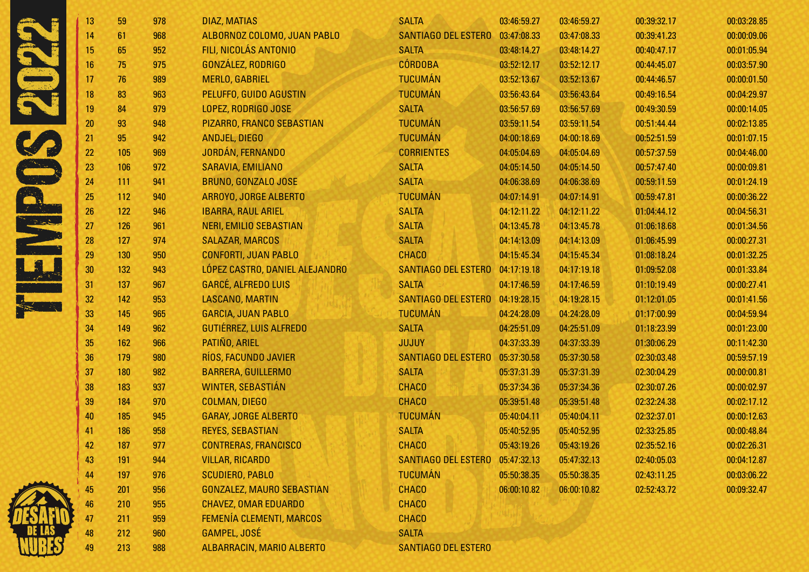| 13<br>14<br>15<br>16<br>17<br>18<br>19<br>20<br>21<br>22<br>23 | 59<br>61<br>65<br>75<br>76<br>83<br>84<br>93<br>95<br>105 | 978<br>968<br>952<br>975<br>989<br>963<br>979<br>948<br>942 | <b>DIAZ, MATIAS</b><br>ALBORNOZ COLOMO, JUAN PABLO<br>FILI, NICOLÁS ANTONIO<br>GONZÁLEZ, RODRIGO<br><b>MERLO, GABRIEL</b><br>PELUFFO, GUIDO AGUSTIN<br>LOPEZ, RODRIGO JOSE<br>PIZARRO, FRANCO SEBASTIAN | <b>SALTA</b><br><b>SANTIAGO DEL ESTERO</b><br><b>SALTA</b><br><b>CÓRDOBA</b><br><b>TUCUMÁN</b><br><b>TUCUMÁN</b><br><b>SALTA</b> | 03:46:59.27<br>03:47:08.33<br>03:48:14.27<br>03:52:12.17<br>03:52:13.67<br>03:56:43.64<br>03:56:57.69 | 03:46:59.27<br>03:47:08.33<br>03:48:14.27<br>03:52:12.17<br>03:52:13.67<br>03:56:43.64 | 00:39:32.17<br>00:39:41.23<br>00:40:47.17<br>00:44:45.07<br>00:44:46.57<br>00:49:16.54 | 00:03:28.85<br>00:00:09.06<br>00:01:05.94<br>00:03:57.90<br>00:00:01.50<br>00:04:29.97 |
|----------------------------------------------------------------|-----------------------------------------------------------|-------------------------------------------------------------|---------------------------------------------------------------------------------------------------------------------------------------------------------------------------------------------------------|----------------------------------------------------------------------------------------------------------------------------------|-------------------------------------------------------------------------------------------------------|----------------------------------------------------------------------------------------|----------------------------------------------------------------------------------------|----------------------------------------------------------------------------------------|
|                                                                |                                                           |                                                             |                                                                                                                                                                                                         |                                                                                                                                  |                                                                                                       |                                                                                        |                                                                                        |                                                                                        |
|                                                                |                                                           |                                                             |                                                                                                                                                                                                         |                                                                                                                                  |                                                                                                       |                                                                                        |                                                                                        |                                                                                        |
|                                                                |                                                           |                                                             |                                                                                                                                                                                                         |                                                                                                                                  |                                                                                                       |                                                                                        |                                                                                        |                                                                                        |
|                                                                |                                                           |                                                             |                                                                                                                                                                                                         |                                                                                                                                  |                                                                                                       |                                                                                        |                                                                                        |                                                                                        |
|                                                                |                                                           |                                                             |                                                                                                                                                                                                         |                                                                                                                                  |                                                                                                       |                                                                                        |                                                                                        |                                                                                        |
|                                                                |                                                           |                                                             |                                                                                                                                                                                                         |                                                                                                                                  |                                                                                                       |                                                                                        |                                                                                        |                                                                                        |
|                                                                |                                                           |                                                             |                                                                                                                                                                                                         |                                                                                                                                  |                                                                                                       | 03:56:57.69                                                                            | 00:49:30.59                                                                            | 00:00:14.05                                                                            |
|                                                                |                                                           |                                                             |                                                                                                                                                                                                         | <b>TUCUMÁN</b>                                                                                                                   | 03:59:11.54                                                                                           | 03:59:11.54                                                                            | 00:51:44.44                                                                            | 00:02:13.85                                                                            |
|                                                                |                                                           |                                                             | <b>ANDJEL, DIEGO</b>                                                                                                                                                                                    | <b>TUCUMÁN</b>                                                                                                                   | 04:00:18.69                                                                                           | 04:00:18.69                                                                            | 00:52:51.59                                                                            | 00:01:07.15                                                                            |
|                                                                |                                                           | 969                                                         | JORDÁN, FERNANDO                                                                                                                                                                                        | <b>CORRIENTES</b>                                                                                                                | 04:05:04.69                                                                                           | 04:05:04.69                                                                            | 00:57:37.59                                                                            | 00:04:46.00                                                                            |
|                                                                | 106                                                       | 972                                                         | SARAVIA, EMILIANO                                                                                                                                                                                       | <b>SALTA</b>                                                                                                                     | 04:05:14.50                                                                                           | 04:05:14.50                                                                            | 00:57:47.40                                                                            | 00:00:09.81                                                                            |
| 24                                                             | 111                                                       | 941                                                         | BRUNO, GONZALO JOSE                                                                                                                                                                                     | <b>SALTA</b>                                                                                                                     | 04:06:38.69                                                                                           | 04:06:38.69                                                                            | 00:59:11.59                                                                            | 00:01:24.19                                                                            |
| 25                                                             | 112                                                       | 940                                                         | ARROYO, JORGE ALBERTO                                                                                                                                                                                   | <b>TUCUMÁN</b>                                                                                                                   | 04:07:14.91                                                                                           | 04:07:14.91                                                                            | 00:59:47.81                                                                            | 00:00:36.22                                                                            |
| 26                                                             | 122                                                       | 946                                                         | <b>IBARRA, RAUL ARIEL</b>                                                                                                                                                                               | <b>SALTA</b>                                                                                                                     | 04:12:11.22                                                                                           | 04:12:11.22                                                                            | 01:04:44.12                                                                            | 00:04:56.31                                                                            |
| 27                                                             | 126                                                       | 961                                                         | <b>NERI, EMILIO SEBASTIAN</b>                                                                                                                                                                           | <b>SALTA</b>                                                                                                                     | 04:13:45.78                                                                                           | 04:13:45.78                                                                            | 01:06:18.68                                                                            | 00:01:34.56                                                                            |
| 28                                                             | 127                                                       | 974                                                         | <b>SALAZAR, MARCOS</b>                                                                                                                                                                                  | <b>SALTA</b>                                                                                                                     | 04:14:13.09                                                                                           | 04:14:13.09                                                                            | 01:06:45.99                                                                            | 00:00:27.31                                                                            |
| 29                                                             | 130                                                       | 950                                                         | <b>CONFORTI, JUAN PABLO</b>                                                                                                                                                                             | <b>CHACO</b>                                                                                                                     | 04:15:45.34                                                                                           | 04:15:45.34                                                                            | 01:08:18.24                                                                            | 00:01:32.25                                                                            |
| 30                                                             | 132                                                       | 943                                                         | LÓPEZ CASTRO, DANIEL ALEJANDRO                                                                                                                                                                          | <b>SANTIAGO DEL ESTERO</b>                                                                                                       | 04:17:19.18                                                                                           | 04:17:19.18                                                                            | 01:09:52.08                                                                            | 00:01:33.84                                                                            |
| 31                                                             | 137                                                       | 967                                                         | <b>GARCÉ, ALFREDO LUIS</b>                                                                                                                                                                              | <b>SALTA</b>                                                                                                                     | 04:17:46.59                                                                                           | 04:17:46.59                                                                            | 01:10:19.49                                                                            | 00:00:27.41                                                                            |
| 32                                                             | 142                                                       | 953                                                         | LASCANO, MARTIN                                                                                                                                                                                         | <b>SANTIAGO DEL ESTERO</b>                                                                                                       | 04:19:28.15                                                                                           | 04:19:28.15                                                                            | 01:12:01.05                                                                            | 00:01:41.56                                                                            |
| 33                                                             | 145                                                       | 965                                                         | <b>GARCIA, JUAN PABLO</b>                                                                                                                                                                               | <b>TUCUMÁN</b>                                                                                                                   | 04:24:28.09                                                                                           | 04:24:28.09                                                                            | 01:17:00.99                                                                            | 00:04:59.94                                                                            |
| 34                                                             | 149                                                       | 962                                                         | GUTIÉRREZ, LUIS ALFREDO                                                                                                                                                                                 | <b>SALTA</b>                                                                                                                     | 04:25:51.09                                                                                           | 04:25:51.09                                                                            | 01:18:23.99                                                                            | 00:01:23.00                                                                            |
| 35                                                             | 162                                                       | 966                                                         | PATIÑO, ARIEL                                                                                                                                                                                           | <b>JUJUY</b>                                                                                                                     | 04:37:33.39                                                                                           | 04:37:33.39                                                                            | 01:30:06.29                                                                            | 00:11:42.30                                                                            |
| 36                                                             | 179                                                       | 980                                                         | RÍOS, FACUNDO JAVIER                                                                                                                                                                                    | <b>SANTIAGO DEL ESTERO</b>                                                                                                       | 05:37:30.58                                                                                           | 05:37:30.58                                                                            | 02:30:03.48                                                                            | 00:59:57.19                                                                            |
| 37                                                             | 180                                                       | 982                                                         | <b>BARRERA, GUILLERMO</b>                                                                                                                                                                               | <b>SALTA</b>                                                                                                                     | 05:37:31.39                                                                                           | 05:37:31.39                                                                            | 02:30:04.29                                                                            | 00:00:00.81                                                                            |
| 38                                                             | 183                                                       | 937                                                         | <b>WINTER, SEBASTIÁN</b>                                                                                                                                                                                | <b>CHACO</b>                                                                                                                     | 05:37:34.36                                                                                           | 05:37:34.36                                                                            | 02:30:07.26                                                                            | 00:00:02.97                                                                            |
| 39                                                             | 184                                                       | 970                                                         | <b>COLMAN, DIEGO</b>                                                                                                                                                                                    | <b>CHACO</b>                                                                                                                     | 05:39:51.48                                                                                           | 05:39:51.48                                                                            | 02:32:24.38                                                                            | 00:02:17.12                                                                            |
| 40                                                             | 185                                                       | 945                                                         | <b>GARAY, JORGE ALBERTO</b>                                                                                                                                                                             | <b>TUCUMÁN</b>                                                                                                                   | 05:40:04.11                                                                                           | 05:40:04.11                                                                            | 02:32:37.01                                                                            | 00:00:12.63                                                                            |
| 41                                                             | 186                                                       | 958                                                         | <b>REYES, SEBASTIAN</b>                                                                                                                                                                                 | <b>SALTA</b>                                                                                                                     | 05:40:52.95                                                                                           | 05:40:52.95                                                                            | 02:33:25.85                                                                            | 00:00:48.84                                                                            |
| 42                                                             | 187                                                       | 977                                                         | <b>CONTRERAS, FRANCISCO</b>                                                                                                                                                                             | <b>CHACO</b>                                                                                                                     | 05:43:19.26                                                                                           | 05:43:19.26                                                                            | 02:35:52.16                                                                            | 00:02:26.31                                                                            |
| 43                                                             | 191                                                       | 944                                                         | <b>VILLAR, RICARDO</b>                                                                                                                                                                                  | <b>SANTIAGO DEL ESTERO</b>                                                                                                       | 05:47:32.13                                                                                           | 05:47:32.13                                                                            | 02:40:05.03                                                                            | 00:04:12.87                                                                            |
| 44                                                             | 197                                                       | 976                                                         | <b>SCUDIERO, PABLO</b>                                                                                                                                                                                  | <b>TUCUMÁN</b>                                                                                                                   | 05:50:38.35                                                                                           | 05:50:38.35                                                                            | 02:43:11.25                                                                            | 00:03:06.22                                                                            |
| 45                                                             | 201                                                       | 956                                                         | <b>GONZALEZ, MAURO SEBASTIAN</b>                                                                                                                                                                        | <b>CHACO</b>                                                                                                                     | 06:00:10.82                                                                                           | 06:00:10.82                                                                            | 02:52:43.72                                                                            | 00:09:32.47                                                                            |
| 46                                                             | 210                                                       | 955                                                         | <b>CHAVEZ, OMAR EDUARDO</b>                                                                                                                                                                             | <b>CHACO</b>                                                                                                                     |                                                                                                       |                                                                                        |                                                                                        |                                                                                        |
| 47                                                             | 211                                                       | 959                                                         | FEMENÍA CLEMENTI, MARCOS                                                                                                                                                                                | <b>CHACO</b>                                                                                                                     |                                                                                                       |                                                                                        |                                                                                        |                                                                                        |
| 48                                                             | 212                                                       | 960                                                         | GAMPEL, JOSÉ                                                                                                                                                                                            | <b>SALTA</b>                                                                                                                     |                                                                                                       |                                                                                        |                                                                                        |                                                                                        |
| 49                                                             | 213                                                       | 988                                                         | ALBARRACIN, MARIO ALBERTO                                                                                                                                                                               | <b>SANTIAGO DEL ESTERO</b>                                                                                                       |                                                                                                       |                                                                                        |                                                                                        |                                                                                        |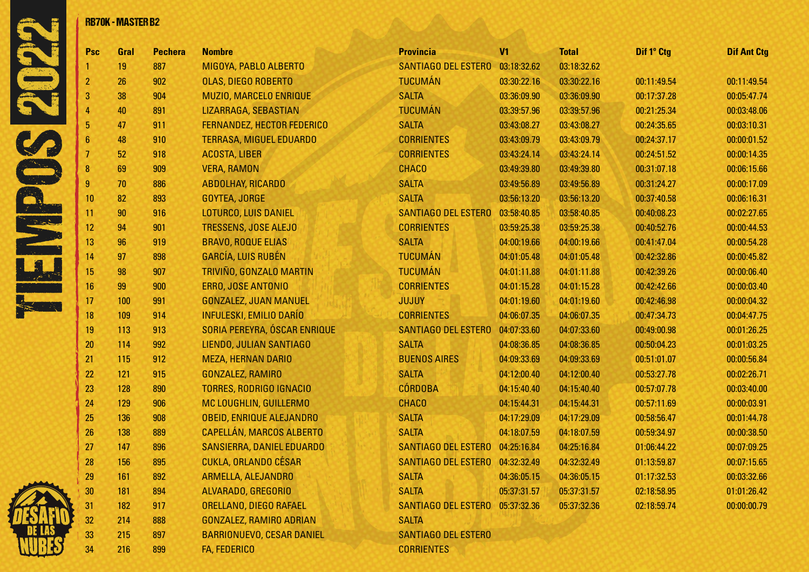

|                 | <b>RB70K - MASTER B2</b> |                |                                  |                                        |                |              |             |                    |
|-----------------|--------------------------|----------------|----------------------------------|----------------------------------------|----------------|--------------|-------------|--------------------|
| Psc             | Gral                     | <b>Pechera</b> | <b>Nombre</b>                    | <b>Provincia</b>                       | V <sub>1</sub> | <b>Total</b> | Dif 1° Ctg  | <b>Dif Ant Ctg</b> |
|                 | 19                       | 887            | MIGOYA, PABLO ALBERTO            | <b>SANTIAGO DEL ESTERO</b>             | 03:18:32.62    | 03:18:32.62  |             |                    |
| 2               | 26                       | 902            | OLAS, DIEGO ROBERTO              | <b>TUCUMÁN</b>                         | 03:30:22.16    | 03:30:22.16  | 00:11:49.54 | 00:11:49.54        |
| 3               | 38                       | 904            | MUZIO, MARCELO ENRIQUE           | <b>SALTA</b>                           | 03:36:09.90    | 03:36:09.90  | 00:17:37.28 | 00:05:47.74        |
|                 | 40                       | 891            | LIZARRAGA, SEBASTIAN             | <b>TUCUMÁN</b>                         | 03:39:57.96    | 03:39:57.96  | 00:21:25.34 | 00:03:48.06        |
| 5               | 47                       | 911            | FERNANDEZ, HECTOR FEDERICO       | <b>SALTA</b>                           | 03:43:08.27    | 03:43:08.27  | 00:24:35.65 | 00:03:10.31        |
| 6               | 48                       | 910            | <b>TERRASA, MIGUEL EDUARDO</b>   | <b>CORRIENTES</b>                      | 03:43:09.79    | 03:43:09.79  | 00:24:37.17 | 00:00:01.52        |
|                 | 52                       | 918            | <b>ACOSTA, LIBER</b>             | <b>CORRIENTES</b>                      | 03:43:24.14    | 03:43:24.14  | 00:24:51.52 | 00:00:14.35        |
| 8               | 69                       | 909            | <b>VERA, RAMON</b>               | <b>CHACO</b>                           | 03:49:39.80    | 03:49:39.80  | 00:31:07.18 | 00:06:15.66        |
| 9               | 70                       | 886            | <b>ABDOLHAY, RICARDO</b>         | <b>SALTA</b>                           | 03:49:56.89    | 03:49:56.89  | 00:31:24.27 | 00:00:17.09        |
| 10              | 82                       | 893            | GOYTEA, JORGE                    | <b>SALTA</b>                           | 03:56:13.20    | 03:56:13.20  | 00:37:40.58 | 00:06:16.31        |
| 11              | 90                       | 916            | LOTURCO, LUIS DANIEL             | <b>SANTIAGO DEL ESTERO</b>             | 03:58:40.85    | 03:58:40.85  | 00:40:08.23 | 00:02:27.65        |
| 12 <sub>2</sub> | 94                       | 901            | <b>TRESSENS, JOSE ALEJO</b>      | <b>CORRIENTES</b>                      | 03:59:25.38    | 03:59:25.38  | 00:40:52.76 | 00:00:44.53        |
| 13              | 96                       | 919            | <b>BRAVO, ROQUE ELIAS</b>        | <b>SALTA</b>                           | 04:00:19.66    | 04:00:19.66  | 00:41:47.04 | 00:00:54.28        |
| 14              | 97                       | 898            | <b>GARCÍA, LUIS RUBÉN</b>        | <b>TUCUMÁN</b>                         | 04:01:05.48    | 04:01:05.48  | 00:42:32.86 | 00:00:45.82        |
| 15              | 98                       | 907            | TRIVIÑO, GONZALO MARTIN          | <b>TUCUMÁN</b>                         | 04:01:11.88    | 04:01:11.88  | 00:42:39.26 | 00:00:06.40        |
| 16              | 99                       | 900            | ERRO, JOSE ANTONIO               | <b>CORRIENTES</b>                      | 04:01:15.28    | 04:01:15.28  | 00:42:42.66 | 00:00:03.40        |
| 17              | 100                      | 991            | <b>GONZALEZ, JUAN MANUEL</b>     | <b>JUJUY</b>                           | 04:01:19.60    | 04:01:19.60  | 00:42:46.98 | 00:00:04.32        |
| 18              | 109                      | 914            | <b>INFULESKI, EMILIO DARÍO</b>   | <b>CORRIENTES</b>                      | 04:06:07.35    | 04:06:07.35  | 00:47:34.73 | 00:04:47.75        |
| 19              | 113                      | 913            | SORIA PEREYRA, ÓSCAR ENRIQUE     | <b>SANTIAGO DEL ESTERO</b>             | 04:07:33.60    | 04:07:33.60  | 00:49:00.98 | 00:01:26.25        |
| 20              | 114                      | 992            | LIENDO, JULIAN SANTIAGO          | <b>SALTA</b>                           | 04:08:36.85    | 04:08:36.85  | 00:50:04.23 | 00:01:03.25        |
| 21              | 115                      | 912            | <b>MEZA, HERNAN DARIO</b>        | <b>BUENOS AIRES</b>                    | 04:09:33.69    | 04:09:33.69  | 00:51:01.07 | 00:00:56.84        |
| 22              | 121                      | 915            | <b>GONZALEZ, RAMIRO</b>          | <b>SALTA</b>                           | 04:12:00.40    | 04:12:00.40  | 00:53:27.78 | 00:02:26.71        |
| 23              | 128                      | 890            | <b>TORRES, RODRIGO IGNACIO</b>   | <b>CÓRDOBA</b>                         | 04:15:40.40    | 04:15:40.40  | 00:57:07.78 | 00:03:40.00        |
| 24              | 129                      | 906            | MC LOUGHLIN, GUILLERMO           | <b>CHACO</b>                           | 04:15:44.31    | 04:15:44.31  | 00:57:11.69 | 00:00:03.91        |
| 25              | 136                      | 908            | <b>OBEID, ENRIQUE ALEJANDRO</b>  | <b>SALTA</b>                           | 04:17:29.09    | 04:17:29.09  | 00:58:56.47 | 00:01:44.78        |
| 26              | 138                      | 889            | <b>CAPELLÁN, MARCOS ALBERTO</b>  | <b>SALTA</b>                           | 04:18:07.59    | 04:18:07.59  | 00:59:34.97 | 00:00:38.50        |
| 27              | 147                      | 896            | SANSIERRA, DANIEL EDUARDO        | SANTIAGO DEL ESTERO 04:25:16.84        |                | 04:25:16.84  | 01:06:44.22 | 00:07:09.25        |
| 28              | 156                      | 895            | <b>CUKLA, ORLANDO CÉSAR</b>      | SANTIAGO DEL ESTERO                    | 04:32:32.49    | 04:32:32.49  | 01:13:59.87 | 00:07:15.65        |
| 29              | 161                      | 892            | ARMELLA, ALEJANDRO               | <b>SALTA</b>                           | 04:36:05.15    | 04:36:05.15  | 01:17:32.53 | 00:03:32.66        |
| 30              | <b>181</b>               | 894            | ALVARADO, GREGORIO               | <b>SALTA</b>                           | 05:37:31.57    | 05:37:31.57  | 02:18:58.95 | 01:01:26.42        |
| 31              | 182                      | 917            | ORELLANO, DIEGO RAFAEL           | <b>SANTIAGO DEL ESTERO 05:37:32.36</b> |                | 05:37:32.36  | 02:18:59.74 | 00:00:00.79        |
| 32              | 214                      | 888            | <b>GONZALEZ, RAMIRO ADRIAN</b>   | <b>SALTA</b>                           |                |              |             |                    |
| 33              | 215                      | 897            | <b>BARRIONUEVO, CESAR DANIEL</b> | <b>SANTIAGO DEL ESTERO</b>             |                |              |             |                    |
| 34              | 216                      | 899            | FA, FEDERICO                     | <b>CORRIENTES</b>                      |                |              |             |                    |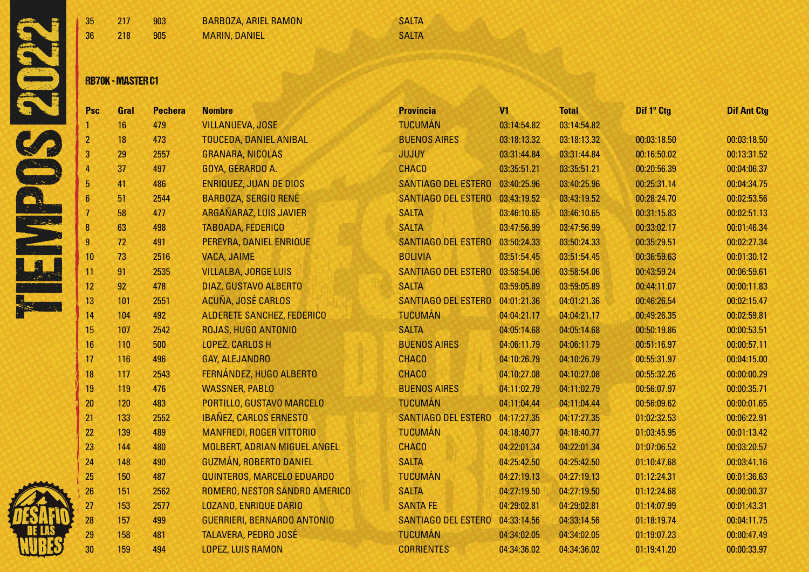



| 35 217 |              | 903 | BARBOZA, ARIEL RAMON | <b>SALTA</b> |
|--------|--------------|-----|----------------------|--------------|
| 36 -   | $\sqrt{218}$ | 905 | <b>MARIN, DANIEL</b> | SALTA        |

### RB70K - MASTER C1

| Psc            | Gral | <b>Pechera</b> | <b>Nombre</b>                      | <b>Provincia</b>                | V <sub>1</sub> | <b>Total</b> | Dif 1° Ctg  | <b>Dif Ant Ctg</b> |
|----------------|------|----------------|------------------------------------|---------------------------------|----------------|--------------|-------------|--------------------|
|                | 16   | 479            | <b>VILLANUEVA, JOSE</b>            | <b>TUCUMÁN</b>                  | 03:14:54.82    | 03:14:54.82  |             |                    |
| $\overline{2}$ | 18   | 473            | <b>TOUCEDA, DANIEL ANIBAL</b>      | <b>BUENOS AIRES</b>             | 03:18:13.32    | 03:18:13.32  | 00:03:18.50 | 00:03:18.50        |
| 3              | 29   | 2557           | <b>GRANARA, NICOLAS</b>            | <b>JUJUY</b>                    | 03:31:44.84    | 03:31:44.84  | 00:16:50.02 | 00:13:31.52        |
| 4              | 37   | 497            | GOYA, GERARDO A.                   | <b>CHACO</b>                    | 03:35:51.21    | 03:35:51.21  | 00:20:56.39 | 00:04:06.37        |
| 5              | 41   | 486            | <b>ENRIQUEZ, JUAN DE DIOS</b>      | <b>SANTIAGO DEL ESTERO</b>      | 03:40:25.96    | 03:40:25.96  | 00:25:31.14 | 00:04:34.75        |
| 6              | 51   | 2544           | <b>BARBOZA, SERGIO RENÉ</b>        | SANTIAGO DEL ESTERO 03:43:19.52 |                | 03:43:19.52  | 00:28:24.70 | 00:02:53.56        |
|                | 58   | 477            | ARGAÑARAZ, LUIS JAVIER             | <b>SALTA</b>                    | 03:46:10.65    | 03:46:10.65  | 00:31:15.83 | 00:02:51.13        |
| 8              | 63   | 498            | <b>TABOADA, FEDERICO</b>           | <b>SALTA</b>                    | 03:47:56.99    | 03:47:56.99  | 00:33:02.17 | 00:01:46.34        |
| 9              | 72   | 491            | PEREYRA, DANIEL ENRIQUE            | SANTIAGO DEL ESTERO             | 03:50:24.33    | 03:50:24.33  | 00:35:29.51 | 00:02:27.34        |
| 10             | 73   | 2516           | <b>VACA, JAIME</b>                 | <b>BOLIVIA</b>                  | 03:51:54.45    | 03:51:54.45  | 00:36:59.63 | 00:01:30.12        |
| 11             | 91   | 2535           | <b>VILLALBA, JORGE LUIS</b>        | SANTIAGO DEL ESTERO 03:58:54.06 |                | 03:58:54.06  | 00:43:59.24 | 00:06:59.61        |
| 12             | 92   | 478            | DIAZ, GUSTAVO ALBERTO              | <b>SALTA</b>                    | 03:59:05.89    | 03:59:05.89  | 00:44:11.07 | 00:00:11.83        |
| 13             | 101  | 2551           | ACUÑA, JOSÉ CARLOS                 | <b>SANTIAGO DEL ESTERO</b>      | 04:01:21.36    | 04:01:21.36  | 00:46:26.54 | 00:02:15.47        |
| 14             | 104  | 492            | <b>ALDERETE SANCHEZ, FEDERICO</b>  | <b>TUCUMÁN</b>                  | 04:04:21.17    | 04:04:21.17  | 00:49:26.35 | 00:02:59.81        |
| 15             | 107  | 2542           | ROJAS, HUGO ANTONIO                | <b>SALTA</b>                    | 04:05:14.68    | 04:05:14.68  | 00:50:19.86 | 00:00:53.51        |
| 16             | 110  | 500            | LOPEZ, CARLOS H                    | <b>BUENOS AIRES</b>             | 04:06:11.79    | 04:06:11.79  | 00:51:16.97 | 00:00:57.11        |
| 17             | 116  | 496            | <b>GAY, ALEJANDRO</b>              | <b>CHACO</b>                    | 04:10:26.79    | 04:10:26.79  | 00:55:31.97 | 00:04:15.00        |
| 18             | 117  | 2543           | FERNÁNDEZ, HUGO ALBERTO            | <b>CHACO</b>                    | 04:10:27.08    | 04:10:27.08  | 00:55:32.26 | 00:00:00.29        |
| 19             | 119  | 476            | <b>WASSNER, PABLO</b>              | <b>BUENOS AIRES</b>             | 04:11:02.79    | 04:11:02.79  | 00:56:07.97 | 00:00:35.71        |
| 20             | 120  | 483            | PORTILLO, GUSTAVO MARCELO          | <b>TUCUMÁN</b>                  | 04:11:04.44    | 04:11:04.44  | 00:56:09.62 | 00:00:01.65        |
| 21             | 133  | 2552           | <b>IBAÑEZ, CARLOS ERNESTO</b>      | <b>SANTIAGO DEL ESTERO</b>      | 04:17:27.35    | 04:17:27.35  | 01:02:32.53 | 00:06:22.91        |
| 22             | 139  | 489            | <b>MANFREDI, ROGER VITTORIO</b>    | <b>TUCUMÁN</b>                  | 04:18:40.77    | 04:18:40.77  | 01:03:45.95 | 00:01:13.42        |
| 23             | 144  | 480            | MOLBERT, ADRIAN MIGUEL ANGEL       | <b>CHACO</b>                    | 04:22:01.34    | 04:22:01.34  | 01:07:06.52 | 00:03:20.57        |
| 24             | 148  | 490            | <b>GUZMÁN, ROBERTO DANIEL</b>      | <b>SALTA</b>                    | 04:25:42.50    | 04:25:42.50  | 01:10:47.68 | 00:03:41.16        |
| 25             | 150  | 487            | QUINTEROS, MARCELO EDUARDO         | <b>TUCUMÁN</b>                  | 04:27:19.13    | 04:27:19.13  | 01:12:24.31 | 00:01:36.63        |
| 26             | 151  | 2562           | ROMERO, NESTOR SANDRO AMERICO      | <b>SALTA</b>                    | 04:27:19.50    | 04:27:19.50  | 01:12:24.68 | 00:00:00.37        |
| 27             | 153  | 2577           | <b>LOZANO, ENRIQUE DARIO</b>       | <b>SANTA FE</b>                 | 04:29:02.81    | 04:29:02.81  | 01:14:07.99 | 00:01:43.31        |
| 28             | 157  | 499            | <b>GUERRIERI, BERNARDO ANTONIO</b> | <b>SANTIAGO DEL ESTERO</b>      | 04:33:14.56    | 04:33:14.56  | 01:18:19.74 | 00:04:11.75        |
| 29             | 158  | 481            | <b>TALAVERA, PEDRO JOSÉ</b>        | <b>TUCUMÁN</b>                  | 04:34:02.05    | 04:34:02.05  | 01:19:07.23 | 00:00:47.49        |
| 30             | 159  | 494            | <b>LOPEZ, LUIS RAMON</b>           | <b>CORRIENTES</b>               | 04:34:36.02    | 04:34:36.02  | 01:19:41.20 | 00:00:33.97        |
|                |      |                |                                    |                                 |                |              |             |                    |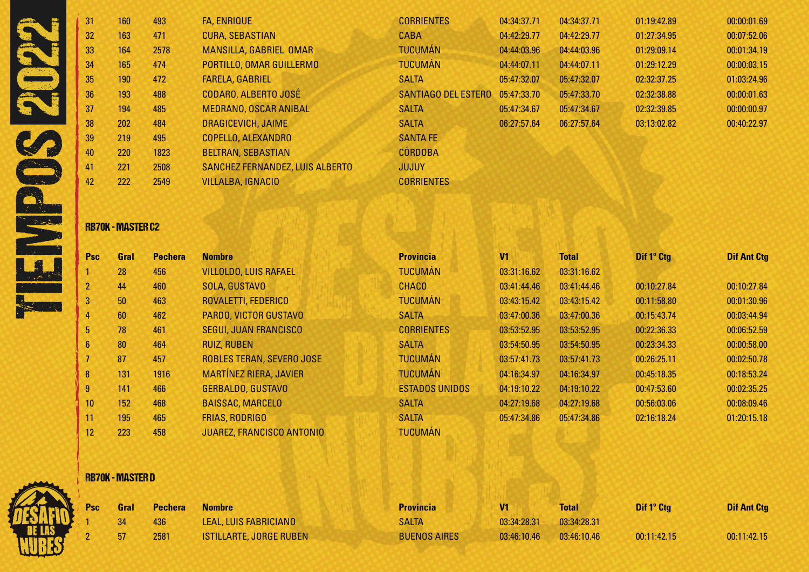|                     | 31              | 160 | 493  | <b>FA, ENRIQUE</b>              | <b>CORRIENTES</b>          | 04:34:37.71 | 04:34:37.71 | 01:19:42.89 | 00:00:01.69 |
|---------------------|-----------------|-----|------|---------------------------------|----------------------------|-------------|-------------|-------------|-------------|
|                     | 32 <sup>°</sup> | 163 | 471  | <b>CURA, SEBASTIAN</b>          | <b>CABA</b>                | 04:42:29.77 | 04:42:29.77 | 01:27:34.95 | 00:07:52.06 |
|                     | 33              | 164 | 2578 | <b>MANSILLA, GABRIEL OMAR</b>   | <b>TUCUMÁN</b>             | 04:44:03.96 | 04:44:03.96 | 01:29:09.14 | 00:01:34.19 |
|                     | 34              | 165 | 474  | PORTILLO, OMAR GUILLERMO        | <b>TUCUMÁN</b>             | 04:44:07.11 | 04:44:07.11 | 01:29:12.29 | 00:00:03.15 |
|                     | 35              | 190 | 472  | <b>FARELA, GABRIEL</b>          | <b>SALTA</b>               | 05:47:32.07 | 05:47:32.07 | 02:32:37.25 | 01:03:24.96 |
|                     | 36              | 193 | 488  | CODARO, ALBERTO JOSÉ            | <b>SANTIAGO DEL ESTERO</b> | 05:47:33.70 | 05:47:33.70 | 02:32:38.88 | 00:00:01.63 |
|                     | 37              | 194 | 485  | <b>MEDRANO, OSCAR ANIBAL</b>    | <b>SALTA</b>               | 05:47:34.67 | 05:47:34.67 | 02:32:39.85 | 00:00:00.97 |
|                     | 38              | 202 | 484  | <b>DRAGICEVICH, JAIME</b>       | <b>SALTA</b>               | 06:27:57.64 | 06:27:57.64 | 03:13:02.82 | 00:40:22.97 |
|                     | 39              | 219 | 495  | <b>COPELLO, ALEXANDRO</b>       | <b>SANTA FE</b>            |             |             |             |             |
|                     | 40              | 220 | 1823 | <b>BELTRAN, SEBASTIAN</b>       | <b>CÓRDOBA</b>             |             |             |             |             |
|                     | 41              | 221 | 2508 | SANCHEZ FERNANDEZ, LUIS ALBERTO | <b>JUJUY</b>               |             |             |             |             |
| <b>ANGEL BRANCH</b> | 42              | 222 | 2549 | <b>VILLALBA, IGNACIO</b>        | <b>CORRIENTES</b>          |             |             |             |             |
|                     |                 |     |      |                                 |                            |             |             |             |             |

### RB70K - MASTER C2

| <b>Psc</b>      | Gral | <b>Pechera</b> | <b>Nombre</b>                    | <b>Provincia</b>      | V <sub>1</sub> | <b>Total</b> | Dif 1° Ctg  | <b>Dif Ant Ctg</b> |
|-----------------|------|----------------|----------------------------------|-----------------------|----------------|--------------|-------------|--------------------|
|                 | 28   | 456            | <b>VILLOLDO, LUIS RAFAEL</b>     | <b>TUCUMÁN</b>        | 03:31:16.62    | 03:31:16.62  |             |                    |
| 2 <sup>2</sup>  | 44   | 460            | SOLA, GUSTAVO                    | <b>CHACO</b>          | 03:41:44.46    | 03:41:44.46  | 00:10:27.84 | 00:10:27.84        |
| 3 <sup>1</sup>  | 50   | 463            | ROVALETTI, FEDERICO              | <b>TUCUMÁN</b>        | 03:43:15.42    | 03:43:15.42  | 00:11:58.80 | 00:01:30.96        |
| 4               | 60   | 462            | PARDO, VICTOR GUSTAVO            | <b>SALTA</b>          | 03:47:00.36    | 03:47:00.36  | 00:15:43.74 | 00:03:44.94        |
| 5               | 78   | 461            | <b>SEGUI, JUAN FRANCISCO</b>     | <b>CORRIENTES</b>     | 03:53:52.95    | 03:53:52.95  | 00:22:36.33 | 00:06:52.59        |
| $6\overline{6}$ | 80   | 464            | <b>RUIZ, RUBEN</b>               | <b>SALTA</b>          | 03:54:50.95    | 03:54:50.95  | 00:23:34.33 | 00:00:58.00        |
|                 | 87   | 457            | ROBLES TERAN, SEVERO JOSE        | <b>TUCUMÁN</b>        | 03:57:41.73    | 03:57:41.73  | 00:26:25.11 | 00:02:50.78        |
| $\bf{8}$        | 131  | 1916           | <b>MARTÍNEZ RIERA, JAVIER</b>    | <b>TUCUMÁN</b>        | 04:16:34.97    | 04:16:34.97  | 00:45:18.35 | 00:18:53.24        |
| 9 <sub>o</sub>  | 141  | 466            | <b>GERBALDO, GUSTAVO</b>         | <b>ESTADOS UNIDOS</b> | 04:19:10.22    | 04:19:10.22  | 00:47:53.60 | 00:02:35.25        |
| 10 <sup>°</sup> | 152  | 468            | <b>BAISSAC, MARCELO</b>          | <b>SALTA</b>          | 04:27:19.68    | 04:27:19.68  | 00:56:03.06 | 00:08:09.46        |
| 11              | 195  | 465            | <b>FRIAS, RODRIGO</b>            | <b>SALTA</b>          | 05:47:34.86    | 05:47:34.86  | 02:16:18.24 | 01:20:15.18        |
| 12              | 223  | 458            | <b>JUAREZ, FRANCISCO ANTONIO</b> | <b>TUCUMÁN</b>        |                |              |             |                    |

## RB70K - MASTER D



| <b>Gral</b> | <b>Pechera</b> | <b>Nombre</b>               |
|-------------|----------------|-----------------------------|
| -34         | 436.           | <b>LEAL, LUIS FABRICIAL</b> |
| -57         | 2581           | ISTILLARTE, JORGE R         |

| Psc Gral | <b>Pechera</b> | <b>Nombre</b>                  | <b>Provincia</b>    | V <sub>1</sub> | <b>Total</b> | Dif 1° Ctg  | <b>Dif Ant Ctg</b> |
|----------|----------------|--------------------------------|---------------------|----------------|--------------|-------------|--------------------|
|          | 436            | LEAL, LUIS FABRICIANO          | <b>SALTA</b>        | 03:34:28.31    | 03:34:28.31  |             |                    |
|          | 2581           | <b>ISTILLARTE, JORGE RUBEN</b> | <b>BUENOS AIRES</b> | 03:46:10.46    | 03:46:10.46  | 00:11:42.15 | 00:11:42.15        |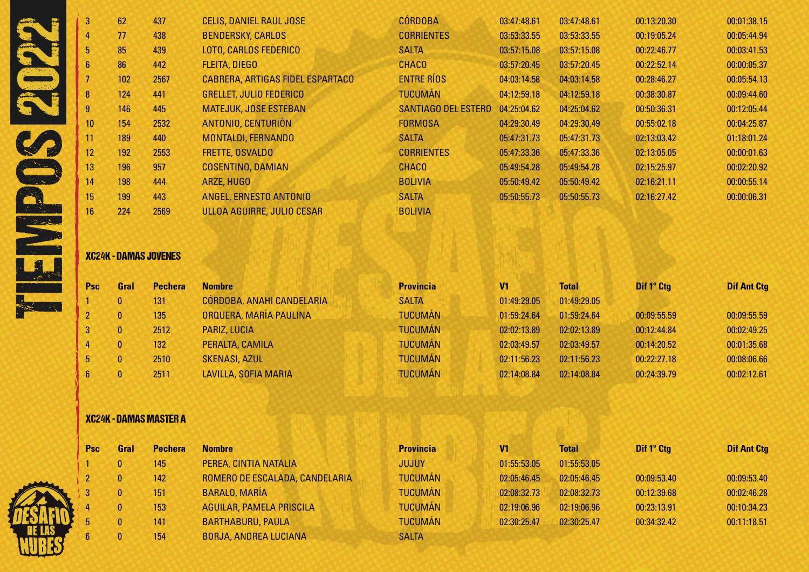| 3               | 62  | 437  | <b>CELIS, DANIEL RAUL JOSE</b>    | <b>CÓRDOBA</b>             | 03:47:48.61 | 03:47:48.61 | 00:13:20.30 | 00:01:38.15 |
|-----------------|-----|------|-----------------------------------|----------------------------|-------------|-------------|-------------|-------------|
|                 | 77  | 438  | <b>BENDERSKY, CARLOS</b>          | <b>CORRIENTES</b>          | 03:53:33.55 | 03:53:33.55 | 00:19:05.24 | 00:05:44.94 |
| 5 <sup>1</sup>  | 85  | 439  | <b>LOTO, CARLOS FEDERICO</b>      | <b>SALTA</b>               | 03:57:15.08 | 03:57:15.08 | 00:22:46.77 | 00:03:41.53 |
| 6               | 86  | 442  | <b>FLEITA, DIEGO</b>              | <b>CHACO</b>               | 03:57:20.45 | 03:57:20.45 | 00:22:52.14 | 00:00:05.37 |
|                 | 102 | 2567 | CABRERA, ARTIGAS FIDEL ESPARTACO  | <b>ENTRE RÍOS</b>          | 04:03:14.58 | 04:03:14.58 | 00:28:46.27 | 00:05:54.13 |
| 8               | 124 | 441  | <b>GRELLET, JULIO FEDERICO</b>    | <b>TUCUMÁN</b>             | 04:12:59.18 | 04:12:59.18 | 00:38:30.87 | 00:09:44.60 |
| 9               | 146 | 445  | <b>MATEJUK, JOSE ESTEBAN</b>      | <b>SANTIAGO DEL ESTERO</b> | 04:25:04.62 | 04:25:04.62 | 00:50:36.31 | 00:12:05.44 |
| 10 <sup>°</sup> | 154 | 2532 | ANTONIO, CENTURIÓN                | <b>FORMOSA</b>             | 04:29:30.49 | 04:29:30.49 | 00:55:02.18 | 00:04:25.87 |
| 11              | 189 | 440  | <b>MONTALDI, FERNANDO</b>         | <b>SALTA</b>               | 05:47:31.73 | 05:47:31.73 | 02:13:03.42 | 01:18:01.24 |
| 12 <sup>1</sup> | 192 | 2553 | FRETTE, OSVALDO                   | <b>CORRIENTES</b>          | 05:47:33.36 | 05:47:33.36 | 02:13:05.05 | 00:00:01.63 |
| 13              | 196 | 957  | <b>COSENTINO, DAMIAN</b>          | <b>CHACO</b>               | 05:49:54.28 | 05:49:54.28 | 02:15:25.97 | 00:02:20.92 |
| 14              | 198 | 444  | ARZE, HUGO                        | <b>BOLIVIA</b>             | 05:50:49.42 | 05:50:49.42 | 02:16:21.11 | 00:00:55.14 |
| 15              | 199 | 443  | ANGEL, ERNESTO ANTONIO            | <b>SALTA</b>               | 05:50:55.73 | 05:50:55.73 | 02:16:27.42 | 00:00:06.31 |
| 16              | 224 | 2569 | <b>ULLOA AGUIRRE, JULIO CESAR</b> | <b>BOLIVIA</b>             |             |             |             |             |
|                 |     |      |                                   |                            |             |             |             |             |

### XC24K - DAMAS JOVENES

| <b>Psc</b> | Gral     | <b>Pechera</b> | <b>Nombre</b>             | <b>Provincia</b> | V <sub>1</sub> | <b>Total</b> | Dif 1° Ctg  | <b>Dif Ant Ctg</b> |
|------------|----------|----------------|---------------------------|------------------|----------------|--------------|-------------|--------------------|
|            | $\bf{0}$ | 131            | CÓRDOBA, ANAHI CANDELARIA | <b>SALTA</b>     | 01:49:29.05    | 01:49:29.05  |             |                    |
|            | $\bf{0}$ | 135            | ORQUERA, MARÍA PAULINA    | <b>TUCUMÁN</b>   | 01:59:24.64    | 01:59:24.64  | 00:09:55.59 | 00:09:55.59        |
|            | $\bf{0}$ | 2512           | PARIZ, LUCIA              | <b>TUCUMÁN</b>   | 02:02:13.89    | 02:02:13.89  | 00:12:44.84 | 00:02:49.25        |
|            | $\bf{0}$ | 132            | PERALTA, CAMILA           | <b>TUCUMÁN</b>   | 02:03:49.57    | 02:03:49.57  | 00:14:20.52 | 00:01:35.68        |
|            | $\bf{0}$ | 2510           | <b>SKENASI, AZUL</b>      | <b>TUCUMÁN</b>   | 02:11:56.23    | 02:11:56.23  | 00:22:27.18 | 00:08:06.66        |
|            | $\bf{0}$ | 2511           | LAVILLA, SOFIA MARIA      | <b>TUCUMÁN</b>   | 02:14:08.84    | 02:14:08.84  | 00:24:39.79 | 00:02:12.61        |

# XC24K - DAMAS MASTER A

| <b>Psc</b> | Gral | <b>Pechera</b> | <b>Nombre</b>                   | <b>Provincia</b> | V1          | <b>Total</b> | Dif 1° Ctg  | <b>Dif Ant Ctg</b> |
|------------|------|----------------|---------------------------------|------------------|-------------|--------------|-------------|--------------------|
|            |      | 145            | PEREA, CINTIA NATALIA           | <b>JUJUY</b>     | 01:55:53.05 | 01:55:53.05  |             |                    |
|            |      | 142            | ROMERO DE ESCALADA, CANDELARIA  | <b>TUCUMÁN</b>   | 02:05:46.45 | 02:05:46.45  | 00:09:53.40 | 00:09:53.40        |
|            |      | 151            | <b>BARALO, MARÍA</b>            | <b>TUCUMÁN</b>   | 02:08:32.73 | 02:08:32.73  | 00:12:39.68 | 00:02:46.28        |
|            |      | 153            | <b>AGUILAR, PAMELA PRISCILA</b> | <b>TUCUMÁN</b>   | 02:19:06.96 | 02:19:06.96  | 00:23:13.91 | 00:10:34.23        |
|            |      | 141            | <b>BARTHABURU, PAULA</b>        | <b>TUCUMÁN</b>   | 02:30:25.47 | 02:30:25.47  | 00:34:32.42 | 00:11:18.51        |
| 6          |      | 154            | <b>BORJA, ANDREA LUCIANA</b>    | <b>SALTA</b>     |             |              |             |                    |

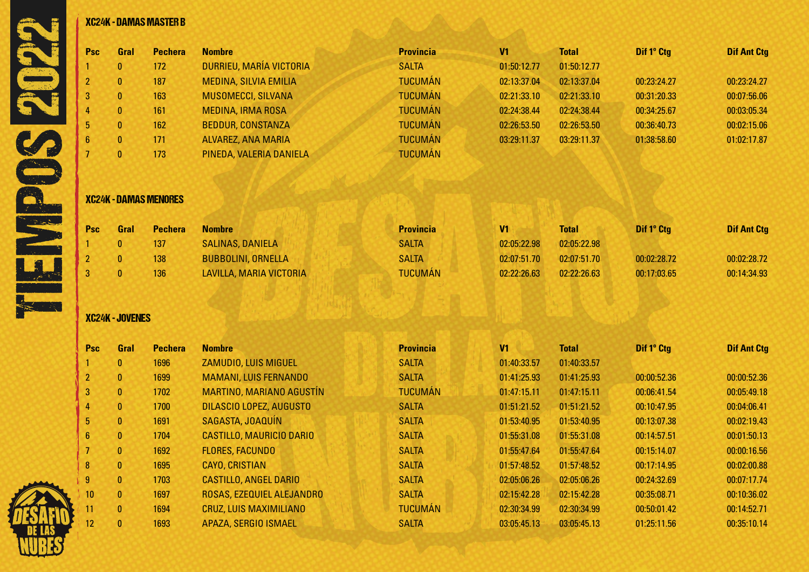|                  |                        | <b>XC24K - DAMAS MASTER B</b> |                                 |                  |                |              |             |                    |
|------------------|------------------------|-------------------------------|---------------------------------|------------------|----------------|--------------|-------------|--------------------|
| Psc              | Gral                   | <b>Pechera</b>                | <b>Nombre</b>                   | <b>Provincia</b> | V <sub>1</sub> | <b>Total</b> | Dif 1° Ctg  | <b>Dif Ant Ctg</b> |
|                  | $\mathbf{0}$           | 172                           | DURRIEU, MARÍA VICTORIA         | <b>SALTA</b>     | 01:50:12.77    | 01:50:12.77  |             |                    |
| $\overline{2}$   | $\pmb{0}$              | 187                           | <b>MEDINA, SILVIA EMILIA</b>    | <b>TUCUMÁN</b>   | 02:13:37.04    | 02:13:37.04  | 00:23:24.27 | 00:23:24.27        |
| $\mathbf 3$      | $\pmb{0}$              | 163                           | MUSOMECCI, SILVANA              | <b>TUCUMÁN</b>   | 02:21:33.10    | 02:21:33.10  | 00:31:20.33 | 00:07:56.06        |
|                  | $\mathbf{0}$           | 161                           | <b>MEDINA, IRMA ROSA</b>        | <b>TUCUMÁN</b>   | 02:24:38.44    | 02:24:38.44  | 00:34:25.67 | 00:03:05.34        |
| 5                | $\mathbf{0}$           | 162                           | <b>BEDDUR, CONSTANZA</b>        | <b>TUCUMÁN</b>   | 02:26:53.50    | 02:26:53.50  | 00:36:40.73 | 00:02:15.06        |
| $\boldsymbol{6}$ | $\mathbf{0}$           | 171                           | <b>ALVAREZ, ANA MARIA</b>       | <b>TUCUMÁN</b>   | 03:29:11.37    | 03:29:11.37  | 01:38:58.60 | 01:02:17.87        |
| $\overline{7}$   | $\mathbf{0}$           | 173                           | PINEDA, VALERIA DANIELA         | <b>TUCUMÁN</b>   |                |              |             |                    |
|                  |                        | <b>XC24K - DAMAS MENORES</b>  |                                 |                  |                |              |             |                    |
| <b>Psc</b>       | Gral                   | <b>Pechera</b>                | <b>Nombre</b>                   | <b>Provincia</b> | V <sub>1</sub> | <b>Total</b> | Dif 1° Ctg  | <b>Dif Ant Ctg</b> |
|                  | $\bf{0}$               | 137                           | <b>SALINAS, DANIELA</b>         | <b>SALTA</b>     | 02:05:22.98    | 02:05:22.98  |             |                    |
| $\overline{2}$   | $\mathbf{0}$           | 138                           | <b>BUBBOLINI, ORNELLA</b>       | <b>SALTA</b>     | 02:07:51.70    | 02:07:51.70  | 00:02:28.72 | 00:02:28.72        |
| 3                | $\mathbf{0}$           | 136                           | LAVILLA, MARIA VICTORIA         | <b>TUCUMÁN</b>   | 02:22:26.63    | 02:22:26.63  | 00:17:03.65 | 00:14:34.93        |
|                  | <b>XC24K - JOVENES</b> |                               |                                 |                  |                |              |             |                    |
| Psc              | Gral                   | <b>Pechera</b>                | <b>Nombre</b>                   | <b>Provincia</b> | V <sub>1</sub> | <b>Total</b> | Dif 1° Ctg  | <b>Dif Ant Ctg</b> |
|                  | $\bf{0}$               | 1696                          | ZAMUDIO, LUIS MIGUEL            | <b>SALTA</b>     | 01:40:33.57    | 01:40:33.57  |             |                    |
| $\overline{2}$   | $\mathbf{0}$           | 1699                          | <b>MAMANI, LUIS FERNANDO</b>    | <b>SALTA</b>     | 01:41:25.93    | 01:41:25.93  | 00:00:52.36 | 00:00:52.36        |
| 3                | $\mathbf{0}$           | 1702                          | MARTINO, MARIANO AGUSTÍN        | <b>TUCUMÁN</b>   | 01:47:15.11    | 01:47:15.11  | 00:06:41.54 | 00:05:49.18        |
| 4                | $\mathbf{0}$           | 1700                          | DILASCIO LOPEZ, AUGUSTO         | <b>SALTA</b>     | 01:51:21.52    | 01:51:21.52  | 00:10:47.95 | 00:04:06.41        |
| $\overline{5}$   | $\bf{0}$               | 1691                          | SAGASTA, JOAQUÍN                | <b>SALTA</b>     | 01:53:40.95    | 01:53:40.95  | 00:13:07.38 | 00:02:19.43        |
| $6\phantom{1}$   | $\bf{0}$               | 1704                          | <b>CASTILLO, MAURICIO DARIO</b> | <b>SALTA</b>     | 01:55:31.08    | 01:55:31.08  | 00:14:57.51 | 00:01:50.13        |
| $\overline{7}$   | $\bf{0}$               | 1692                          | <b>FLORES, FACUNDO</b>          | <b>SALTA</b>     | 01:55:47.64    | 01:55:47.64  | 00:15:14.07 | 00:00:16.56        |
| 8                | $\mathbf{0}$           | 1695                          | <b>CAYO, CRISTIAN</b>           | <b>SALTA</b>     | 01:57:48.52    | 01:57:48.52  | 00:17:14.95 | 00:02:00.88        |
| 9                | $\pmb{0}$              | 1703                          | <b>CASTILLO, ANGEL DARIO</b>    | <b>SALTA</b>     | 02:05:06.26    | 02:05:06.26  | 00:24:32.69 | 00:07:17.74        |
| 10               | $\pmb{0}$              | 1697                          | ROSAS, EZEQUIEL ALEJANDRO       | <b>SALTA</b>     | 02:15:42.28    | 02:15:42.28  | 00:35:08.71 | 00:10:36.02        |
|                  | $\bf{0}$               | 1694                          | <b>CRUZ, LUIS MAXIMILIANO</b>   | <b>TUCUMÁN</b>   | 02:30:34.99    | 02:30:34.99  | 00:50:01.42 | 00:14:52.71        |

0 1693 APAZA, SERGIO ISMAEL SALTA 03:05:45.13 03:05:45.13 01:25:11.56 00:35:10.14

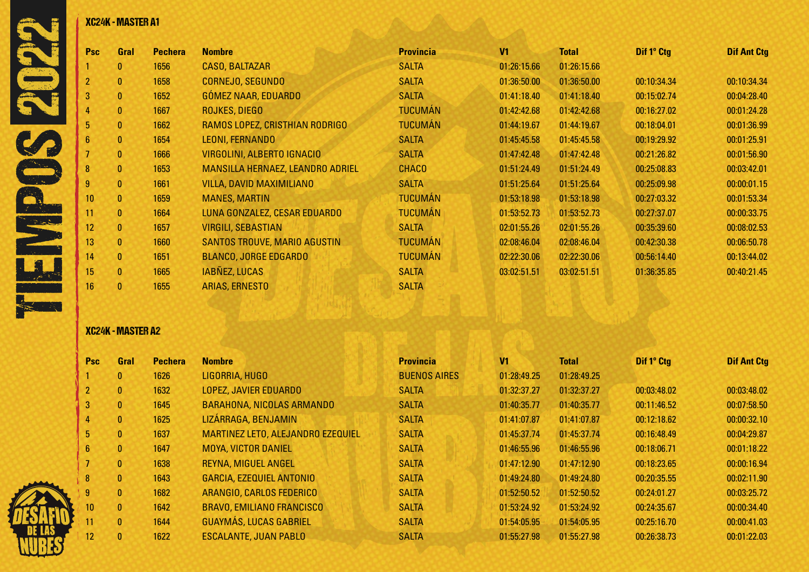| <b>Psc</b>       | Gral         | <b>Pechera</b> | <b>Nombre</b>                    | <b>Provincia</b> | V <sub>1</sub> | <b>Total</b> | Dif 1° Ctg  | <b>Dif Ant Ctg</b> |
|------------------|--------------|----------------|----------------------------------|------------------|----------------|--------------|-------------|--------------------|
|                  | $\mathbf{0}$ | 1656           | <b>CASO, BALTAZAR</b>            | <b>SALTA</b>     | 01:26:15.66    | 01:26:15.66  |             |                    |
|                  | $\mathbf{0}$ | 1658           | CORNEJO, SEGUNDO                 | <b>SALTA</b>     | 01:36:50.00    | 01:36:50.00  | 00:10:34.34 | 00:10:34.34        |
| 3                | $\bf{0}$     | 1652           | GÓMEZ NAAR, EDUARDO              | <b>SALTA</b>     | 01:41:18.40    | 01:41:18.40  | 00:15:02.74 | 00:04:28.40        |
|                  | $\mathbf{0}$ | 1667           | ROJKES, DIEGO                    | <b>TUCUMÁN</b>   | 01:42:42.68    | 01:42:42.68  | 00:16:27.02 | 00:01:24.28        |
| 5                | $\mathbf{0}$ | 1662           | RAMOS LOPEZ, CRISTHIAN RODRIGO   | <b>TUCUMÁN</b>   | 01:44:19.67    | 01:44:19.67  | 00:18:04.01 | 00:01:36.99        |
| 6                | $\mathbf{0}$ | 1654           | LEONI, FERNANDO                  | <b>SALTA</b>     | 01:45:45.58    | 01:45:45.58  | 00:19:29.92 | 00:01:25.91        |
|                  | $\bf{0}$     | 1666           | VIRGOLINI, ALBERTO IGNACIO       | <b>SALTA</b>     | 01:47:42.48    | 01:47:42.48  | 00:21:26.82 | 00:01:56.90        |
| $\mathbf{8}$     | $\mathbf{0}$ | 1653           | MANSILLA HERNAEZ, LEANDRO ADRIEL | <b>CHACO</b>     | 01:51:24.49    | 01:51:24.49  | 00:25:08.83 | 00:03:42.01        |
|                  | $\mathbf{0}$ | 1661           | <b>VILLA, DAVID MAXIMILIANO</b>  | <b>SALTA</b>     | 01:51:25.64    | 01:51:25.64  | 00:25:09.98 | 00:00:01.15        |
| 10 <sup>°</sup>  | $\mathbf{0}$ | 1659           | <b>MANES, MARTIN</b>             | <b>TUCUMÁN</b>   | 01:53:18.98    | 01:53:18.98  | 00:27:03.32 | 00:01:53.34        |
| 11               | $\mathbf{0}$ | 1664           | LUNA GONZALEZ, CESAR EDUARDO     | <b>TUCUMÁN</b>   | 01:53:52.73    | 01:53:52.73  | 00:27:37.07 | 00:00:33.75        |
| 12               | $\mathbf{0}$ | 1657           | <b>VIRGILI, SEBASTIAN</b>        | <b>SALTA</b>     | 02:01:55.26    | 02:01:55.26  | 00:35:39.60 | 00:08:02.53        |
| 13               | $\mathbf{0}$ | 1660           | SANTOS TROUVE, MARIO AGUSTIN     | <b>TUCUMÁN</b>   | 02:08:46.04    | 02:08:46.04  | 00:42:30.38 | 00:06:50.78        |
| 14               | $\mathbf{0}$ | 1651           | <b>BLANCO, JORGE EDGARDO</b>     | <b>TUCUMÁN</b>   | 02:22:30.06    | 02:22:30.06  | 00:56:14.40 | 00:13:44.02        |
| 15 <sub>15</sub> | $\mathbf{0}$ | 1665           | <b>IABNEZ, LUCAS</b>             | <b>SALTA</b>     | 03:02:51.51    | 03:02:51.51  | 01:36:35.85 | 00:40:21.45        |
| 16.              | $\mathbf{0}$ | 1655           | <b>ARIAS, ERNESTO</b>            | <b>SALTA</b>     |                |              |             |                    |

# XC24K - MASTER A2

| <b>Psc</b> | <b>Gral</b>  | <b>Pechera</b> | <b>Nombre</b>                     | <b>Provincia</b>    | V <sub>1</sub> | <b>Total</b> | Dif 1° Ctg  | <b>Dif Ant Ctg</b> |
|------------|--------------|----------------|-----------------------------------|---------------------|----------------|--------------|-------------|--------------------|
|            | $\mathbf{0}$ | 1626           | LIGORRIA, HUGO                    | <b>BUENOS AIRES</b> | 01:28:49.25    | 01:28:49.25  |             |                    |
|            | $\mathbf{0}$ | 1632           | <b>LOPEZ, JAVIER EDUARDO</b>      | <b>SALTA</b>        | 01:32:37.27    | 01:32:37.27  | 00:03:48.02 | 00:03:48.02        |
| 3          | $\mathbf{0}$ | 1645           | <b>BARAHONA, NICOLAS ARMANDO</b>  | <b>SALTA</b>        | 01:40:35.77    | 01:40:35.77  | 00:11:46.52 | 00:07:58.50        |
| 4          | $\mathbf{0}$ | 1625           | LIZÁRRAGA, BENJAMIN               | <b>SALTA</b>        | 01:41:07.87    | 01:41:07.87  | 00:12:18.62 | 00:00:32.10        |
| 5          | $\mathbf{0}$ | 1637           | MARTINEZ LETO, ALEJANDRO EZEQUIEL | <b>SALTA</b>        | 01:45:37.74    | 01:45:37.74  | 00:16:48.49 | 00:04:29.87        |
| 6          | $\mathbf{0}$ | 1647           | <b>MOYA, VICTOR DANIEL</b>        | <b>SALTA</b>        | 01:46:55.96    | 01:46:55.96  | 00:18:06.71 | 00:01:18.22        |
|            | $\mathbf{0}$ | 1638           | <b>REYNA, MIGUEL ANGEL</b>        | <b>SALTA</b>        | 01:47:12.90    | 01:47:12.90  | 00:18:23.65 | 00:00:16.94        |
| 8          | $\mathbf{0}$ | 1643           | <b>GARCIA, EZEQUIEL ANTONIO</b>   | <b>SALTA</b>        | 01:49:24.80    | 01:49:24.80  | 00:20:35.55 | 00:02:11.90        |
| 9          | $\mathbf{0}$ | 1682           | ARANGIO, CARLOS FEDERICO          | <b>SALTA</b>        | 01:52:50.52    | 01:52:50.52  | 00:24:01.27 | 00:03:25.72        |
| 10         | $\mathbf{0}$ | 1642           | <b>BRAVO, EMILIANO FRANCISCO</b>  | <b>SALTA</b>        | 01:53:24.92    | 01:53:24.92  | 00:24:35.67 | 00:00:34.40        |
| 11         | $\mathbf{0}$ | 1644           | <b>GUAYMÁS, LUCAS GABRIEL</b>     | <b>SALTA</b>        | 01:54:05.95    | 01:54:05.95  | 00:25:16.70 | 00:00:41.03        |
| 12         | $\mathbf{0}$ | 1622           | <b>ESCALANTE, JUAN PABLO</b>      | <b>SALTA</b>        | 01:55:27.98    | 01:55:27.98  | 00:26:38.73 | 00:01:22.03        |

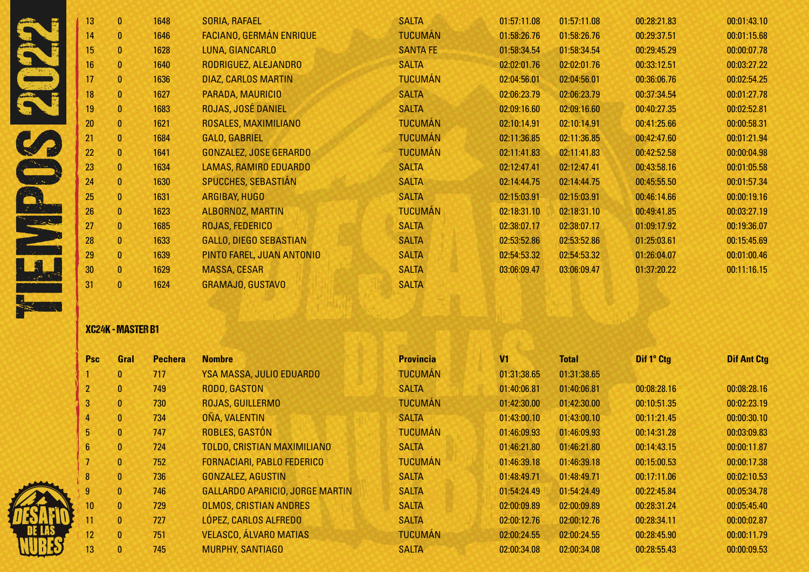|      | 13        | $\mathbf{0}$ | 1648 | SORIA, RAFAEL                  | <b>SALTA</b>    | 01:57:11.08 | 01:57:11.08 | 00:28:21.83 | 00:01:43.10 |
|------|-----------|--------------|------|--------------------------------|-----------------|-------------|-------------|-------------|-------------|
|      | 14        | $\mathbf{0}$ | 1646 | <b>FACIANO, GERMÁN ENRIQUE</b> | <b>TUCUMÁN</b>  | 01:58:26.76 | 01:58:26.76 | 00:29:37.51 | 00:01:15.68 |
|      | 15        | $\mathbf{0}$ | 1628 | LUNA, GIANCARLO                | <b>SANTA FE</b> | 01:58:34.54 | 01:58:34.54 | 00:29:45.29 | 00:00:07.78 |
|      | 16        | $\mathbf{0}$ | 1640 | RODRIGUEZ, ALEJANDRO           | <b>SALTA</b>    | 02:02:01.76 | 02:02:01.76 | 00:33:12.51 | 00:03:27.22 |
|      | 17        | $\mathbf{0}$ | 1636 | DIAZ, CARLOS MARTIN            | <b>TUCUMÁN</b>  | 02:04:56.01 | 02:04:56.01 | 00:36:06.76 | 00:02:54.25 |
|      | <b>18</b> | $\mathbf{0}$ | 1627 | PARADA, MAURICIO               | <b>SALTA</b>    | 02:06:23.79 | 02:06:23.79 | 00:37:34.54 | 00:01:27.78 |
|      | 19        | $\mathbf{0}$ | 1683 | ROJAS, JOSÉ DANIEL             | <b>SALTA</b>    | 02:09:16.60 | 02:09:16.60 | 00:40:27.35 | 00:02:52.81 |
|      | 20        | $\mathbf{0}$ | 1621 | ROSALES, MAXIMILIANO           | <b>TUCUMÁN</b>  | 02:10:14.91 | 02:10:14.91 | 00:41:25.66 | 00:00:58.31 |
|      | 21        | $\mathbf{0}$ | 1684 | GALO, GABRIEL                  | <b>TUCUMÁN</b>  | 02:11:36.85 | 02:11:36.85 | 00:42:47.60 | 00:01:21.94 |
|      | 22        | $\mathbf{0}$ | 1641 | <b>GONZALEZ, JOSE GERARDO</b>  | <b>TUCUMÁN</b>  | 02:11:41.83 | 02:11:41.83 | 00:42:52.58 | 00:00:04.98 |
|      | 23        | $\mathbf{0}$ | 1634 | LAMAS, RAMIRO EDUARDO          | <b>SALTA</b>    | 02:12:47.41 | 02:12:47.41 | 00:43:58.16 | 00:01:05.58 |
|      | 24        | $\mathbf{0}$ | 1630 | <b>SPUCCHES, SEBASTIÁN</b>     | <b>SALTA</b>    | 02:14:44.75 | 02:14:44.75 | 00:45:55.50 | 00:01:57.34 |
|      | 25        | $\mathbf{0}$ | 1631 | ARGIBAY, HUGO                  | <b>SALTA</b>    | 02:15:03.91 | 02:15:03.91 | 00:46:14.66 | 00:00:19.16 |
|      | 26        | $\mathbf{0}$ | 1623 | ALBORNOZ, MARTIN               | <b>TUCUMÁN</b>  | 02:18:31.10 | 02:18:31.10 | 00:49:41.85 | 00:03:27.19 |
| ست ب | 27        | $\mathbf{0}$ | 1685 | ROJAS, FEDERICO                | <b>SALTA</b>    | 02:38:07.17 | 02:38:07.17 | 01:09:17.92 | 00:19:36.07 |
|      | 28        | $\mathbf{0}$ | 1633 | <b>GALLO, DIEGO SEBASTIAN</b>  | <b>SALTA</b>    | 02:53:52.86 | 02:53:52.86 | 01:25:03.61 | 00:15:45.69 |
|      | 29        | $\mathbf{0}$ | 1639 | PINTO FAREL, JUAN ANTONIO      | <b>SALTA</b>    | 02:54:53.32 | 02:54:53.32 | 01:26:04.07 | 00:01:00.46 |
|      | 30        | $\mathbf{0}$ | 1629 | <b>MASSA, CESAR</b>            | <b>SALTA</b>    | 03:06:09.47 | 03:06:09.47 | 01:37:20.22 | 00:11:16.15 |
|      | 31        | 0            | 1624 | <b>GRAMAJO, GUSTAVO</b>        | <b>SALTA</b>    |             |             |             |             |
|      |           |              |      |                                |                 |             |             |             |             |

# XC24K - MASTER B1

| <b>Psc</b>     | Gral         | <b>Pechera</b> | <b>Nombre</b>                          | <b>Provincia</b> | V <sub>1</sub> | <b>Total</b> | Dif 1° Ctg  | <b>Dif Ant Ctg</b> |
|----------------|--------------|----------------|----------------------------------------|------------------|----------------|--------------|-------------|--------------------|
|                | $\mathbf{0}$ | 717            | YSA MASSA, JULIO EDUARDO               | <b>TUCUMÁN</b>   | 01:31:38.65    | 01:31:38.65  |             |                    |
|                | $\mathbf{0}$ | 749            | RODO, GASTON                           | <b>SALTA</b>     | 01:40:06.81    | 01:40:06.81  | 00:08:28.16 | 00:08:28.16        |
| 3              | $\mathbf{0}$ | 730            | ROJAS, GUILLERMO                       | <b>TUCUMÁN</b>   | 01:42:30.00    | 01:42:30.00  | 00:10:51.35 | 00:02:23.19        |
| 4              | $\mathbf{0}$ | 734            | OÑA, VALENTIN                          | <b>SALTA</b>     | 01:43:00.10    | 01:43:00.10  | 00:11:21.45 | 00:00:30.10        |
| 5 <sup>1</sup> | $\mathbf{0}$ | 747            | ROBLES, GASTÓN                         | <b>TUCUMÁN</b>   | 01:46:09.93    | 01:46:09.93  | 00:14:31.28 | 00:03:09.83        |
| $6\phantom{.}$ | $\mathbf{0}$ | 724            | <b>TOLDO, CRISTIAN MAXIMILIANO</b>     | <b>SALTA</b>     | 01:46:21.80    | 01:46:21.80  | 00:14:43.15 | 00:00:11.87        |
|                | $\mathbf{0}$ | 752            | <b>FORNACIARI, PABLO FEDERICO</b>      | <b>TUCUMÁN</b>   | 01:46:39.18    | 01:46:39.18  | 00:15:00.53 | 00:00:17.38        |
| 8              | $\bf{0}$     | 736            | <b>GONZALEZ, AGUSTIN</b>               | <b>SALTA</b>     | 01:48:49.71    | 01:48:49.71  | 00:17:11.06 | 00:02:10.53        |
| 9              | $\mathbf{0}$ | 746            | <b>GALLARDO APARICIO, JORGE MARTIN</b> | <b>SALTA</b>     | 01:54:24.49    | 01:54:24.49  | 00:22:45.84 | 00:05:34.78        |
| 10             | $\mathbf{0}$ | 729            | <b>OLMOS, CRISTIAN ANDRES</b>          | <b>SALTA</b>     | 02:00:09.89    | 02:00:09.89  | 00:28:31.24 | 00:05:45.40        |
| 11             | $\mathbf{0}$ | 727            | LÓPEZ, CARLOS ALFREDO                  | <b>SALTA</b>     | 02:00:12.76    | 02:00:12.76  | 00:28:34.11 | 00:00:02.87        |
| 12             | $\mathbf{0}$ | 751            | <b>VELASCO, ÁLVARO MATIAS</b>          | <b>TUCUMÁN</b>   | 02:00:24.55    | 02:00:24.55  | 00:28:45.90 | 00:00:11.79        |
| 13             | $\mathbf{0}$ | 745            | <b>MURPHY, SANTIAGO</b>                | <b>SALTA</b>     | 02:00:34.08    | 02:00:34.08  | 00:28:55.43 | 00:00:09.53        |

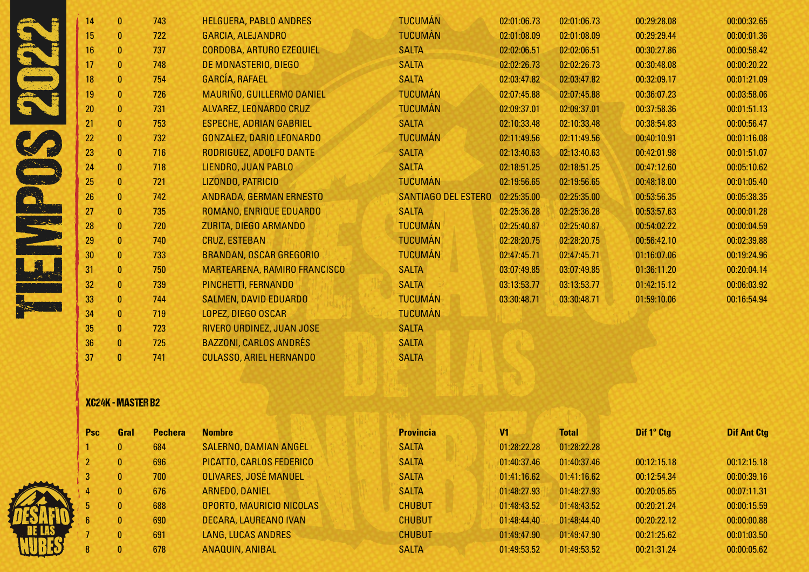|                            | 14 | $\mathbf{0}$ | 743 | <b>HELGUERA, PABLO ANDRES</b>   | <b>TUCUMÁN</b>      | 02:01:06.73 | 02:01:06.73 | 00:29:28.08 | 00:00:32.65 |
|----------------------------|----|--------------|-----|---------------------------------|---------------------|-------------|-------------|-------------|-------------|
|                            | 15 | 0            | 722 | <b>GARCIA, ALEJANDRO</b>        | <b>TUCUMÁN</b>      | 02:01:08.09 | 02:01:08.09 | 00:29:29.44 | 00:00:01.36 |
|                            | 16 | $\mathbf{0}$ | 737 | <b>CORDOBA, ARTURO EZEQUIEL</b> | <b>SALTA</b>        | 02:02:06.51 | 02:02:06.51 | 00:30:27.86 | 00:00:58.42 |
|                            | 17 | $\mathbf{0}$ | 748 | DE MONASTERIO, DIEGO            | <b>SALTA</b>        | 02:02:26.73 | 02:02:26.73 | 00:30:48.08 | 00:00:20.22 |
|                            | 18 | $\mathbf{0}$ | 754 | <b>GARCÍA, RAFAEL</b>           | <b>SALTA</b>        | 02:03:47.82 | 02:03:47.82 | 00:32:09.17 | 00:01:21.09 |
|                            | 19 | $\mathbf{0}$ | 726 | MAURIÑO, GUILLERMO DANIEL       | <b>TUCUMÁN</b>      | 02:07:45.88 | 02:07:45.88 | 00:36:07.23 | 00:03:58.06 |
|                            | 20 | $\mathbf{0}$ | 731 | ALVAREZ, LEONARDO CRUZ          | <b>TUCUMÁN</b>      | 02:09:37.01 | 02:09:37.01 | 00:37:58.36 | 00:01:51.13 |
|                            | 21 | $\mathbf{0}$ | 753 | <b>ESPECHE, ADRIAN GABRIEL</b>  | <b>SALTA</b>        | 02:10:33.48 | 02:10:33.48 | 00:38:54.83 | 00:00:56.47 |
|                            | 22 | $\mathbf{0}$ | 732 | <b>GONZALEZ, DARIO LEONARDO</b> | <b>TUCUMÁN</b>      | 02:11:49.56 | 02:11:49.56 | 00:40:10.91 | 00:01:16.08 |
|                            | 23 | $\mathbf{0}$ | 716 | RODRIGUEZ, ADOLFO DANTE         | <b>SALTA</b>        | 02:13:40.63 | 02:13:40.63 | 00:42:01.98 | 00:01:51.07 |
|                            | 24 | $\mathbf{0}$ | 718 | LIENDRO, JUAN PABLO             | <b>SALTA</b>        | 02:18:51.25 | 02:18:51.25 | 00:47:12.60 | 00:05:10.62 |
|                            | 25 | $\mathbf{0}$ | 721 | LIZONDO, PATRICIO               | <b>TUCUMÁN</b>      | 02:19:56.65 | 02:19:56.65 | 00:48:18.00 | 00:01:05.40 |
|                            | 26 | $\mathbf{0}$ | 742 | ANDRADA, GERMAN ERNESTO         | SANTIAGO DEL ESTERO | 02:25:35.00 | 02:25:35.00 | 00:53:56.35 | 00:05:38.35 |
|                            | 27 | $\mathbf{0}$ | 735 | ROMANO, ENRIQUE EDUARDO         | <b>SALTA</b>        | 02:25:36.28 | 02:25:36.28 | 00:53:57.63 | 00:00:01.28 |
| لي المناسبية.<br>المناسبية | 28 | $\mathbf{0}$ | 720 | ZURITA, DIEGO ARMANDO           | <b>TUCUMÁN</b>      | 02:25:40.87 | 02:25:40.87 | 00:54:02.22 | 00:00:04.59 |
|                            | 29 | $\mathbf{0}$ | 740 | <b>CRUZ, ESTEBAN</b>            | <b>TUCUMÁN</b>      | 02:28:20.75 | 02:28:20.75 | 00:56:42.10 | 00:02:39.88 |
|                            | 30 | $\mathbf{0}$ | 733 | <b>BRANDAN, OSCAR GREGORIO</b>  | <b>TUCUMÁN</b>      | 02:47:45.71 | 02:47:45.71 | 01:16:07.06 | 00:19:24.96 |
|                            | 31 | $\mathbf{0}$ | 750 | MARTEARENA, RAMIRO FRANCISCO    | <b>SALTA</b>        | 03:07:49.85 | 03:07:49.85 | 01:36:11.20 | 00:20:04.14 |
|                            | 32 | $\mathbf{0}$ | 739 | PINCHETTI, FERNANDO             | <b>SALTA</b>        | 03:13:53.77 | 03:13:53.77 | 01:42:15.12 | 00:06:03.92 |
|                            | 33 | $\mathbf{0}$ | 744 | <b>SALMEN, DAVID EDUARDO</b>    | <b>TUCUMÁN</b>      | 03:30:48.71 | 03:30:48.71 | 01:59:10.06 | 00:16:54.94 |
|                            | 34 | $\mathbf{0}$ | 719 | LOPEZ, DIEGO OSCAR              | <b>TUCUMÁN</b>      |             |             |             |             |
|                            | 35 | 0            | 723 | RIVERO URDINEZ, JUAN JOSE       | <b>SALTA</b>        |             |             |             |             |
|                            | 36 | $\mathbf{0}$ | 725 | <b>BAZZONI, CARLOS ANDRÉS</b>   | <b>SALTA</b>        |             |             |             |             |
|                            | 37 | 0            | 741 | <b>CULASSO, ARIEL HERNANDO</b>  | <b>SALTA</b>        |             |             |             |             |

# XC24K - MASTER B2

| Psc             | Gral         | <b>Pechera</b> | <b>Nombre</b>                | <b>Provincia</b> | V1          | <b>Total</b> | Dif 1° Ctg  | <b>Dif Ant Ctg</b> |
|-----------------|--------------|----------------|------------------------------|------------------|-------------|--------------|-------------|--------------------|
|                 | $\mathbf{0}$ | 684            | SALERNO, DAMIAN ANGEL        | <b>SALTA</b>     | 01:28:22.28 | 01:28:22.28  |             |                    |
| $\overline{2}$  | $\mathbf{0}$ | 696            | PICATTO, CARLOS FEDERICO     | <b>SALTA</b>     | 01:40:37.46 | 01:40:37.46  | 00:12:15.18 | 00:12:15.18        |
| $\vert 3 \vert$ | $\mathbf{0}$ | 700            | <b>OLIVARES, JOSÉ MANUEL</b> | <b>SALTA</b>     | 01:41:16.62 | 01:41:16.62  | 00:12:54.34 | 00:00:39.16        |
| 4               | $\mathbf{0}$ | 676            | ARNEDO, DANIEL               | <b>SALTA</b>     | 01:48:27.93 | 01:48:27.93  | 00:20:05.65 | 00:07:11.31        |
| 5               | $\mathbf{0}$ | 688            | OPORTO, MAURICIO NICOLAS     | <b>CHUBUT</b>    | 01:48:43.52 | 01:48:43.52  | 00:20:21.24 | 00:00:15.59        |
| $6\phantom{1}$  | $\mathbf{0}$ | 690            | DECARA, LAUREANO IVAN        | <b>CHUBUT</b>    | 01:48:44.40 | 01:48:44.40  | 00:20:22.12 | 00:00:00.88        |
|                 | $\mathbf{0}$ | 691            | <b>LANG, LUCAS ANDRES</b>    | <b>CHUBUT</b>    | 01:49:47.90 | 01:49:47.90  | 00:21:25.62 | 00:01:03.50        |
| 8               | $\mathbf{0}$ | 678            | ANAQUIN, ANIBAL              | <b>SALTA</b>     | 01:49:53.52 | 01:49:53.52  | 00:21:31.24 | 00:00:05.62        |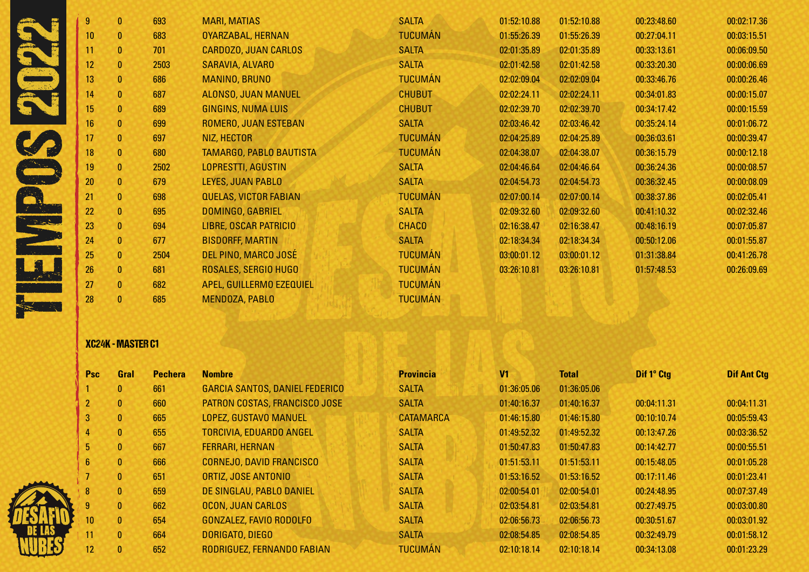|             | 9  | $\mathbf{0}$ | 693  | <b>MARI, MATIAS</b>          | <b>SALTA</b>   | 01:52:10.88 | 01:52:10.88 | 00:23:48.60 | 00:02:17.36 |
|-------------|----|--------------|------|------------------------------|----------------|-------------|-------------|-------------|-------------|
|             | 10 | $\mathbf{0}$ | 683  | OYARZABAL, HERNAN            | <b>TUCUMÁN</b> | 01:55:26.39 | 01:55:26.39 | 00:27:04.11 | 00:03:15.51 |
|             | 11 | $\mathbf{0}$ | 701  | CARDOZO, JUAN CARLOS         | <b>SALTA</b>   | 02:01:35.89 | 02:01:35.89 | 00:33:13.61 | 00:06:09.50 |
|             | 12 | $\mathbf{0}$ | 2503 | SARAVIA, ALVARO              | <b>SALTA</b>   | 02:01:42.58 | 02:01:42.58 | 00:33:20.30 | 00:00:06.69 |
|             | 13 | $\mathbf{0}$ | 686  | <b>MANINO, BRUNO</b>         | <b>TUCUMÁN</b> | 02:02:09.04 | 02:02:09.04 | 00:33:46.76 | 00:00:26.46 |
|             | 14 | $\mathbf{0}$ | 687  | ALONSO, JUAN MANUEL          | <b>CHUBUT</b>  | 02:02:24.11 | 02:02:24.11 | 00:34:01.83 | 00:00:15.07 |
|             | 15 | $\mathbf{0}$ | 689  | <b>GINGINS, NUMA LUIS</b>    | <b>CHUBUT</b>  | 02:02:39.70 | 02:02:39.70 | 00:34:17.42 | 00:00:15.59 |
|             | 16 | $\mathbf{0}$ | 699  | ROMERO, JUAN ESTEBAN         | <b>SALTA</b>   | 02:03:46.42 | 02:03:46.42 | 00:35:24.14 | 00:01:06.72 |
|             | 17 | $\mathbf{0}$ | 697  | NIZ, HECTOR                  | <b>TUCUMÁN</b> | 02:04:25.89 | 02:04:25.89 | 00:36:03.61 | 00:00:39.47 |
|             | 18 | $\mathbf{0}$ | 680  | TAMARGO, PABLO BAUTISTA      | <b>TUCUMÁN</b> | 02:04:38.07 | 02:04:38.07 | 00:36:15.79 | 00:00:12.18 |
|             | 19 | $\mathbf{0}$ | 2502 | <b>LOPRESTTI, AGUSTIN</b>    | <b>SALTA</b>   | 02:04:46.64 | 02:04:46.64 | 00:36:24.36 | 00:00:08.57 |
|             | 20 | $\mathbf{0}$ | 679  | LEYES, JUAN PABLO            | <b>SALTA</b>   | 02:04:54.73 | 02:04:54.73 | 00:36:32.45 | 00:00:08.09 |
|             | 21 | $\mathbf{0}$ | 698  | <b>QUELAS, VICTOR FABIAN</b> | <b>TUCUMÁN</b> | 02:07:00.14 | 02:07:00.14 | 00:38:37.86 | 00:02:05.41 |
|             | 22 | 0            | 695  | DOMINGO, GABRIEL             | <b>SALTA</b>   | 02:09:32.60 | 02:09:32.60 | 00:41:10.32 | 00:02:32.46 |
| ستكرسته الأ | 23 | $\mathbf{0}$ | 694  | LIBRE, OSCAR PATRICIO        | <b>CHACO</b>   | 02:16:38.47 | 02:16:38.47 | 00:48:16.19 | 00:07:05.87 |
|             | 24 | $\mathbf{0}$ | 677  | <b>BISDORFF, MARTIN</b>      | <b>SALTA</b>   | 02:18:34.34 | 02:18:34.34 | 00:50:12.06 | 00:01:55.87 |
|             | 25 | $\mathbf{0}$ | 2504 | DEL PINO, MARCO JOSÉ         | <b>TUCUMÁN</b> | 03:00:01.12 | 03:00:01.12 | 01:31:38.84 | 00:41:26.78 |
|             | 26 | $\mathbf{0}$ | 681  | ROSALES, SERGIO HUGO         | <b>TUCUMÁN</b> | 03:26:10.81 | 03:26:10.81 | 01:57:48.53 | 00:26:09.69 |
|             | 27 | $\mathbf{0}$ | 682  | APEL, GUILLERMO EZEQUIEL     | <b>TUCUMÁN</b> |             |             |             |             |
|             | 28 |              | 685  | MENDOZA, PABLO               | <b>TUCUMÁN</b> |             |             |             |             |

# XC24K - MASTER C1

<u> 41</u>

| <b>Psc</b>      | Gral         | <b>Pechera</b> | <b>Nombre</b>                         | <b>Provincia</b> | V <sub>1</sub> | <b>Total</b> | Dif 1° Ctg  | <b>Dif Ant Ctg</b> |
|-----------------|--------------|----------------|---------------------------------------|------------------|----------------|--------------|-------------|--------------------|
|                 | $\mathbf{0}$ | 661            | <b>GARCIA SANTOS, DANIEL FEDERICO</b> | <b>SALTA</b>     | 01:36:05.06    | 01:36:05.06  |             |                    |
|                 | $\mathbf{0}$ | 660            | PATRON COSTAS, FRANCISCO JOSE         | <b>SALTA</b>     | 01:40:16.37    | 01:40:16.37  | 00:04:11.31 | 00:04:11.31        |
| $\mathbf{3}$    | $\mathbf{0}$ | 665            | LOPEZ, GUSTAVO MANUEL                 | <b>CATAMARCA</b> | 01:46:15.80    | 01:46:15.80  | 00:10:10.74 | 00:05:59.43        |
| 4               | $\mathbf{0}$ | 655            | <b>TORCIVIA, EDUARDO ANGEL</b>        | <b>SALTA</b>     | 01:49:52.32    | 01:49:52.32  | 00:13:47.26 | 00:03:36.52        |
| 5.              | $\mathbf{0}$ | 667            | <b>FERRARI, HERNAN</b>                | <b>SALTA</b>     | 01:50:47.83    | 01:50:47.83  | 00:14:42.77 | 00:00:55.51        |
| $6\phantom{.}$  | $\mathbf{0}$ | 666            | <b>CORNEJO, DAVID FRANCISCO</b>       | <b>SALTA</b>     | 01:51:53.11    | 01:51:53.11  | 00:15:48.05 | 00:01:05.28        |
|                 | $\mathbf{0}$ | 651            | ORTIZ, JOSE ANTONIO                   | <b>SALTA</b>     | 01:53:16.52    | 01:53:16.52  | 00:17:11.46 | 00:01:23.41        |
| 8               | $\mathbf{0}$ | 659            | DE SINGLAU, PABLO DANIEL              | <b>SALTA</b>     | 02:00:54.01    | 02:00:54.01  | 00:24:48.95 | 00:07:37.49        |
| 9               | $\mathbf{0}$ | 662            | <b>OCON, JUAN CARLOS</b>              | <b>SALTA</b>     | 02:03:54.81    | 02:03:54.81  | 00:27:49.75 | 00:03:00.80        |
| 10 <sup>°</sup> | $\mathbf{0}$ | 654            | GONZALEZ, FAVIO RODOLFO               | <b>SALTA</b>     | 02:06:56.73    | 02:06:56.73  | 00:30:51.67 | 00:03:01.92        |
| 11              | $\mathbf{0}$ | 664            | DORIGATO, DIEGO                       | <b>SALTA</b>     | 02:08:54.85    | 02:08:54.85  | 00:32:49.79 | 00:01:58.12        |
| 12 <sup>2</sup> | $\mathbf{0}$ | 652            | RODRIGUEZ, FERNANDO FABIAN            | <b>TUCUMÁN</b>   | 02:10:18.14    | 02:10:18.14  | 00:34:13.08 | 00:01:23.29        |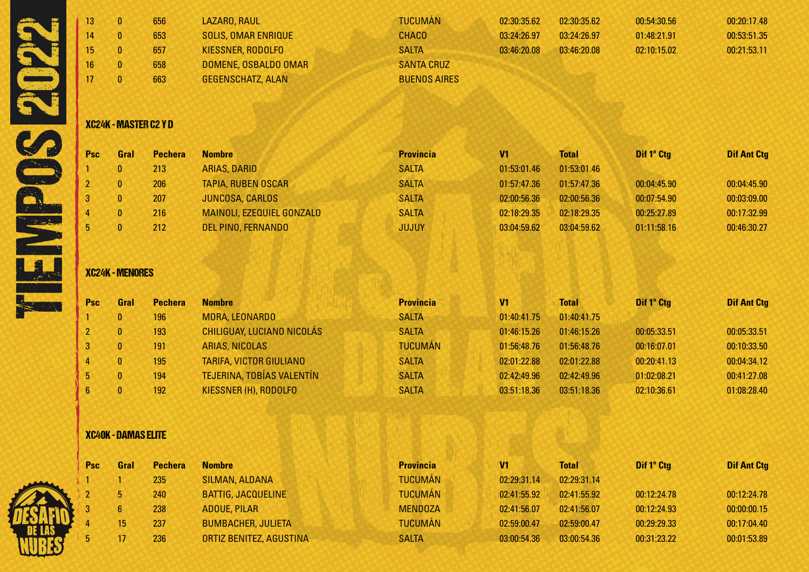| 13 | 656 | LAZARO, RAUL               | <b>TUCUMÁN</b>      | 02:30:35.62 | 02:30:35.62 | 00:54:30.56 | 00:20:17.48 |
|----|-----|----------------------------|---------------------|-------------|-------------|-------------|-------------|
| 14 | 653 | <b>SOLIS, OMAR ENRIQUE</b> | <b>CHACO</b>        | 03:24:26.97 | 03:24:26.97 | 01:48:21.91 | 00:53:51.35 |
| 15 | 657 | KIESSNER, RODOLFO          | <b>SALTA</b>        | 03:46:20.08 | 03:46:20.08 | 02:10:15.02 | 00:21:53.11 |
| 16 | 658 | DOMENE, OSBALDO OMAR       | <b>SANTA CRUZ</b>   |             |             |             |             |
|    | 663 | <b>GEGENSCHATZ, ALAN</b>   | <b>BUENOS AIRES</b> |             |             |             |             |
|    |     |                            |                     |             |             |             |             |

## XC24K - MASTER C2 Y D

| <b>Psc</b> | Gral | <b>Pechera</b> | <b>Nombre</b>             | <b>Provincia</b> | V <sub>1</sub> | <b>Total</b> | Dif 1° Ctg  | <b>Dif Ant Ctg</b> |
|------------|------|----------------|---------------------------|------------------|----------------|--------------|-------------|--------------------|
|            | 0    | 213            | ARIAS, DARIO              | <b>SALTA</b>     | 01:53:01.46    | 01:53:01.46  |             |                    |
|            |      | 206            | <b>TAPIA, RUBEN OSCAR</b> | <b>SALTA</b>     | 01:57:47.36    | 01:57:47.36  | 00:04:45.90 | 00:04:45.90        |
|            | 0    | 207            | <b>JUNCOSA, CARLOS</b>    | <b>SALTA</b>     | 02:00:56.36    | 02:00:56.36  | 00:07:54.90 | 00:03:09.00        |
|            | 0    | 216            | MAINOLI, EZEQUIEL GONZALO | <b>SALTA</b>     | 02:18:29.35    | 02:18:29.35  | 00:25:27.89 | 00:17:32.99        |
|            |      | 212            | DEL PINO, FERNANDO        | <b>JUJUY</b>     | 03:04:59.62    | 03:04:59.62  | 01:11:58.16 | 00:46:30.27        |

### XC24K - MENORES

| <b>Psc</b>     | Gral         | <b>Pechera</b> | <b>Nombre</b>                  | <b>Provincia</b> | V <sub>1</sub> | <b>Total</b> | Dif 1° Ctg  | <b>Dif Ant Ctg</b> |
|----------------|--------------|----------------|--------------------------------|------------------|----------------|--------------|-------------|--------------------|
|                | $\mathbf{0}$ | 196            | MORA, LEONARDO                 | <b>SALTA</b>     | 01:40:41.75    | 01:40:41.75  |             |                    |
| $\overline{2}$ | $\mathbf{0}$ | 193            | CHILIGUAY, LUCIANO NICOLÁS     | <b>SALTA</b>     | 01:46:15.26    | 01:46:15.26  | 00:05:33.51 | 00:05:33.51        |
|                | $\mathbf{0}$ | 191            | ARIAS, NICOLAS                 | <b>TUCUMÁN</b>   | 01:56:48.76    | 01:56:48.76  | 00:16:07.01 | 00:10:33.50        |
| $\overline{4}$ | $\mathbf{0}$ | 195            | <b>TARIFA, VICTOR GIULIANO</b> | <b>SALTA</b>     | 02:01:22.88    | 02:01:22.88  | 00:20:41.13 | 00:04:34.12        |
| 5.             | $\mathbf{0}$ | 194            | TEJERINA, TOBÍAS VALENTÍN      | <b>SALTA</b>     | 02:42:49.96    | 02:42:49.96  | 01:02:08.21 | 00:41:27.08        |
| 6.             | $\mathbf{0}$ | 192            | KIESSNER (H), RODOLFO          | <b>SALTA</b>     | 03:51:18.36    | 03:51:18.36  | 02:10:36.61 | 01:08:28.40        |

# XC40K - DAMAS ELITE

| Psc | Gral            | <b>Pechera</b> | <b>Nombre</b>             | <b>Provincia</b> | V1          | <b>Total</b> | Dif 1° Ctg  | <b>Dif Ant Ctg</b> |
|-----|-----------------|----------------|---------------------------|------------------|-------------|--------------|-------------|--------------------|
|     |                 | 235            | SILMAN, ALDANA            | <b>TUCUMÁN</b>   | 02:29:31.14 | 02:29:31.14  |             |                    |
|     |                 | 240            | <b>BATTIG, JACQUELINE</b> | <b>TUCUMÁN</b>   | 02:41:55.92 | 02:41:55.92  | 00:12:24.78 | 00:12:24.78        |
|     |                 | 238            | <b>ADOUE, PILAR</b>       | <b>MENDOZA</b>   | 02:41:56.07 | 02:41:56.07  | 00:12:24.93 | 00:00:00.15        |
|     | 15 <sup>1</sup> | 237            | <b>BUMBACHER, JULIETA</b> | <b>TUCUMÁN</b>   | 02:59:00.47 | 02:59:00.47  | 00:29:29.33 | 00:17:04.40        |
|     |                 | 236            | ORTIZ BENITEZ, AGUSTINA   | <b>SALTA</b>     | 03:00:54.36 | 03:00:54.36  | 00:31:23.22 | 00:01:53.89        |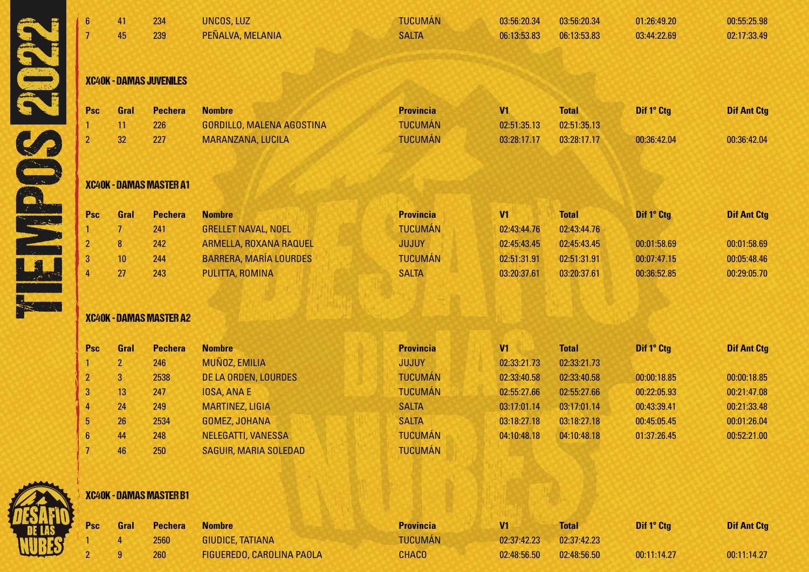| $6\phantom{1}$ | 41             | 234                            | <b>UNCOS, LUZ</b>             | <b>TUCUMÁN</b>   | 03:56:20.34    | 03:56:20.34  | 01:26:49.20 | 00:55:25.98        |
|----------------|----------------|--------------------------------|-------------------------------|------------------|----------------|--------------|-------------|--------------------|
| $\overline{7}$ | 45             | 239                            | PEÑALVA, MELANIA              | <b>SALTA</b>     | 06:13:53.83    | 06:13:53.83  | 03:44:22.69 | 02:17:33.49        |
|                |                |                                |                               |                  |                |              |             |                    |
|                |                | <b>XC40K - DAMAS JUVENILES</b> |                               |                  |                |              |             |                    |
| <b>Psc</b>     | Gral           | <b>Pechera</b>                 | <b>Nombre</b>                 | <b>Provincia</b> | V1             | <b>Total</b> | Dif 1° Ctg  | <b>Dif Ant Ctg</b> |
|                | 11             | 226                            | GORDILLO, MALENA AGOSTINA     | <b>TUCUMÁN</b>   | 02:51:35.13    | 02:51:35.13  |             |                    |
| $\overline{2}$ | 32             | 227                            | MARANZANA, LUCILA             | <b>TUCUMÁN</b>   | 03:28:17.17    | 03:28:17.17  | 00:36:42.04 | 00:36:42.04        |
|                |                | <b>XC40K - DAMAS MASTER A1</b> |                               |                  |                |              |             |                    |
| <b>Psc</b>     | Gral           | <b>Pechera</b>                 | <b>Nombre</b>                 | <b>Provincia</b> | V1             | <b>Total</b> | Dif 1° Ctg  | <b>Dif Ant Ctg</b> |
|                | 7              | 241                            | <b>GRELLET NAVAL, NOEL</b>    | <b>TUCUMÁN</b>   | 02:43:44.76    | 02:43:44.76  |             |                    |
|                | $\bf{8}$       | 242                            | ARMELLA, ROXANA RAQUEL        | <b>JUJUY</b>     | 02:45:43.45    | 02:45:43.45  | 00:01:58.69 | 00:01:58.69        |
|                | 10             | 244                            | <b>BARRERA, MARÍA LOURDES</b> | <b>TUCUMÁN</b>   | 02:51:31.91    | 02:51:31.91  | 00:07:47.15 | 00:05:48.46        |
|                | 27             | 243                            | PULITTA, ROMINA               | <b>SALTA</b>     | 03:20:37.61    | 03:20:37.61  | 00:36:52.85 | 00:29:05.70        |
|                |                | <b>XC40K - DAMAS MASTER A2</b> |                               |                  |                |              |             |                    |
| Psc            | Gral           | <b>Pechera</b>                 | <b>Nombre</b>                 | <b>Provincia</b> | V <sub>1</sub> | <b>Total</b> | Dif 1° Ctg  | <b>Dif Ant Ctg</b> |
|                | 2 <sup>2</sup> | 246                            | MUÑOZ, EMILIA                 | <b>JUJUY</b>     | 02:33:21.73    | 02:33:21.73  |             |                    |
| $\overline{2}$ | $\overline{3}$ | 2538                           | DE LA ORDEN, LOURDES          | <b>TUCUMÁN</b>   | 02:33:40.58    | 02:33:40.58  | 00:00:18.85 | 00:00:18.85        |
| 3              | 13             | 247                            | <b>IOSA, ANA E</b>            | <b>TUCUMÁN</b>   | 02:55:27.66    | 02:55:27.66  | 00:22:05.93 | 00:21:47.08        |
|                | 24             | 249                            | <b>MARTINEZ, LIGIA</b>        | <b>SALTA</b>     | 03:17:01.14    | 03:17:01.14  | 00:43:39.41 | 00:21:33.48        |
| 5              | 26             | 2534                           | <b>GOMEZ, JOHANA</b>          | <b>SALTA</b>     | 03:18:27.18    | 03:18:27.18  | 00:45:05.45 | 00:01:26.04        |
| 6              | 44             | 248                            | NELEGATTI, VANESSA            | <b>TUCUMÁN</b>   | 04:10:48.18    | 04:10:48.18  | 01:37:26.45 | 00:52:21.00        |
| 7              | 46             | 250                            | <b>SAGUIR, MARIA SOLEDAD</b>  | <b>TUCUMÁN</b>   |                |              |             |                    |
|                |                | <b>XC40K - DAMAS MASTER B1</b> |                               |                  |                |              |             |                    |
| <b>Psc</b>     | Gral           | <b>Pechera</b>                 | <b>Nombre</b>                 | <b>Provincia</b> | V <sub>1</sub> | <b>Total</b> | Dif 1° Ctg  | <b>Dif Ant Ctg</b> |
|                |                | 2560                           | <b>GIUDICE, TATIANA</b>       | <b>TUCUMÁN</b>   | 02:37:42.23    | 02:37:42.23  |             |                    |
|                | g              | 260                            | FIGUEREDO, CAROLINA PAOLA     | <b>CHACO</b>     | 02:48:56.50    | 02:48:56.50  | 00:11:14.27 | 00:11:14.27        |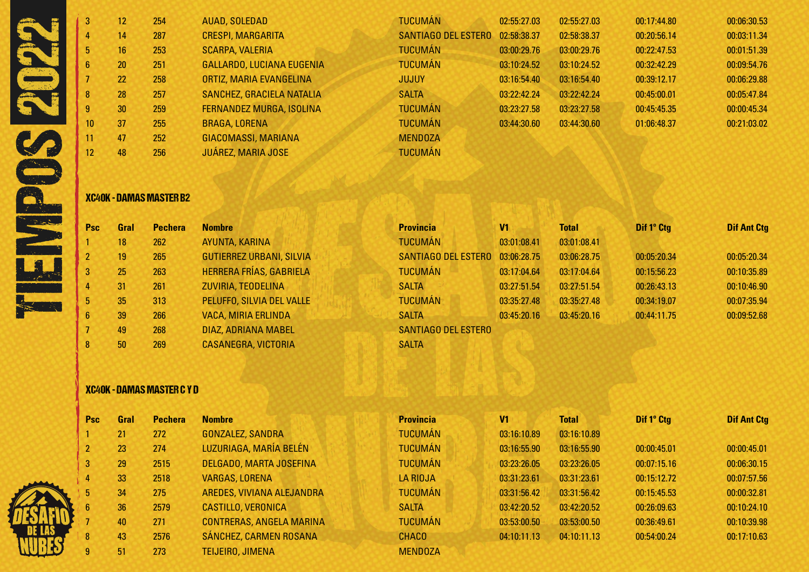| 3               | 12 <sup>°</sup> | 254 | AUAD, SOLEDAD                   | <b>TUCUMÁN</b>             | 02:55:27.03 | 02:55:27.03 | 00:17:44.80 | 00:06:30.53 |
|-----------------|-----------------|-----|---------------------------------|----------------------------|-------------|-------------|-------------|-------------|
|                 | 14              | 287 | <b>CRESPI, MARGARITA</b>        | <b>SANTIAGO DEL ESTERO</b> | 02:58:38.37 | 02:58:38.37 | 00:20:56.14 | 00:03:11.34 |
| 5.              | 16              | 253 | <b>SCARPA, VALERIA</b>          | <b>TUCUMÁN</b>             | 03:00:29.76 | 03:00:29.76 | 00:22:47.53 | 00:01:51.39 |
| 6               | 20              | 251 | GALLARDO, LUCIANA EUGENIA       | <b>TUCUMÁN</b>             | 03:10:24.52 | 03:10:24.52 | 00:32:42.29 | 00:09:54.76 |
|                 | 22              | 258 | ORTIZ, MARIA EVANGELINA         | <b>JUJUY</b>               | 03:16:54.40 | 03:16:54.40 | 00:39:12.17 | 00:06:29.88 |
| 8               | 28              | 257 | SANCHEZ, GRACIELA NATALIA       | <b>SALTA</b>               | 03:22:42.24 | 03:22:42.24 | 00:45:00.01 | 00:05:47.84 |
|                 | 30              | 259 | <b>FERNANDEZ MURGA, ISOLINA</b> | <b>TUCUMÁN</b>             | 03:23:27.58 | 03:23:27.58 | 00:45:45.35 | 00:00:45.34 |
| 10 <sup>°</sup> | 37              | 255 | <b>BRAGA, LORENA</b>            | <b>TUCUMÁN</b>             | 03:44:30.60 | 03:44:30.60 | 01:06:48.37 | 00:21:03.02 |
| 11              | 47              | 252 | GIACOMASSI, MARIANA             | <b>MENDOZA</b>             |             |             |             |             |
| 12 <sup>2</sup> | 48              | 256 | <b>JUÁREZ, MARIA JOSE</b>       | <b>TUCUMÁN</b>             |             |             |             |             |
|                 |                 |     |                                 |                            |             |             |             |             |

## XC40K - DAMAS MASTER B2

| <b>Psc</b>              | Gral | <b>Pechera</b> | <b>Nombre</b>                   | <b>Provincia</b>           | V1          | <b>Total</b> | Dif 1º Ctg  | <b>Dif Ant Ctg</b> |
|-------------------------|------|----------------|---------------------------------|----------------------------|-------------|--------------|-------------|--------------------|
|                         | 18   | 262            | AYUNTA, KARINA                  | <b>TUCUMÁN</b>             | 03:01:08.41 | 03:01:08.41  |             |                    |
| $\overline{2}$          | 19   | 265            | <b>GUTIERREZ URBANI, SILVIA</b> | <b>SANTIAGO DEL ESTERO</b> | 03:06:28.75 | 03:06:28.75  | 00:05:20.34 | 00:05:20.34        |
| 3 <sup>2</sup>          | 25   | 263            | <b>HERRERA FRÍAS, GABRIELA</b>  | <b>TUCUMÁN</b>             | 03:17:04.64 | 03:17:04.64  | 00:15:56.23 | 00:10:35.89        |
| 4                       | 31   | 261            | ZUVIRIA, TEODELINA              | <b>SALTA</b>               | 03:27:51.54 | 03:27:51.54  | 00:26:43.13 | 00:10:46.90        |
| 5 <sub>1</sub>          | 35   | 313            | PELUFFO, SILVIA DEL VALLE       | <b>TUCUMÁN</b>             | 03:35:27.48 | 03:35:27.48  | 00:34:19.07 | 00:07:35.94        |
| 6 <sup>1</sup>          | 39   | 266            | <b>VACA, MIRIA ERLINDA</b>      | <b>SALTA</b>               | 03:45:20.16 | 03:45:20.16  | 00:44:11.75 | 00:09:52.68        |
|                         | 49   | 268            | DIAZ, ADRIANA MABEL             | <b>SANTIAGO DEL ESTERO</b> |             |              |             |                    |
| $\overline{\mathbf{8}}$ | 50   | 269            | <b>CASANEGRA, VICTORIA</b>      | <b>SALTA</b>               |             |              |             |                    |

## XC40K - DAMAS MASTER C Y D

| <b>Psc</b>     | Gral | <b>Pechera</b> | <b>Nombre</b>                   | <b>Provincia</b> | V1          | <b>Total</b> | Dif 1° Ctg  | <b>Dif Ant Ctg</b> |
|----------------|------|----------------|---------------------------------|------------------|-------------|--------------|-------------|--------------------|
|                | 21   | 272            | <b>GONZALEZ, SANDRA</b>         | <b>TUCUMÁN</b>   | 03:16:10.89 | 03:16:10.89  |             |                    |
| $\overline{2}$ | 23   | 274            | LUZURIAGA, MARÍA BELÉN          | <b>TUCUMÁN</b>   | 03:16:55.90 | 03:16:55.90  | 00:00:45.01 | 00:00:45.01        |
| 3              | 29   | 2515           | DELGADO, MARTA JOSEFINA         | <b>TUCUMÁN</b>   | 03:23:26.05 | 03:23:26.05  | 00:07:15.16 | 00:06:30.15        |
| 4              | 33   | 2518           | <b>VARGAS, LORENA</b>           | LA RIOJA         | 03:31:23.61 | 03:31:23.61  | 00:15:12.72 | 00:07:57.56        |
| 5              | 34   | 275            | AREDES, VIVIANA ALEJANDRA       | <b>TUCUMÁN</b>   | 03:31:56.42 | 03:31:56.42  | 00:15:45.53 | 00:00:32.81        |
| 6 <sup>1</sup> | 36   | 2579           | <b>CASTILLO, VERONICA</b>       | <b>SALTA</b>     | 03:42:20.52 | 03:42:20.52  | 00:26:09.63 | 00:10:24.10        |
|                | 40   | 271            | <b>CONTRERAS, ANGELA MARINA</b> | <b>TUCUMÁN</b>   | 03:53:00.50 | 03:53:00.50  | 00:36:49.61 | 00:10:39.98        |
| 8              | 43   | 2576           | SÁNCHEZ, CARMEN ROSANA          | <b>CHACO</b>     | 04:10:11.13 | 04:10:11.13  | 00:54:00.24 | 00:17:10.63        |
| 9              | 51   | 273            | TEIJEIRO, JIMENA                | <b>MENDOZA</b>   |             |              |             |                    |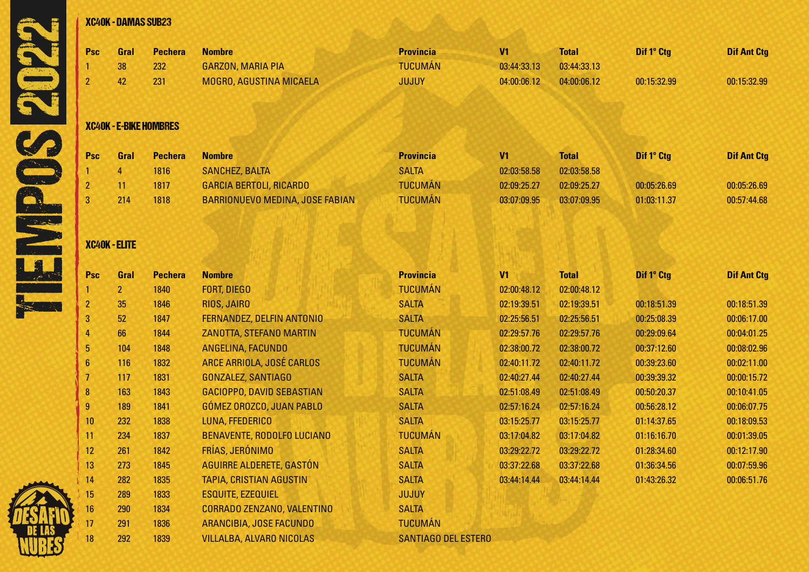

|                         | <b>XC40K - DAMAS SUB23</b> |                               |                                 |                            |                |              |             |                    |
|-------------------------|----------------------------|-------------------------------|---------------------------------|----------------------------|----------------|--------------|-------------|--------------------|
| Psc                     | Gral                       | <b>Pechera</b>                | <b>Nombre</b>                   | <b>Provincia</b>           | V <sub>1</sub> | <b>Total</b> | Dif 1° Ctg  | <b>Dif Ant Ctg</b> |
|                         | 38                         | 232                           | <b>GARZON, MARIA PIA</b>        | <b>TUCUMÁN</b>             | 03:44:33.13    | 03:44:33.13  |             |                    |
| $\overline{2}$          | 42                         | 231                           | MOGRO, AGUSTINA MICAELA         | <b>JUJUY</b>               | 04:00:06.12    | 04:00:06.12  | 00:15:32.99 | 00:15:32.99        |
|                         |                            | <b>XC40K - E-BIKE HOMBRES</b> |                                 |                            |                |              |             |                    |
| <b>Psc</b>              | Gral                       | <b>Pechera</b>                | <b>Nombre</b>                   | <b>Provincia</b>           | V <sub>1</sub> | <b>Total</b> | Dif 1° Ctg  | <b>Dif Ant Ctg</b> |
|                         | 4 <sup>1</sup>             | 1816                          | <b>SANCHEZ, BALTA</b>           | <b>SALTA</b>               | 02:03:58.58    | 02:03:58.58  |             |                    |
| 2                       | 11                         | 1817                          | <b>GARCIA BERTOLI, RICARDO</b>  | <b>TUCUMÁN</b>             | 02:09:25.27    | 02:09:25.27  | 00:05:26.69 | 00:05:26.69        |
| 3                       | 214                        | 1818                          | BARRIONUEVO MEDINA, JOSE FABIAN | <b>TUCUMÁN</b>             | 03:07:09.95    | 03:07:09.95  | 01:03:11.37 | 00:57:44.68        |
|                         | <b>XC40K - ELITE</b>       |                               |                                 |                            |                |              |             |                    |
| <b>Psc</b>              | Gral                       | <b>Pechera</b>                | <b>Nombre</b>                   | <b>Provincia</b>           | V1             | <b>Total</b> | Dif 1° Ctg  | <b>Dif Ant Ctg</b> |
|                         | 2 <sub>2</sub>             | 1840                          | <b>FORT, DIEGO</b>              | <b>TUCUMÁN</b>             | 02:00:48.12    | 02:00:48.12  |             |                    |
| $\overline{\mathbf{c}}$ | 35                         | 1846                          | RIOS, JAIRO                     | <b>SALTA</b>               | 02:19:39.51    | 02:19:39.51  | 00:18:51.39 | 00:18:51.39        |
| 3                       | 52                         | 1847                          | FERNANDEZ, DELFIN ANTONIO       | <b>SALTA</b>               | 02:25:56.51    | 02:25:56.51  | 00:25:08.39 | 00:06:17.00        |
| 4                       | 66                         | 1844                          | ZANOTTA, STEFANO MARTIN         | <b>TUCUMÁN</b>             | 02:29:57.76    | 02:29:57.76  | 00:29:09.64 | 00:04:01.25        |
| 5                       | 104                        | 1848                          | ANGELINA, FACUNDO               | <b>TUCUMÁN</b>             | 02:38:00.72    | 02:38:00.72  | 00:37:12.60 | 00:08:02.96        |
| $6\phantom{1}6$         | 116                        | 1832                          | ARCE ARRIOLA, JOSÉ CARLOS       | <b>TUCUMÁN</b>             | 02:40:11.72    | 02:40:11.72  | 00:39:23.60 | 00:02:11.00        |
| 7                       | 117                        | 1831                          | GONZALEZ, SANTIAGO              | <b>SALTA</b>               | 02:40:27.44    | 02:40:27.44  | 00:39:39.32 | 00:00:15.72        |
| $\boldsymbol{8}$        | 163                        | 1843                          | GACIOPPO, DAVID SEBASTIAN       | <b>SALTA</b>               | 02:51:08.49    | 02:51:08.49  | 00:50:20.37 | 00:10:41.05        |
| 9                       | 189                        | 1841                          | GÓMEZ OROZCO, JUAN PABLO        | <b>SALTA</b>               | 02:57:16.24    | 02:57:16.24  | 00:56:28.12 | 00:06:07.75        |
| 10                      | 232                        | 1838                          | LUNA, FFEDERICO                 | <b>SALTA</b>               | 03:15:25.77    | 03:15:25.77  | 01:14:37.65 | 00:18:09.53        |
| 11                      | 234                        | 1837                          | BENAVENTE, RODOLFO LUCIANO      | <b>TUCUMÁN</b>             | 03:17:04.82    | 03:17:04.82  | 01:16:16.70 | 00:01:39.05        |
| 12 <sub>2</sub>         | 261                        | 1842                          | FRÍAS, JERÓNIMO                 | <b>SALTA</b>               | 03:29:22.72    | 03:29:22.72  | 01:28:34.60 | 00:12:17.90        |
| 13                      | 273                        | 1845                          | AGUIRRE ALDERETE, GASTÓN        | <b>SALTA</b>               | 03:37:22.68    | 03:37:22.68  | 01:36:34.56 | 00:07:59.96        |
| 14                      | 282                        | 1835                          | <b>TAPIA, CRISTIAN AGUSTIN</b>  | <b>SALTA</b>               | 03:44:14.44    | 03:44:14.44  | 01:43:26.32 | 00:06:51.76        |
| 15                      | 289                        | 1833                          | <b>ESQUITE, EZEQUIEL</b>        | <b>JUJUY</b>               |                |              |             |                    |
| 16                      | 290                        | 1834                          | CORRADO ZENZANO, VALENTINO      | <b>SALTA</b>               |                |              |             |                    |
| 17                      | 291                        | 1836                          | ARANCIBIA, JOSE FACUNDO         | <b>TUCUMÁN</b>             |                |              |             |                    |
| 18                      | 292                        | 1839                          | <b>VILLALBA, ALVARO NICOLAS</b> | <b>SANTIAGO DEL ESTERO</b> |                |              |             |                    |

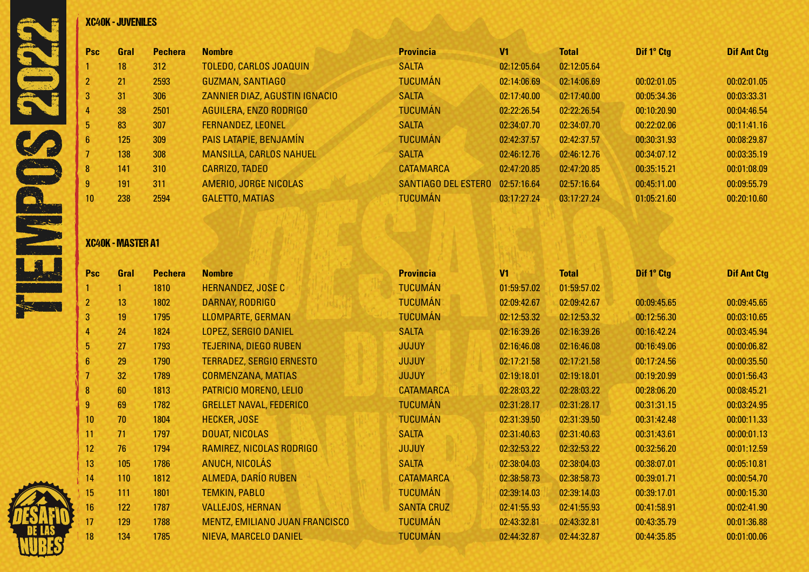

| Psc | Gral | <b>Pechera</b> | <b>Nombre</b>                  | <b>Provincia</b>           | V <sub>1</sub> | <b>Total</b> | Dif 1º Ctg  | <b>Dif Ant Ctg</b> |
|-----|------|----------------|--------------------------------|----------------------------|----------------|--------------|-------------|--------------------|
|     | 18   | 312            | <b>TOLEDO, CARLOS JOAQUIN</b>  | <b>SALTA</b>               | 02:12:05.64    | 02:12:05.64  |             |                    |
|     | 21   | 2593           | <b>GUZMAN, SANTIAGO</b>        | <b>TUCUMÁN</b>             | 02:14:06.69    | 02:14:06.69  | 00:02:01.05 | 00:02:01.05        |
|     | 31   | 306            | ZANNIER DIAZ, AGUSTIN IGNACIO  | <b>SALTA</b>               | 02:17:40.00    | 02:17:40.00  | 00:05:34.36 | 00:03:33.31        |
|     | 38   | 2501           | AGUILERA, ENZO RODRIGO         | <b>TUCUMÁN</b>             | 02:22:26.54    | 02:22:26.54  | 00:10:20.90 | 00:04:46.54        |
|     | 83   | 307            | <b>FERNANDEZ, LEONEL</b>       | <b>SALTA</b>               | 02:34:07.70    | 02:34:07.70  | 00:22:02.06 | 00:11:41.16        |
|     | 125  | 309            | PAIS LATAPIE, BENJAMÍN         | <b>TUCUMÁN</b>             | 02:42:37.57    | 02:42:37.57  | 00:30:31.93 | 00:08:29.87        |
|     | 138  | 308            | <b>MANSILLA, CARLOS NAHUEL</b> | <b>SALTA</b>               | 02:46:12.76    | 02:46:12.76  | 00:34:07.12 | 00:03:35.19        |
|     | 141  | 310            | <b>CARRIZO, TADEO</b>          | <b>CATAMARCA</b>           | 02:47:20.85    | 02:47:20.85  | 00:35:15.21 | 00:01:08.09        |
|     | 191  | 311            | AMERIO, JORGE NICOLAS          | <b>SANTIAGO DEL ESTERO</b> | 02:57:16.64    | 02:57:16.64  | 00:45:11.00 | 00:09:55.79        |
|     | 238  | 2594           | <b>GALETTO, MATIAS</b>         | <b>TUCUMÁN</b>             | 03:17:27.24    | 03:17:27.24  | 01:05:21.60 | 00:20:10.60        |

### XC40K - MASTER A1

| <b>Psc</b>      | Gral | <b>Pechera</b> | <b>Nombre</b>                   | <b>Provincia</b>  | V <sub>1</sub> | <b>Total</b> | Dif 1° Ctg  | <b>Dif Ant Ctg</b> |
|-----------------|------|----------------|---------------------------------|-------------------|----------------|--------------|-------------|--------------------|
|                 |      | 1810           | <b>HERNANDEZ, JOSE C</b>        | <b>TUCUMÁN</b>    | 01:59:57.02    | 01:59:57.02  |             |                    |
| $\overline{2}$  | 13   | 1802           | <b>DARNAY, RODRIGO</b>          | <b>TUCUMÁN</b>    | 02:09:42.67    | 02:09:42.67  | 00:09:45.65 | 00:09:45.65        |
| 3               | 19   | 1795           | LLOMPARTE, GERMAN               | <b>TUCUMÁN</b>    | 02:12:53.32    | 02:12:53.32  | 00:12:56.30 | 00:03:10.65        |
| 4               | 24   | 1824           | <b>LOPEZ, SERGIO DANIEL</b>     | <b>SALTA</b>      | 02:16:39.26    | 02:16:39.26  | 00:16:42.24 | 00:03:45.94        |
| 5               | 27   | 1793           | <b>TEJERINA, DIEGO RUBEN</b>    | <b>JUJUY</b>      | 02:16:46.08    | 02:16:46.08  | 00:16:49.06 | 00:00:06.82        |
| $6\phantom{1}$  | 29   | 1790           | <b>TERRADEZ, SERGIO ERNESTO</b> | <b>JUJUY</b>      | 02:17:21.58    | 02:17:21.58  | 00:17:24.56 | 00:00:35.50        |
|                 | 32   | 1789           | <b>CORMENZANA, MATIAS</b>       | <b>JUJUY</b>      | 02:19:18.01    | 02:19:18.01  | 00:19:20.99 | 00:01:56.43        |
| 8               | 60   | 1813           | PATRICIO MORENO, LELIO          | <b>CATAMARCA</b>  | 02:28:03.22    | 02:28:03.22  | 00:28:06.20 | 00:08:45.21        |
| 9               | 69   | 1782           | <b>GRELLET NAVAL, FEDERICO</b>  | <b>TUCUMÁN</b>    | 02:31:28.17    | 02:31:28.17  | 00:31:31.15 | 00:03:24.95        |
| 10 <sup>°</sup> | 70   | 1804           | <b>HECKER, JOSE</b>             | <b>TUCUMÁN</b>    | 02:31:39.50    | 02:31:39.50  | 00:31:42.48 | 00:00:11.33        |
| 11              | 71   | 1797           | <b>DOUAT, NICOLAS</b>           | <b>SALTA</b>      | 02:31:40.63    | 02:31:40.63  | 00:31:43.61 | 00:00:01.13        |
| 12              | 76   | 1794           | RAMIREZ, NICOLAS RODRIGO        | <b>JUJUY</b>      | 02:32:53.22    | 02:32:53.22  | 00:32:56.20 | 00:01:12.59        |
| 13              | 105  | 1786           | <b>ANUCH, NICOLÁS</b>           | <b>SALTA</b>      | 02:38:04.03    | 02:38:04.03  | 00:38:07.01 | 00:05:10.81        |
| 14              | 110  | 1812           | <b>ALMEDA, DARÍO RUBEN</b>      | <b>CATAMARCA</b>  | 02:38:58.73    | 02:38:58.73  | 00:39:01.71 | 00:00:54.70        |
| 15              | 111  | 1801           | <b>TEMKIN, PABLO</b>            | <b>TUCUMÁN</b>    | 02:39:14.03    | 02:39:14.03  | 00:39:17.01 | 00:00:15.30        |
| 16              | 122  | 1787           | <b>VALLEJOS, HERNAN</b>         | <b>SANTA CRUZ</b> | 02:41:55.93    | 02:41:55.93  | 00:41:58.91 | 00:02:41.90        |
| 17              | 129  | 1788           | MENTZ, EMILIANO JUAN FRANCISCO  | <b>TUCUMÁN</b>    | 02:43:32.81    | 02:43:32.81  | 00:43:35.79 | 00:01:36.88        |
| 18              | 134  | 1785           | NIEVA, MARCELO DANIEL           | <b>TUCUMÁN</b>    | 02:44:32.87    | 02:44:32.87  | 00:44:35.85 | 00:01:00.06        |

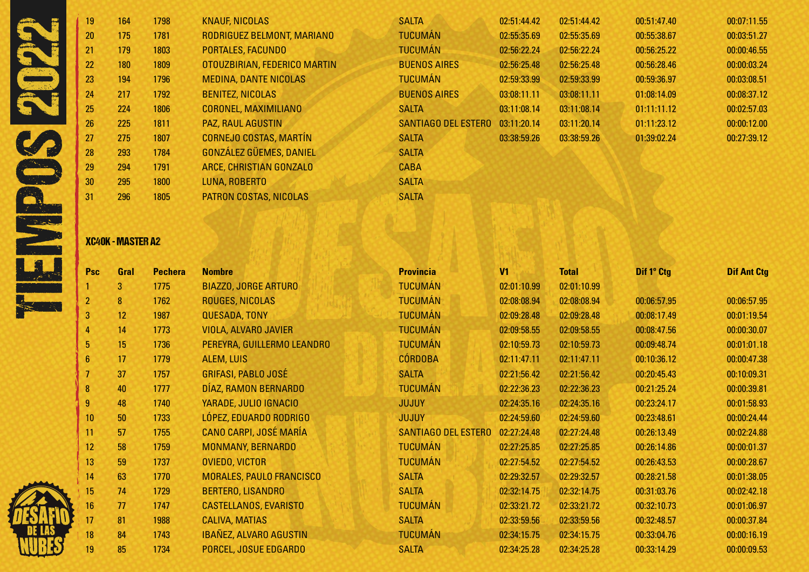| 19 | 164 | 1798 | <b>KNAUF, NICOLAS</b>          | <b>SALTA</b>               | 02:51:44.42 | 02:51:44.42 | 00:51:47.40 | 00:07:11.55 |
|----|-----|------|--------------------------------|----------------------------|-------------|-------------|-------------|-------------|
| 20 | 175 | 1781 | RODRIGUEZ BELMONT, MARIANO     | <b>TUCUMÁN</b>             | 02:55:35.69 | 02:55:35.69 | 00:55:38.67 | 00:03:51.27 |
| 21 | 179 | 1803 | <b>PORTALES, FACUNDO</b>       | <b>TUCUMÁN</b>             | 02:56:22.24 | 02:56:22.24 | 00:56:25.22 | 00:00:46.55 |
| 22 | 180 | 1809 | OTOUZBIRIAN, FEDERICO MARTIN   | <b>BUENOS AIRES</b>        | 02:56:25.48 | 02:56:25.48 | 00:56:28.46 | 00:00:03.24 |
| 23 | 194 | 1796 | <b>MEDINA, DANTE NICOLAS</b>   | <b>TUCUMÁN</b>             | 02:59:33.99 | 02:59:33.99 | 00:59:36.97 | 00:03:08.51 |
| 24 | 217 | 1792 | <b>BENITEZ, NICOLAS</b>        | <b>BUENOS AIRES</b>        | 03:08:11.11 | 03:08:11.11 | 01:08:14.09 | 00:08:37.12 |
| 25 | 224 | 1806 | <b>CORONEL, MAXIMILIANO</b>    | <b>SALTA</b>               | 03:11:08.14 | 03:11:08.14 | 01:11:11.12 | 00:02:57.03 |
| 26 | 225 | 1811 | <b>PAZ, RAUL AGUSTIN</b>       | <b>SANTIAGO DEL ESTERO</b> | 03:11:20.14 | 03:11:20.14 | 01:11:23.12 | 00:00:12.00 |
| 27 | 275 | 1807 | <b>CORNEJO COSTAS, MARTÍN</b>  | <b>SALTA</b>               | 03:38:59.26 | 03:38:59.26 | 01:39:02.24 | 00:27:39.12 |
| 28 | 293 | 1784 | <b>GONZÁLEZ GÜEMES, DANIEL</b> | <b>SALTA</b>               |             |             |             |             |
| 29 | 294 | 1791 | ARCE, CHRISTIAN GONZALO        | <b>CABA</b>                |             |             |             |             |
| 30 | 295 | 1800 | LUNA, ROBERTO                  | <b>SALTA</b>               |             |             |             |             |
| 31 | 296 | 1805 | PATRON COSTAS, NICOLAS         | <b>SALTA</b>               |             |             |             |             |

# XC40K - MASTER A2

| <b>Psc</b>      | Gral | <b>Pechera</b> | <b>Nombre</b>                   | <b>Provincia</b>           | V <sub>1</sub> | <b>Total</b> | Dif 1° Ctg  | <b>Dif Ant Ctg</b> |
|-----------------|------|----------------|---------------------------------|----------------------------|----------------|--------------|-------------|--------------------|
|                 | 3    | 1775           | <b>BIAZZO, JORGE ARTURO</b>     | <b>TUCUMÁN</b>             | 02:01:10.99    | 02:01:10.99  |             |                    |
| $\overline{2}$  | 8    | 1762           | <b>ROUGES, NICOLAS</b>          | <b>TUCUMÁN</b>             | 02:08:08.94    | 02:08:08.94  | 00:06:57.95 | 00:06:57.95        |
| 3               | 12   | 1987           | <b>QUESADA, TONY</b>            | <b>TUCUMÁN</b>             | 02:09:28.48    | 02:09:28.48  | 00:08:17.49 | 00:01:19.54        |
| $\overline{4}$  | 14   | 1773           | <b>VIOLA, ALVARO JAVIER</b>     | <b>TUCUMÁN</b>             | 02:09:58.55    | 02:09:58.55  | 00:08:47.56 | 00:00:30.07        |
| $5\phantom{.0}$ | 15   | 1736           | PEREYRA, GUILLERMO LEANDRO      | <b>TUCUMÁN</b>             | 02:10:59.73    | 02:10:59.73  | 00:09:48.74 | 00:01:01.18        |
| $6\phantom{a}$  | 17   | 1779           | <b>ALEM, LUIS</b>               | <b>CÓRDOBA</b>             | 02:11:47.11    | 02:11:47.11  | 00:10:36.12 | 00:00:47.38        |
| $\overline{7}$  | 37   | 1757           | <b>GRIFASI, PABLO JOSÉ</b>      | <b>SALTA</b>               | 02:21:56.42    | 02:21:56.42  | 00:20:45.43 | 00:10:09.31        |
| $\bf 8$         | 40   | 1777           | DÍAZ, RAMON BERNARDO            | <b>TUCUMÁN</b>             | 02:22:36.23    | 02:22:36.23  | 00:21:25.24 | 00:00:39.81        |
| 9               | 48   | 1740           | YARADE, JULIO IGNACIO           | <b>JUJUY</b>               | 02:24:35.16    | 02:24:35.16  | 00:23:24.17 | 00:01:58.93        |
| 10              | 50   | 1733           | LÓPEZ, EDUARDO RODRIGO          | <b>JUJUY</b>               | 02:24:59.60    | 02:24:59.60  | 00:23:48.61 | 00:00:24.44        |
| 11              | 57   | 1755           | <b>CANO CARPI, JOSÉ MARÍA</b>   | <b>SANTIAGO DEL ESTERO</b> | 02:27:24.48    | 02:27:24.48  | 00:26:13.49 | 00:02:24.88        |
| 12              | 58   | 1759           | MONMANY, BERNARDO               | <b>TUCUMÁN</b>             | 02:27:25.85    | 02:27:25.85  | 00:26:14.86 | 00:00:01.37        |
| 13              | 59   | 1737           | <b>OVIEDO, VICTOR</b>           | <b>TUCUMÁN</b>             | 02:27:54.52    | 02:27:54.52  | 00:26:43.53 | 00:00:28.67        |
| 14              | 63   | 1770           | <b>MORALES, PAULO FRANCISCO</b> | <b>SALTA</b>               | 02:29:32.57    | 02:29:32.57  | 00:28:21.58 | 00:01:38.05        |
| 15              | 74   | 1729           | <b>BERTERO, LISANDRO</b>        | <b>SALTA</b>               | 02:32:14.75    | 02:32:14.75  | 00:31:03.76 | 00:02:42.18        |
| 16              | 77   | 1747           | CASTELLANOS, EVARISTO           | <b>TUCUMÁN</b>             | 02:33:21.72    | 02:33:21.72  | 00:32:10.73 | 00:01:06.97        |
| 17              | 81   | 1988           | <b>CALIVA, MATIAS</b>           | <b>SALTA</b>               | 02:33:59.56    | 02:33:59.56  | 00:32:48.57 | 00:00:37.84        |
| 18              | 84   | 1743           | <b>IBAÑEZ, ALVARO AGUSTIN</b>   | <b>TUCUMÁN</b>             | 02:34:15.75    | 02:34:15.75  | 00:33:04.76 | 00:00:16.19        |
| 19              | 85   | 1734           | PORCEL, JOSUE EDGARDO           | <b>SALTA</b>               | 02:34:25.28    | 02:34:25.28  | 00:33:14.29 | 00:00:09.53        |

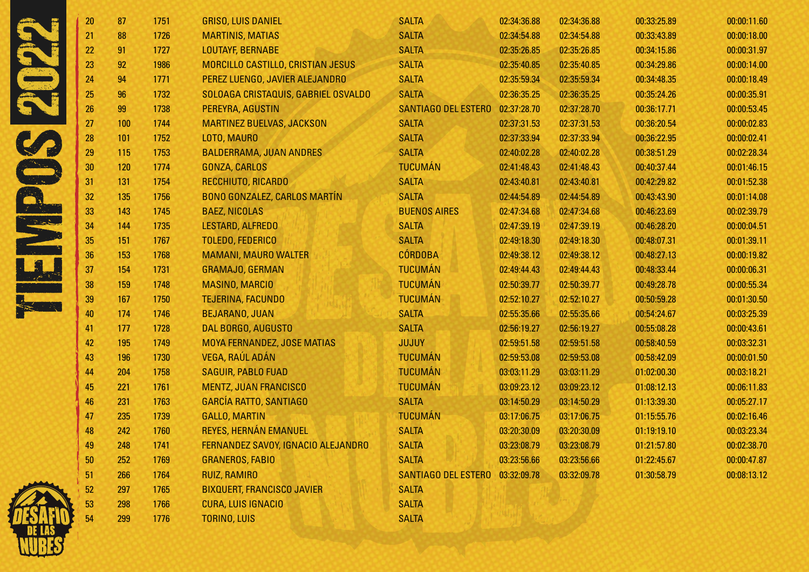| 20              | 87  | 1751 | <b>GRISO, LUIS DANIEL</b>           | <b>SALTA</b>               | 02:34:36.88 | 02:34:36.88 | 00:33:25.89 | 00:00:11.60 |
|-----------------|-----|------|-------------------------------------|----------------------------|-------------|-------------|-------------|-------------|
| 21              | 88  | 1726 | <b>MARTINIS, MATIAS</b>             | <b>SALTA</b>               | 02:34:54.88 | 02:34:54.88 | 00:33:43.89 | 00:00:18.00 |
| 22              | 91  | 1727 | <b>LOUTAYF, BERNABE</b>             | <b>SALTA</b>               | 02:35:26.85 | 02:35:26.85 | 00:34:15.86 | 00:00:31.97 |
| 23              | 92  | 1986 | MORCILLO CASTILLO, CRISTIAN JESUS   | <b>SALTA</b>               | 02:35:40.85 | 02:35:40.85 | 00:34:29.86 | 00:00:14.00 |
| 24              | 94  | 1771 | PEREZ LUENGO, JAVIER ALEJANDRO      | <b>SALTA</b>               | 02:35:59.34 | 02:35:59.34 | 00:34:48.35 | 00:00:18.49 |
| 25              | 96  | 1732 | SOLOAGA CRISTAQUIS, GABRIEL OSVALDO | <b>SALTA</b>               | 02:36:35.25 | 02:36:35.25 | 00:35:24.26 | 00:00:35.91 |
| 26 <sup>°</sup> | 99  | 1738 | PEREYRA, AGUSTIN                    | <b>SANTIAGO DEL ESTERO</b> | 02:37:28.70 | 02:37:28.70 | 00:36:17.71 | 00:00:53.45 |
| 27              | 100 | 1744 | <b>MARTINEZ BUELVAS, JACKSON</b>    | <b>SALTA</b>               | 02:37:31.53 | 02:37:31.53 | 00:36:20.54 | 00:00:02.83 |
| 28              | 101 | 1752 | LOTO, MAURO                         | <b>SALTA</b>               | 02:37:33.94 | 02:37:33.94 | 00:36:22.95 | 00:00:02.41 |
| 29              | 115 | 1753 | <b>BALDERRAMA, JUAN ANDRES</b>      | <b>SALTA</b>               | 02:40:02.28 | 02:40:02.28 | 00:38:51.29 | 00:02:28.34 |
| 30              | 120 | 1774 | GONZA, CARLOS                       | <b>TUCUMÁN</b>             | 02:41:48.43 | 02:41:48.43 | 00:40:37.44 | 00:01:46.15 |
| 31              | 131 | 1754 | RECCHIUTO, RICARDO                  | <b>SALTA</b>               | 02:43:40.81 | 02:43:40.81 | 00:42:29.82 | 00:01:52.38 |
| 32              | 135 | 1756 | <b>BONO GONZALEZ, CARLOS MARTÍN</b> | <b>SALTA</b>               | 02:44:54.89 | 02:44:54.89 | 00:43:43.90 | 00:01:14.08 |
| 33              | 143 | 1745 | <b>BAEZ, NICOLAS</b>                | <b>BUENOS AIRES</b>        | 02:47:34.68 | 02:47:34.68 | 00:46:23.69 | 00:02:39.79 |
| 34              | 144 | 1735 | LESTARD, ALFREDO                    | <b>SALTA</b>               | 02:47:39.19 | 02:47:39.19 | 00:46:28.20 | 00:00:04.51 |
| 35              | 151 | 1767 | <b>TOLEDO, FEDERICO</b>             | <b>SALTA</b>               | 02:49:18.30 | 02:49:18.30 | 00:48:07.31 | 00:01:39.11 |
| 36              | 153 | 1768 | <b>MAMANI, MAURO WALTER</b>         | <b>CÓRDOBA</b>             | 02:49:38.12 | 02:49:38.12 | 00:48:27.13 | 00:00:19.82 |
| 37              | 154 | 1731 | <b>GRAMAJO, GERMAN</b>              | <b>TUCUMÁN</b>             | 02:49:44.43 | 02:49:44.43 | 00:48:33.44 | 00:00:06.31 |
| 38              | 159 | 1748 | <b>MASINO, MARCIO</b>               | <b>TUCUMÁN</b>             | 02:50:39.77 | 02:50:39.77 | 00:49:28.78 | 00:00:55.34 |
| 39              | 167 | 1750 | <b>TEJERINA, FACUNDO</b>            | <b>TUCUMÁN</b>             | 02:52:10.27 | 02:52:10.27 | 00:50:59.28 | 00:01:30.50 |
| 40              | 174 | 1746 | <b>BEJARANO, JUAN</b>               | <b>SALTA</b>               | 02:55:35.66 | 02:55:35.66 | 00:54:24.67 | 00:03:25.39 |
| 41              | 177 | 1728 | DAL BORGO, AUGUSTO                  | <b>SALTA</b>               | 02:56:19.27 | 02:56:19.27 | 00:55:08.28 | 00:00:43.61 |
| 42              | 195 | 1749 | MOYA FERNANDEZ, JOSE MATIAS         | <b>JUJUY</b>               | 02:59:51.58 | 02:59:51.58 | 00:58:40.59 | 00:03:32.31 |
| 43              | 196 | 1730 | VEGA, RAÚL ADÁN                     | <b>TUCUMÁN</b>             | 02:59:53.08 | 02:59:53.08 | 00:58:42.09 | 00:00:01.50 |
| 44              | 204 | 1758 | <b>SAGUIR, PABLO FUAD</b>           | <b>TUCUMÁN</b>             | 03:03:11.29 | 03:03:11.29 | 01:02:00.30 | 00:03:18.21 |
| 45              | 221 | 1761 | <b>MENTZ, JUAN FRANCISCO</b>        | <b>TUCUMÁN</b>             | 03:09:23.12 | 03:09:23.12 | 01:08:12.13 | 00:06:11.83 |
| 46              | 231 | 1763 | <b>GARCÍA RATTO, SANTIAGO</b>       | <b>SALTA</b>               | 03:14:50.29 | 03:14:50.29 | 01:13:39.30 | 00:05:27.17 |
| 47              | 235 | 1739 | <b>GALLO, MARTIN</b>                | <b>TUCUMÁN</b>             | 03:17:06.75 | 03:17:06.75 | 01:15:55.76 | 00:02:16.46 |
| 48              | 242 | 1760 | REYES, HERNÁN EMANUEL               | <b>SALTA</b>               | 03:20:30.09 | 03:20:30.09 | 01:19:19.10 | 00:03:23.34 |
| 49              | 248 | 1741 | FERNANDEZ SAVOY, IGNACIO ALEJANDRO  | <b>SALTA</b>               | 03:23:08.79 | 03:23:08.79 | 01:21:57.80 | 00:02:38.70 |
| 50              | 252 | 1769 | <b>GRANEROS, FABIO</b>              | <b>SALTA</b>               | 03:23:56.66 | 03:23:56.66 | 01:22:45.67 | 00:00:47.87 |
| 51              | 266 | 1764 | <b>RUIZ, RAMIRO</b>                 | SANTIAGO DEL ESTERO        | 03:32:09.78 | 03:32:09.78 | 01:30:58.79 | 00:08:13.12 |
| 52              | 297 | 1765 | <b>BIXQUERT, FRANCISCO JAVIER</b>   | <b>SALTA</b>               |             |             |             |             |
| 53              | 298 | 1766 | <b>CURA, LUIS IGNACIO</b>           | <b>SALTA</b>               |             |             |             |             |
| 54              | 299 | 1776 | <b>TORINO, LUIS</b>                 | <b>SALTA</b>               |             |             |             |             |

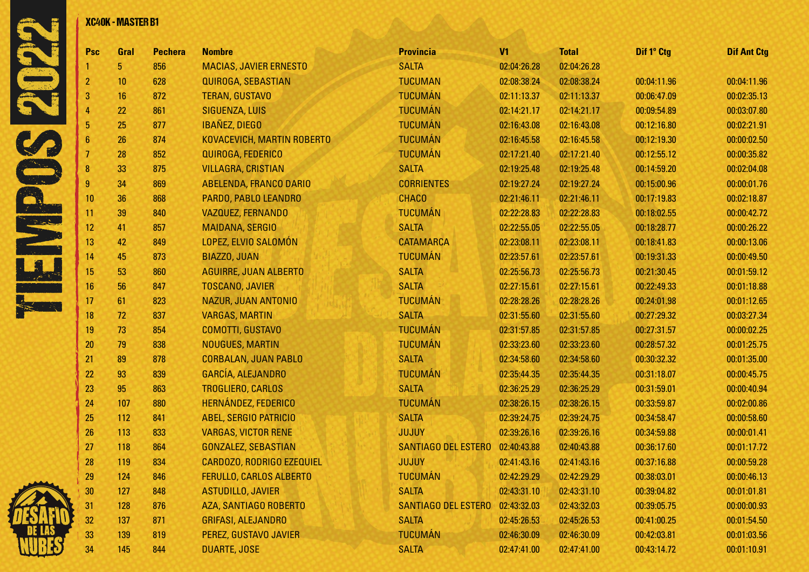

| <b>Psc</b>      | Gral | <b>Pechera</b> | <b>Nombre</b>                 | <b>Provincia</b>           | V <sub>1</sub> | <b>Total</b> | Dif 1° Ctg  | <b>Dif Ant Ctg</b> |
|-----------------|------|----------------|-------------------------------|----------------------------|----------------|--------------|-------------|--------------------|
|                 | 5    | 856            | <b>MACIAS, JAVIER ERNESTO</b> | <b>SALTA</b>               | 02:04:26.28    | 02:04:26.28  |             |                    |
| $\overline{2}$  | 10   | 628            | <b>QUIROGA, SEBASTIAN</b>     | <b>TUCUMAN</b>             | 02:08:38.24    | 02:08:38.24  | 00:04:11.96 | 00:04:11.96        |
| 3               | 16   | 872            | <b>TERAN, GUSTAVO</b>         | <b>TUCUMÁN</b>             | 02:11:13.37    | 02:11:13.37  | 00:06:47.09 | 00:02:35.13        |
| 4               | 22   | 861            | <b>SIGUENZA, LUIS</b>         | <b>TUCUMÁN</b>             | 02:14:21.17    | 02:14:21.17  | 00:09:54.89 | 00:03:07.80        |
| 5               | 25   | 877            | <b>IBAÑEZ, DIEGO</b>          | <b>TUCUMÁN</b>             | 02:16:43.08    | 02:16:43.08  | 00:12:16.80 | 00:02:21.91        |
| $6\phantom{1}6$ | 26   | 874            | KOVACEVICH, MARTIN ROBERTO    | <b>TUCUMÁN</b>             | 02:16:45.58    | 02:16:45.58  | 00:12:19.30 | 00:00:02.50        |
| 7               | 28   | 852            | QUIROGA, FEDERICO             | <b>TUCUMÁN</b>             | 02:17:21.40    | 02:17:21.40  | 00:12:55.12 | 00:00:35.82        |
| 8               | 33   | 875            | <b>VILLAGRA, CRISTIAN</b>     | <b>SALTA</b>               | 02:19:25.48    | 02:19:25.48  | 00:14:59.20 | 00:02:04.08        |
| $\overline{9}$  | 34   | 869            | ABELENDA, FRANCO DARIO        | <b>CORRIENTES</b>          | 02:19:27.24    | 02:19:27.24  | 00:15:00.96 | 00:00:01.76        |
| 10              | 36   | 868            | PARDO, PABLO LEANDRO          | <b>CHACO</b>               | 02:21:46.11    | 02:21:46.11  | 00:17:19.83 | 00:02:18.87        |
| 11              | 39   | 840            | <b>VAZQUEZ, FERNANDO</b>      | <b>TUCUMÁN</b>             | 02:22:28.83    | 02:22:28.83  | 00:18:02.55 | 00:00:42.72        |
| 12              | 41   | 857            | <b>MAIDANA, SERGIO</b>        | <b>SALTA</b>               | 02:22:55.05    | 02:22:55.05  | 00:18:28.77 | 00:00:26.22        |
| 13              | 42   | 849            | LOPEZ, ELVIO SALOMÓN          | <b>CATAMARCA</b>           | 02:23:08.11    | 02:23:08.11  | 00:18:41.83 | 00:00:13.06        |
| 14              | 45   | 873            | <b>BIAZZO, JUAN</b>           | <b>TUCUMÁN</b>             | 02:23:57.61    | 02:23:57.61  | 00:19:31.33 | 00:00:49.50        |
| 15              | 53   | 860            | <b>AGUIRRE, JUAN ALBERTO</b>  | <b>SALTA</b>               | 02:25:56.73    | 02:25:56.73  | 00:21:30.45 | 00:01:59.12        |
| 16              | 56   | 847            | <b>TOSCANO, JAVIER</b>        | <b>SALTA</b>               | 02:27:15.61    | 02:27:15.61  | 00:22:49.33 | 00:01:18.88        |
| 17              | 61   | 823            | NAZUR, JUAN ANTONIO           | <b>TUCUMÁN</b>             | 02:28:28.26    | 02:28:28.26  | 00:24:01.98 | 00:01:12.65        |
| 18              | 72   | 837            | <b>VARGAS, MARTIN</b>         | <b>SALTA</b>               | 02:31:55.60    | 02:31:55.60  | 00:27:29.32 | 00:03:27.34        |
| 19              | 73   | 854            | COMOTTI, GUSTAVO              | <b>TUCUMÁN</b>             | 02:31:57.85    | 02:31:57.85  | 00:27:31.57 | 00:00:02.25        |
| 20              | 79   | 838            | NOUGUES, MARTIN               | <b>TUCUMÁN</b>             | 02:33:23.60    | 02:33:23.60  | 00:28:57.32 | 00:01:25.75        |
| 21              | 89   | 878            | <b>CORBALAN, JUAN PABLO</b>   | <b>SALTA</b>               | 02:34:58.60    | 02:34:58.60  | 00:30:32.32 | 00:01:35.00        |
| 22              | 93   | 839            | GARCÍA, ALEJANDRO             | <b>TUCUMÁN</b>             | 02:35:44.35    | 02:35:44.35  | 00:31:18.07 | 00:00:45.75        |
| 23              | 95   | 863            | <b>TROGLIERO, CARLOS</b>      | <b>SALTA</b>               | 02:36:25.29    | 02:36:25.29  | 00:31:59.01 | 00:00:40.94        |
| 24              | 107  | 880            | <b>HERNÁNDEZ, FEDERICO</b>    | <b>TUCUMÁN</b>             | 02:38:26.15    | 02:38:26.15  | 00:33:59.87 | 00:02:00.86        |
| 25              | 112  | 841            | <b>ABEL, SERGIO PATRICIO</b>  | <b>SALTA</b>               | 02:39:24.75    | 02:39:24.75  | 00:34:58.47 | 00:00:58.60        |
| 26              | 113  | 833            | <b>VARGAS, VICTOR RENE</b>    | <b>JUJUY</b>               | 02:39:26.16    | 02:39:26.16  | 00:34:59.88 | 00:00:01.41        |
| 27              | 118  | 864            | <b>GONZALEZ, SEBASTIAN</b>    | <b>SANTIAGO DEL ESTERO</b> | 02:40:43.88    | 02:40:43.88  | 00:36:17.60 | 00:01:17.72        |
| 28              | 119  | 834            | CARDOZO, RODRIGO EZEQUIEL     | <b>JUJUY</b>               | 02:41:43.16    | 02:41:43.16  | 00:37:16.88 | 00:00:59.28        |
| 29              | 124  | 846            | FERULLO, CARLOS ALBERTO       | <b>TUCUMÁN</b>             | 02:42:29.29    | 02:42:29.29  | 00:38:03.01 | 00:00:46.13        |
| 30              | 127  | 848            | <b>ASTUDILLO, JAVIER</b>      | <b>SALTA</b>               | 02:43:31.10    | 02:43:31.10  | 00:39:04.82 | 00:01:01.81        |
| 31              | 128  | 876            | AZA, SANTIAGO ROBERTO         | SANTIAGO DEL ESTERO        | 02:43:32.03    | 02:43:32.03  | 00:39:05.75 | 00:00:00.93        |
| 32              | 137  | 871            | <b>GRIFASI, ALEJANDRO</b>     | <b>SALTA</b>               | 02:45:26.53    | 02:45:26.53  | 00:41:00.25 | 00:01:54.50        |
| 33              | 139  | 819            | PEREZ, GUSTAVO JAVIER         | <b>TUCUMÁN</b>             | 02:46:30.09    | 02:46:30.09  | 00:42:03.81 | 00:01:03.56        |
| 34              | 145  | 844            | <b>DUARTE, JOSE</b>           | <b>SALTA</b>               | 02:47:41.00    | 02:47:41.00  | 00:43:14.72 | 00:01:10.91        |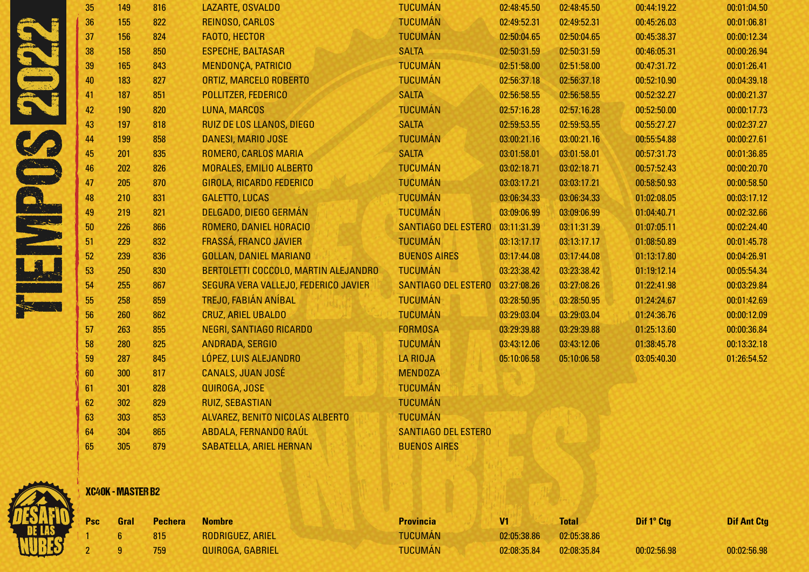| 35 | 149 | 816 | LAZARTE, OSVALDO                     | <b>TUCUMÁN</b>             | 02:48:45.50 | 02:48:45.50 | 00:44:19.22 | 00:01:04.50 |
|----|-----|-----|--------------------------------------|----------------------------|-------------|-------------|-------------|-------------|
| 36 | 155 | 822 | REINOSO, CARLOS                      | <b>TUCUMÁN</b>             | 02:49:52.31 | 02:49:52.31 | 00:45:26.03 | 00:01:06.81 |
| 37 | 156 | 824 | FAOTO, HECTOR                        | <b>TUCUMÁN</b>             | 02:50:04.65 | 02:50:04.65 | 00:45:38.37 | 00:00:12.34 |
| 38 | 158 | 850 | <b>ESPECHE, BALTASAR</b>             | <b>SALTA</b>               | 02:50:31.59 | 02:50:31.59 | 00:46:05.31 | 00:00:26.94 |
| 39 | 165 | 843 | MENDONÇA, PATRICIO                   | <b>TUCUMÁN</b>             | 02:51:58.00 | 02:51:58.00 | 00:47:31.72 | 00:01:26.41 |
| 40 | 183 | 827 | ORTIZ, MARCELO ROBERTO               | <b>TUCUMÁN</b>             | 02:56:37.18 | 02:56:37.18 | 00:52:10.90 | 00:04:39.18 |
| 41 | 187 | 851 | POLLITZER, FEDERICO                  | <b>SALTA</b>               | 02:56:58.55 | 02:56:58.55 | 00:52:32.27 | 00:00:21.37 |
| 42 | 190 | 820 | LUNA, MARCOS                         | <b>TUCUMÁN</b>             | 02:57:16.28 | 02:57:16.28 | 00:52:50.00 | 00:00:17.73 |
| 43 | 197 | 818 | <b>RUIZ DE LOS LLANOS, DIEGO</b>     | <b>SALTA</b>               | 02:59:53.55 | 02:59:53.55 | 00:55:27.27 | 00:02:37.27 |
| 44 | 199 | 858 | DANESI, MARIO JOSE                   | <b>TUCUMÁN</b>             | 03:00:21.16 | 03:00:21.16 | 00:55:54.88 | 00:00:27.61 |
| 45 | 201 | 835 | ROMERO, CARLOS MARIA                 | <b>SALTA</b>               | 03:01:58.01 | 03:01:58.01 | 00:57:31.73 | 00:01:36.85 |
| 46 | 202 | 826 | MORALES, EMILIO ALBERTO              | <b>TUCUMÁN</b>             | 03:02:18.71 | 03:02:18.71 | 00:57:52.43 | 00:00:20.70 |
| 47 | 205 | 870 | GIROLA, RICARDO FEDERICO             | <b>TUCUMÁN</b>             | 03:03:17.21 | 03:03:17.21 | 00:58:50.93 | 00:00:58.50 |
| 48 | 210 | 831 | <b>GALETTO, LUCAS</b>                | <b>TUCUMÁN</b>             | 03:06:34.33 | 03:06:34.33 | 01:02:08.05 | 00:03:17.12 |
| 49 | 219 | 821 | DELGADO, DIEGO GERMÁN                | <b>TUCUMÁN</b>             | 03:09:06.99 | 03:09:06.99 | 01:04:40.71 | 00:02:32.66 |
| 50 | 226 | 866 | ROMERO, DANIEL HORACIO               | <b>SANTIAGO DEL ESTERO</b> | 03:11:31.39 | 03:11:31.39 | 01:07:05.11 | 00:02:24.40 |
| 51 | 229 | 832 | FRASSÁ, FRANCO JAVIER                | <b>TUCUMÁN</b>             | 03:13:17.17 | 03:13:17.17 | 01:08:50.89 | 00:01:45.78 |
| 52 | 239 | 836 | <b>GOLLAN, DANIEL MARIANO</b>        | <b>BUENOS AIRES</b>        | 03:17:44.08 | 03:17:44.08 | 01:13:17.80 | 00:04:26.91 |
| 53 | 250 | 830 | BERTOLETTI COCCOLO, MARTIN ALEJANDRO | <b>TUCUMÁN</b>             | 03:23:38.42 | 03:23:38.42 | 01:19:12.14 | 00:05:54.34 |
| 54 | 255 | 867 | SEGURA VERA VALLEJO, FEDERICO JAVIER | <b>SANTIAGO DEL ESTERO</b> | 03:27:08.26 | 03:27:08.26 | 01:22:41.98 | 00:03:29.84 |
| 55 | 258 | 859 | TREJO, FABIÁN ANÍBAL                 | <b>TUCUMÁN</b>             | 03:28:50.95 | 03:28:50.95 | 01:24:24.67 | 00:01:42.69 |
| 56 | 260 | 862 | <b>CRUZ, ARIEL UBALDO</b>            | <b>TUCUMÁN</b>             | 03:29:03.04 | 03:29:03.04 | 01:24:36.76 | 00:00:12.09 |
| 57 | 263 | 855 | NEGRI, SANTIAGO RICARDO              | <b>FORMOSA</b>             | 03:29:39.88 | 03:29:39.88 | 01:25:13.60 | 00:00:36.84 |
| 58 | 280 | 825 | ANDRADA, SERGIO                      | <b>TUCUMÁN</b>             | 03:43:12.06 | 03:43:12.06 | 01:38:45.78 | 00:13:32.18 |
| 59 | 287 | 845 | LÓPEZ, LUIS ALEJANDRO                | <b>LA RIOJA</b>            | 05:10:06.58 | 05:10:06.58 | 03:05:40.30 | 01:26:54.52 |
| 60 | 300 | 817 | <b>CANALS, JUAN JOSÉ</b>             | <b>MENDOZA</b>             |             |             |             |             |
| 61 | 301 | 828 | QUIROGA, JOSE                        | <b>TUCUMÁN</b>             |             |             |             |             |
| 62 | 302 | 829 | <b>RUIZ, SEBASTIAN</b>               | <b>TUCUMÁN</b>             |             |             |             |             |
| 63 | 303 | 853 | ALVAREZ, BENITO NICOLAS ALBERTO      | <b>TUCUMÁN</b>             |             |             |             |             |
| 64 | 304 | 865 | ABDALA, FERNANDO RAÚL                | SANTIAGO DEL ESTERO        |             |             |             |             |
| 65 | 305 | 879 | <b>SABATELLA, ARIEL HERNAN</b>       | <b>BUENOS AIRES</b>        |             |             |             |             |



# XC40K - MASTER B2

| Psc Gral | <b>Pechera</b> | <b>Nombre</b>           | <b>Provincia</b> | V1          | <b>Total</b> | Dif 1° Ctg  | <b>Dif Ant Ctg</b> |
|----------|----------------|-------------------------|------------------|-------------|--------------|-------------|--------------------|
|          | 815            | <b>RODRIGUEZ, ARIEL</b> | <b>TUCUMÁN</b>   | 02:05:38.86 | 02:05:38.86  |             |                    |
|          | 759            | QUIROGA, GABRIEL        | <b>TUCUMÁN</b>   | 02:08:35.84 | 02:08:35.84  | 00:02:56.98 | 00:02:56.98        |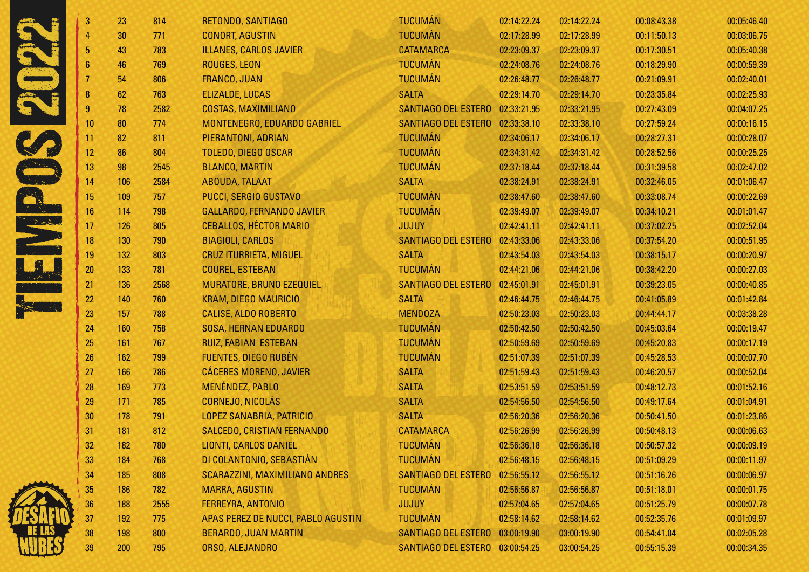| 3                | 23  | 814  | RETONDO, SANTIAGO                     | <b>TUCUMÁN</b>                  | 02:14:22.24 | 02:14:22.24 | 00:08:43.38 | 00:05:46.40 |
|------------------|-----|------|---------------------------------------|---------------------------------|-------------|-------------|-------------|-------------|
| 4                | 30  | 771  | <b>CONORT, AGUSTIN</b>                | <b>TUCUMÁN</b>                  | 02:17:28.99 | 02:17:28.99 | 00:11:50.13 | 00:03:06.75 |
| $\overline{5}$   | 43  | 783  | <b>ILLANES, CARLOS JAVIER</b>         | <b>CATAMARCA</b>                | 02:23:09.37 | 02:23:09.37 | 00:17:30.51 | 00:05:40.38 |
| $6\phantom{1}$   | 46  | 769  | <b>ROUGES, LEON</b>                   | <b>TUCUMÁN</b>                  | 02:24:08.76 | 02:24:08.76 | 00:18:29.90 | 00:00:59.39 |
|                  | 54  | 806  | FRANCO, JUAN                          | <b>TUCUMÁN</b>                  | 02:26:48.77 | 02:26:48.77 | 00:21:09.91 | 00:02:40.01 |
| $\boldsymbol{8}$ | 62  | 763  | <b>ELIZALDE, LUCAS</b>                | <b>SALTA</b>                    | 02:29:14.70 | 02:29:14.70 | 00:23:35.84 | 00:02:25.93 |
| $\overline{9}$   | 78  | 2582 | <b>COSTAS, MAXIMILIANO</b>            | SANTIAGO DEL ESTERO             | 02:33:21.95 | 02:33:21.95 | 00:27:43.09 | 00:04:07.25 |
| 10               | 80  | 774  | MONTENEGRO, EDUARDO GABRIEL           | SANTIAGO DEL ESTERO             | 02:33:38.10 | 02:33:38.10 | 00:27:59.24 | 00:00:16.15 |
| 11               | 82  | 811  | PIERANTONI, ADRIAN                    | <b>TUCUMÁN</b>                  | 02:34:06.17 | 02:34:06.17 | 00:28:27.31 | 00:00:28.07 |
| 12               | 86  | 804  | <b>TOLEDO, DIEGO OSCAR</b>            | <b>TUCUMÁN</b>                  | 02:34:31.42 | 02:34:31.42 | 00:28:52.56 | 00:00:25.25 |
| 13               | 98  | 2545 | <b>BLANCO, MARTIN</b>                 | <b>TUCUMÁN</b>                  | 02:37:18.44 | 02:37:18.44 | 00:31:39.58 | 00:02:47.02 |
| 14               | 106 | 2584 | <b>ABOUDA, TALAAT</b>                 | <b>SALTA</b>                    | 02:38:24.91 | 02:38:24.91 | 00:32:46.05 | 00:01:06.47 |
| 15               | 109 | 757  | PUCCI, SERGIO GUSTAVO                 | <b>TUCUMÁN</b>                  | 02:38:47.60 | 02:38:47.60 | 00:33:08.74 | 00:00:22.69 |
| 16               | 114 | 798  | <b>GALLARDO, FERNANDO JAVIER</b>      | <b>TUCUMÁN</b>                  | 02:39:49.07 | 02:39:49.07 | 00:34:10.21 | 00:01:01.47 |
| 17               | 126 | 805  | <b>CEBALLOS, HÉCTOR MARIO</b>         | <b>JUJUY</b>                    | 02:42:41.11 | 02:42:41.11 | 00:37:02.25 | 00:02:52.04 |
| 18               | 130 | 790  | <b>BIAGIOLI, CARLOS</b>               | <b>SANTIAGO DEL ESTERO</b>      | 02:43:33.06 | 02:43:33.06 | 00:37:54.20 | 00:00:51.95 |
| 19               | 132 | 803  | <b>CRUZ ITURRIETA, MIGUEL</b>         | <b>SALTA</b>                    | 02:43:54.03 | 02:43:54.03 | 00:38:15.17 | 00:00:20.97 |
| 20               | 133 | 781  | <b>COUREL, ESTEBAN</b>                | <b>TUCUMÁN</b>                  | 02:44:21.06 | 02:44:21.06 | 00:38:42.20 | 00:00:27.03 |
| 21               | 136 | 2568 | MURATORE, BRUNO EZEQUIEL              | <b>SANTIAGO DEL ESTERO</b>      | 02:45:01.91 | 02:45:01.91 | 00:39:23.05 | 00:00:40.85 |
| 22               | 140 | 760  | <b>KRAM, DIEGO MAURICIO</b>           | <b>SALTA</b>                    | 02:46:44.75 | 02:46:44.75 | 00:41:05.89 | 00:01:42.84 |
| 23               | 157 | 788  | <b>CALISE, ALDO ROBERTO</b>           | <b>MENDOZA</b>                  | 02:50:23.03 | 02:50:23.03 | 00:44:44.17 | 00:03:38.28 |
| 24               | 160 | 758  | <b>SOSA, HERNAN EDUARDO</b>           | <b>TUCUMÁN</b>                  | 02:50:42.50 | 02:50:42.50 | 00:45:03.64 | 00:00:19.47 |
| 25               | 161 | 767  | RUIZ, FABIAN ESTEBAN                  | <b>TUCUMÁN</b>                  | 02:50:59.69 | 02:50:59.69 | 00:45:20.83 | 00:00:17.19 |
| 26               | 162 | 799  | <b>FUENTES, DIEGO RUBÉN</b>           | <b>TUCUMÁN</b>                  | 02:51:07.39 | 02:51:07.39 | 00:45:28.53 | 00:00:07.70 |
| 27               | 166 | 786  | <b>CÁCERES MORENO, JAVIER</b>         | <b>SALTA</b>                    | 02:51:59.43 | 02:51:59.43 | 00:46:20.57 | 00:00:52.04 |
| 28               | 169 | 773  | <b>MENÉNDEZ, PABLO</b>                | <b>SALTA</b>                    | 02:53:51.59 | 02:53:51.59 | 00:48:12.73 | 00:01:52.16 |
| 29               | 171 | 785  | <b>CORNEJO, NICOLÁS</b>               | <b>SALTA</b>                    | 02:54:56.50 | 02:54:56.50 | 00:49:17.64 | 00:01:04.91 |
| 30               | 178 | 791  | LOPEZ SANABRIA, PATRICIO              | <b>SALTA</b>                    | 02:56:20.36 | 02:56:20.36 | 00:50:41.50 | 00:01:23.86 |
| 31               | 181 | 812  | <b>SALCEDO, CRISTIAN FERNANDO</b>     | <b>CATAMARCA</b>                | 02:56:26.99 | 02:56:26.99 | 00:50:48.13 | 00:00:06.63 |
| 32               | 182 | 780  | <b>LIONTI, CARLOS DANIEL</b>          | <b>TUCUMÁN</b>                  | 02:56:36.18 | 02:56:36.18 | 00:50:57.32 | 00:00:09.19 |
| 33               | 184 | 768  | DI COLANTONIO, SEBASTIÁN              | <b>TUCUMÁN</b>                  | 02:56:48.15 | 02:56:48.15 | 00:51:09.29 | 00:00:11.97 |
| 34               | 185 | 808  | <b>SCARAZZINI, MAXIMILIANO ANDRES</b> | <b>SANTIAGO DEL ESTERO</b>      | 02:56:55.12 | 02:56:55.12 | 00:51:16.26 | 00:00:06.97 |
| 35               | 186 | 782  | <b>MARRA, AGUSTIN</b>                 | <b>TUCUMÁN</b>                  | 02:56:56.87 | 02:56:56.87 | 00:51:18.01 | 00:00:01.75 |
| 36               | 188 | 2555 | FERREYRA, ANTONIO                     | <b>JUJUY</b>                    | 02:57:04.65 | 02:57:04.65 | 00:51:25.79 | 00:00:07.78 |
| 37               | 192 | 775  | APAS PEREZ DE NUCCI, PABLO AGUSTIN    | <b>TUCUMÁN</b>                  | 02:58:14.62 | 02:58:14.62 | 00:52:35.76 | 00:01:09.97 |
| 38               | 198 | 800  | <b>BERARDO, JUAN MARTIN</b>           | SANTIAGO DEL ESTERO 03:00:19.90 |             | 03:00:19.90 | 00:54:41.04 | 00:02:05.28 |
| 39               | 200 | 795  | ORSO, ALEJANDRO                       | SANTIAGO DEL ESTERO 03:00:54.25 |             | 03:00:54.25 | 00:55:15.39 | 00:00:34.35 |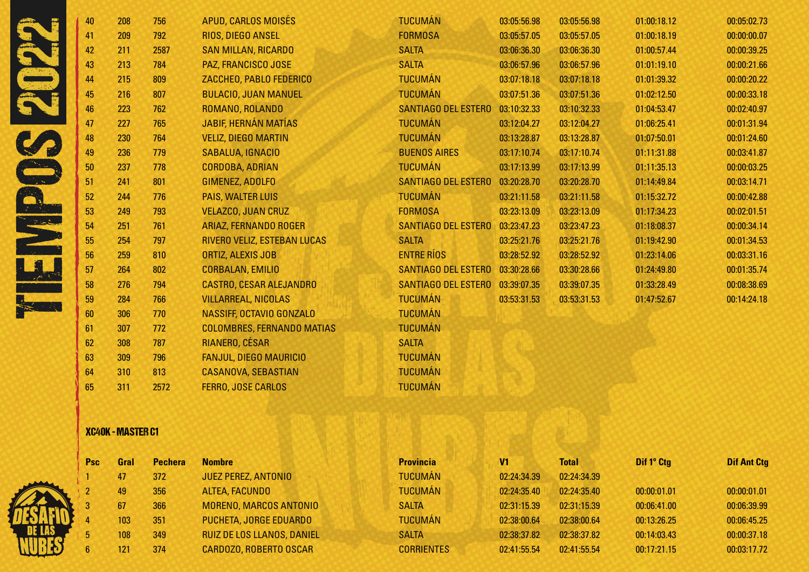|                                                                                                                       | 40 | 208 | 756  | APUD, CARLOS MOISÉS               | <b>TUCUMÁN</b>             | 03:05:56.98 | 03:05:56.98 | 01:00:18.12 | 00:05:02.73 |
|-----------------------------------------------------------------------------------------------------------------------|----|-----|------|-----------------------------------|----------------------------|-------------|-------------|-------------|-------------|
|                                                                                                                       | 41 | 209 | 792  | RIOS, DIEGO ANSEL                 | <b>FORMOSA</b>             | 03:05:57.05 | 03:05:57.05 | 01:00:18.19 | 00:00:00.07 |
|                                                                                                                       | 42 | 211 | 2587 | <b>SAN MILLAN, RICARDO</b>        | <b>SALTA</b>               | 03:06:36.30 | 03:06:36.30 | 01:00:57.44 | 00:00:39.25 |
|                                                                                                                       | 43 | 213 | 784  | PAZ, FRANCISCO JOSE               | <b>SALTA</b>               | 03:06:57.96 | 03:06:57.96 | 01:01:19.10 | 00:00:21.66 |
|                                                                                                                       | 44 | 215 | 809  | ZACCHEO, PABLO FEDERICO           | <b>TUCUMÁN</b>             | 03:07:18.18 | 03:07:18.18 | 01:01:39.32 | 00:00:20.22 |
|                                                                                                                       | 45 | 216 | 807  | <b>BULACIO, JUAN MANUEL</b>       | <b>TUCUMÁN</b>             | 03:07:51.36 | 03:07:51.36 | 01:02:12.50 | 00:00:33.18 |
|                                                                                                                       | 46 | 223 | 762  | ROMANO, ROLANDO                   | <b>SANTIAGO DEL ESTERO</b> | 03:10:32.33 | 03:10:32.33 | 01:04:53.47 | 00:02:40.97 |
|                                                                                                                       | 47 | 227 | 765  | <b>JABIF, HERNÁN MATÍAS</b>       | <b>TUCUMÁN</b>             | 03:12:04.27 | 03:12:04.27 | 01:06:25.41 | 00:01:31.94 |
|                                                                                                                       | 48 | 230 | 764  | <b>VELIZ, DIEGO MARTIN</b>        | <b>TUCUMÁN</b>             | 03:13:28.87 | 03:13:28.87 | 01:07:50.01 | 00:01:24.60 |
|                                                                                                                       | 49 | 236 | 779  | SABALUA, IGNACIO                  | <b>BUENOS AIRES</b>        | 03:17:10.74 | 03:17:10.74 | 01:11:31.88 | 00:03:41.87 |
|                                                                                                                       | 50 | 237 | 778  | <b>CORDOBA, ADRIAN</b>            | <b>TUCUMÁN</b>             | 03:17:13.99 | 03:17:13.99 | 01:11:35.13 | 00:00:03.25 |
|                                                                                                                       | 51 | 241 | 801  | GIMENEZ, ADOLFO                   | <b>SANTIAGO DEL ESTERO</b> | 03:20:28.70 | 03:20:28.70 | 01:14:49.84 | 00:03:14.71 |
|                                                                                                                       | 52 | 244 | 776  | PAIS, WALTER LUIS                 | <b>TUCUMÁN</b>             | 03:21:11.58 | 03:21:11.58 | 01:15:32.72 | 00:00:42.88 |
|                                                                                                                       | 53 | 249 | 793  | <b>VELAZCO, JUAN CRUZ</b>         | <b>FORMOSA</b>             | 03:23:13.09 | 03:23:13.09 | 01:17:34.23 | 00:02:01.51 |
| المحمد المحمد<br>المحمد المحمد المحمد المحمد المحمد المحمد المحمد المحمد المحمد المحمد المحمد المحمد المحمد المحمد ال | 54 | 251 | 761  | ARIAZ, FERNANDO ROGER             | <b>SANTIAGO DEL ESTERO</b> | 03:23:47.23 | 03:23:47.23 | 01:18:08.37 | 00:00:34.14 |
|                                                                                                                       | 55 | 254 | 797  | RIVERO VELIZ, ESTEBAN LUCAS       | <b>SALTA</b>               | 03:25:21.76 | 03:25:21.76 | 01:19:42.90 | 00:01:34.53 |
|                                                                                                                       | 56 | 259 | 810  | ORTIZ, ALEXIS JOB                 | <b>ENTRE RÍOS</b>          | 03:28:52.92 | 03:28:52.92 | 01:23:14.06 | 00:03:31.16 |
|                                                                                                                       | 57 | 264 | 802  | <b>CORBALAN, EMILIO</b>           | SANTIAGO DEL ESTERO        | 03:30:28.66 | 03:30:28.66 | 01:24:49.80 | 00:01:35.74 |
|                                                                                                                       | 58 | 276 | 794  | <b>CASTRO, CESAR ALEJANDRO</b>    | SANTIAGO DEL ESTERO        | 03:39:07.35 | 03:39:07.35 | 01:33:28.49 | 00:08:38.69 |
|                                                                                                                       | 59 | 284 | 766  | <b>VILLARREAL, NICOLAS</b>        | <b>TUCUMÁN</b>             | 03:53:31.53 | 03:53:31.53 | 01:47:52.67 | 00:14:24.18 |
|                                                                                                                       | 60 | 306 | 770  | NASSIFF, OCTAVIO GONZALO          | <b>TUCUMÁN</b>             |             |             |             |             |
|                                                                                                                       | 61 | 307 | 772  | <b>COLOMBRES, FERNANDO MATIAS</b> | <b>TUCUMÁN</b>             |             |             |             |             |
|                                                                                                                       | 62 | 308 | 787  | RIANERO, CÉSAR                    | <b>SALTA</b>               |             |             |             |             |
|                                                                                                                       | 63 | 309 | 796  | <b>FANJUL, DIEGO MAURICIO</b>     | <b>TUCUMÁN</b>             |             |             |             |             |
|                                                                                                                       | 64 | 310 | 813  | <b>CASANOVA, SEBASTIAN</b>        | <b>TUCUMÁN</b>             |             |             |             |             |
|                                                                                                                       | 65 | 311 | 2572 | <b>FERRO, JOSE CARLOS</b>         | <b>TUCUMÁN</b>             |             |             |             |             |

### XC40K - MASTER C1

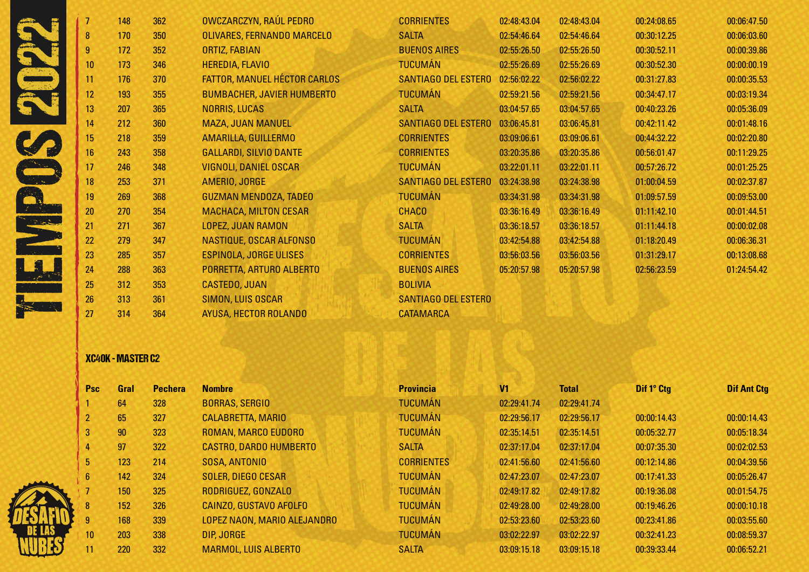|                    |    | 148 | 362 | OWCZARCZYN, RAÚL PEDRO              | <b>CORRIENTES</b>          | 02:48:43.04 | 02:48:43.04 | 00:24:08.65 | 00:06:47.50 |
|--------------------|----|-----|-----|-------------------------------------|----------------------------|-------------|-------------|-------------|-------------|
|                    | 8  | 170 | 350 | OLIVARES, FERNANDO MARCELO          | <b>SALTA</b>               | 02:54:46.64 | 02:54:46.64 | 00:30:12.25 | 00:06:03.60 |
|                    |    | 172 | 352 | ORTIZ, FABIAN                       | <b>BUENOS AIRES</b>        | 02:55:26.50 | 02:55:26.50 | 00:30:52.11 | 00:00:39.86 |
|                    | 10 | 173 | 346 | <b>HEREDIA, FLAVIO</b>              | <b>TUCUMÁN</b>             | 02:55:26.69 | 02:55:26.69 | 00:30:52.30 | 00:00:00.19 |
|                    | 11 | 176 | 370 | <b>FATTOR, MANUEL HÉCTOR CARLOS</b> | SANTIAGO DEL ESTERO        | 02:56:02.22 | 02:56:02.22 | 00:31:27.83 | 00:00:35.53 |
|                    | 12 | 193 | 355 | <b>BUMBACHER, JAVIER HUMBERTO</b>   | <b>TUCUMÁN</b>             | 02:59:21.56 | 02:59:21.56 | 00:34:47.17 | 00:03:19.34 |
|                    | 13 | 207 | 365 | <b>NORRIS, LUCAS</b>                | <b>SALTA</b>               | 03:04:57.65 | 03:04:57.65 | 00:40:23.26 | 00:05:36.09 |
|                    | 14 | 212 | 360 | <b>MAZA, JUAN MANUEL</b>            | SANTIAGO DEL ESTERO        | 03:06:45.81 | 03:06:45.81 | 00:42:11.42 | 00:01:48.16 |
|                    | 15 | 218 | 359 | AMARILLA, GUILLERMO                 | <b>CORRIENTES</b>          | 03:09:06.61 | 03:09:06.61 | 00:44:32.22 | 00:02:20.80 |
|                    | 16 | 243 | 358 | <b>GALLARDI, SILVIO DANTE</b>       | <b>CORRIENTES</b>          | 03:20:35.86 | 03:20:35.86 | 00:56:01.47 | 00:11:29.25 |
|                    | 17 | 246 | 348 | <b>VIGNOLI, DANIEL OSCAR</b>        | <b>TUCUMÁN</b>             | 03:22:01.11 | 03:22:01.11 | 00:57:26.72 | 00:01:25.25 |
|                    | 18 | 253 | 371 | AMERIO, JORGE                       | <b>SANTIAGO DEL ESTERO</b> | 03:24:38.98 | 03:24:38.98 | 01:00:04.59 | 00:02:37.87 |
|                    | 19 | 269 | 368 | <b>GUZMAN MENDOZA, TADEO</b>        | <b>TUCUMÁN</b>             | 03:34:31.98 | 03:34:31.98 | 01:09:57.59 | 00:09:53.00 |
|                    | 20 | 270 | 354 | <b>MACHACA, MILTON CESAR</b>        | <b>CHACO</b>               | 03:36:16.49 | 03:36:16.49 | 01:11:42.10 | 00:01:44.51 |
| <b>Controlling</b> | 21 | 271 | 367 | LOPEZ, JUAN RAMON                   | <b>SALTA</b>               | 03:36:18.57 | 03:36:18.57 | 01:11:44.18 | 00:00:02.08 |
|                    | 22 | 279 | 347 | NASTIQUE, OSCAR ALFONSO             | <b>TUCUMÁN</b>             | 03:42:54.88 | 03:42:54.88 | 01:18:20.49 | 00:06:36.31 |
|                    | 23 | 285 | 357 | <b>ESPINOLA, JORGE ULISES</b>       | <b>CORRIENTES</b>          | 03:56:03.56 | 03:56:03.56 | 01:31:29.17 | 00:13:08.68 |
|                    | 24 | 288 | 363 | PORRETTA, ARTURO ALBERTO            | <b>BUENOS AIRES</b>        | 05:20:57.98 | 05:20:57.98 | 02:56:23.59 | 01:24:54.42 |
|                    | 25 | 312 | 353 | <b>CASTEDO, JUAN</b>                | <b>BOLIVIA</b>             |             |             |             |             |
|                    | 26 | 313 | 361 | SIMON, LUIS OSCAR                   | <b>SANTIAGO DEL ESTERO</b> |             |             |             |             |
|                    | 27 | 314 | 364 | AYUSA, HECTOR ROLANDO               | <b>CATAMARCA</b>           |             |             |             |             |

# XC40K - MASTER C2

| Psc                | Gral | <b>Pechera</b> | <b>Nombre</b>                 | <b>Provincia</b>  | V <sub>1</sub> | <b>Total</b> | Dif 1° Ctg  | <b>Dif Ant Ctg</b> |
|--------------------|------|----------------|-------------------------------|-------------------|----------------|--------------|-------------|--------------------|
|                    | 64   | 328            | <b>BORRAS, SERGIO</b>         | <b>TUCUMÁN</b>    | 02:29:41.74    | 02:29:41.74  |             |                    |
| $2^{\circ}$        | 65   | 327            | <b>CALABRETTA, MARIO</b>      | <b>TUCUMÁN</b>    | 02:29:56.17    | 02:29:56.17  | 00:00:14.43 | 00:00:14.43        |
| 3                  | 90   | 323            | ROMAN, MARCO EUDORO           | <b>TUCUMÁN</b>    | 02:35:14.51    | 02:35:14.51  | 00:05:32.77 | 00:05:18.34        |
| 4                  | 97   | 322            | <b>CASTRO, DARDO HUMBERTO</b> | <b>SALTA</b>      | 02:37:17.04    | 02:37:17.04  | 00:07:35.30 | 00:02:02.53        |
| 5 <sub>1</sub>     | 123  | 214            | SOSA, ANTONIO                 | <b>CORRIENTES</b> | 02:41:56.60    | 02:41:56.60  | 00:12:14.86 | 00:04:39.56        |
| 6 <sup>1</sup>     | 142  | 324            | <b>SOLER, DIEGO CESAR</b>     | <b>TUCUMÁN</b>    | 02:47:23.07    | 02:47:23.07  | 00:17:41.33 | 00:05:26.47        |
|                    | 150  | 325            | RODRIGUEZ, GONZALO            | <b>TUCUMÁN</b>    | 02:49:17.82    | 02:49:17.82  | 00:19:36.08 | 00:01:54.75        |
| $\overline{\bf 8}$ | 152  | 326            | CAINZO, GUSTAVO AFOLFO        | <b>TUCUMÁN</b>    | 02:49:28.00    | 02:49:28.00  | 00:19:46.26 | 00:00:10.18        |
| 9                  | 168  | 339            | LOPEZ NAON, MARIO ALEJANDRO   | <b>TUCUMÁN</b>    | 02:53:23.60    | 02:53:23.60  | 00:23:41.86 | 00:03:55.60        |
| 10                 | 203  | 338            | DIP, JORGE                    | <b>TUCUMÁN</b>    | 03:02:22.97    | 03:02:22.97  | 00:32:41.23 | 00:08:59.37        |
| 11                 | 220  | 332            | <b>MARMOL, LUIS ALBERTO</b>   | <b>SALTA</b>      | 03:09:15.18    | 03:09:15.18  | 00:39:33.44 | 00:06:52.21        |

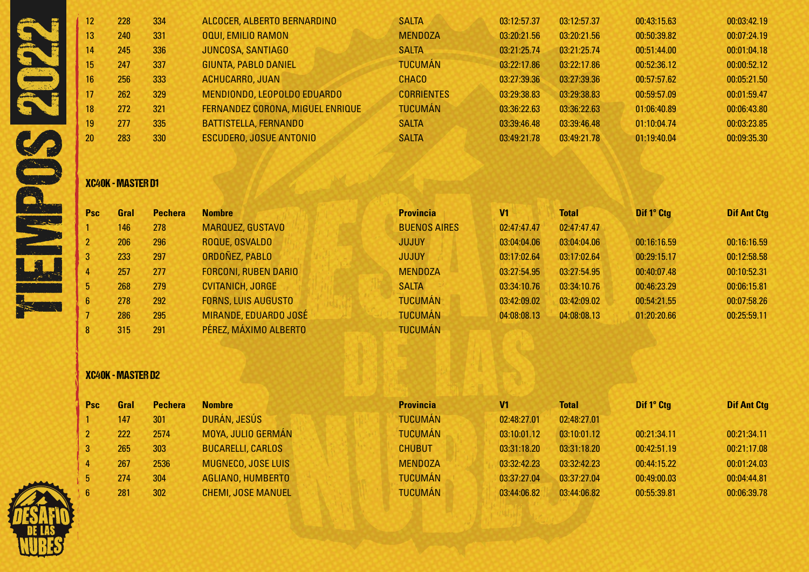| 12.             | 228 | 334 | ALCOCER, ALBERTO BERNARDINO      | <b>SALTA</b>      | 03:12:57.37 | 03:12:57.37 | 00:43:15.63 | 00:03:42.19 |
|-----------------|-----|-----|----------------------------------|-------------------|-------------|-------------|-------------|-------------|
| 13 <sup>°</sup> | 240 | 331 | <b>OQUI, EMILIO RAMON</b>        | <b>MENDOZA</b>    | 03:20:21.56 | 03:20:21.56 | 00:50:39.82 | 00:07:24.19 |
| 14              | 245 | 336 | <b>JUNCOSA, SANTIAGO</b>         | <b>SALTA</b>      | 03:21:25.74 | 03:21:25.74 | 00:51:44.00 | 00:01:04.18 |
| 15              | 247 | 337 | GIUNTA, PABLO DANIEL             | <b>TUCUMÁN</b>    | 03:22:17.86 | 03:22:17.86 | 00:52:36.12 | 00:00:52.12 |
| 16              | 256 | 333 | <b>ACHUCARRO, JUAN</b>           | <b>CHACO</b>      | 03:27:39.36 | 03:27:39.36 | 00:57:57.62 | 00:05:21.50 |
| 17              | 262 | 329 | MENDIONDO, LEOPOLDO EDUARDO      | <b>CORRIENTES</b> | 03:29:38.83 | 03:29:38.83 | 00:59:57.09 | 00:01:59.47 |
| 18              | 272 | 321 | FERNANDEZ CORONA, MIGUEL ENRIQUE | <b>TUCUMÁN</b>    | 03:36:22.63 | 03:36:22.63 | 01:06:40.89 | 00:06:43.80 |
| 19              | 277 | 335 | BATTISTELLA, FERNANDO            | <b>SALTA</b>      | 03:39:46.48 | 03:39:46.48 | 01:10:04.74 | 00:03:23.85 |
| 20              | 283 | 330 | <b>ESCUDERO, JOSUE ANTONIO</b>   | <b>SALTA</b>      | 03:49:21.78 | 03:49:21.78 | 01:19:40.04 | 00:09:35.30 |
|                 |     |     |                                  |                   |             |             |             |             |

XC40K - MASTER D1

| <b>Psc</b>   | Gral | <b>Pechera</b> | <b>Nombre</b>               | <b>Provincia</b>    | V <sub>1</sub> | <b>Total</b> | Dif 1º Ctg  | <b>Dif Ant Ctg</b> |
|--------------|------|----------------|-----------------------------|---------------------|----------------|--------------|-------------|--------------------|
|              | 146  | 278            | <b>MARQUEZ, GUSTAVO</b>     | <b>BUENOS AIRES</b> | 02:47:47.47    | 02:47:47.47  |             |                    |
|              | 206  | 296            | ROQUE, OSVALDO              | <b>JUJUY</b>        | 03:04:04.06    | 03:04:04.06  | 00:16:16.59 | 00:16:16.59        |
| $\mathbf{3}$ | 233  | 297            | ORDOÑEZ, PABLO              | <b>JUJUY</b>        | 03:17:02.64    | 03:17:02.64  | 00:29:15.17 | 00:12:58.58        |
|              | 257  | 277            | <b>FORCONI, RUBEN DARIO</b> | <b>MENDOZA</b>      | 03:27:54.95    | 03:27:54.95  | 00:40:07.48 | 00:10:52.31        |
| 5            | 268  | 279            | <b>CVITANICH, JORGE</b>     | <b>SALTA</b>        | 03:34:10.76    | 03:34:10.76  | 00:46:23.29 | 00:06:15.81        |
| 6            | 278  | 292            | <b>FORNS, LUIS AUGUSTO</b>  | <b>TUCUMÁN</b>      | 03:42:09.02    | 03:42:09.02  | 00:54:21.55 | 00:07:58.26        |
|              | 286  | 295            | MIRANDE, EDUARDO JOSÉ       | <b>TUCUMÁN</b>      | 04:08:08.13    | 04:08:08.13  | 01:20:20.66 | 00:25:59.11        |
| 8            | 315  | 291            | PÉREZ, MÁXIMO ALBERTO       | <b>TUCUMÁN</b>      |                |              |             |                    |

# XC40K - MASTER D2

| sc | Gral | <b>Pechera</b> | <b>Nombre</b>           |
|----|------|----------------|-------------------------|
|    | 147  | 301            | DURÁN, JESÚS            |
|    | 222  | 2574           | MOYA, JULIO GERN        |
|    | 265  | 303            | <b>BUCARELLI, CARLO</b> |
|    | 267  | 2536           | MUGNECO, JOSE LI        |
|    | 274  | 304            | <b>AGLIANO, HUMBER</b>  |
|    | 281  | 302            | <b>CHEMI, JOSE MAN</b>  |

| <b>Psc</b> | Gral | <b>Pechera</b> | <b>Nombre</b>             | <b>Provincia</b> | V <sub>1</sub> | <b>Total</b> | Dif 1° Ctg  | <b>Dif Ant Ctg</b> |
|------------|------|----------------|---------------------------|------------------|----------------|--------------|-------------|--------------------|
|            | 147  | 301            | DURÁN, JESÚS              | <b>TUCUMÁN</b>   | 02:48:27.01    | 02:48:27.01  |             |                    |
|            | 222  | 2574           | MOYA, JULIO GERMÁN        | <b>TUCUMÁN</b>   | 03:10:01.12    | 03:10:01.12  | 00:21:34.11 | 00:21:34.11        |
|            | 265  | 303            | <b>BUCARELLI, CARLOS</b>  | <b>CHUBUT</b>    | 03:31:18.20    | 03:31:18.20  | 00:42:51.19 | 00:21:17.08        |
|            | 267  | 2536           | MUGNECO, JOSE LUIS        | <b>MENDOZA</b>   | 03:32:42.23    | 03:32:42.23  | 00:44:15.22 | 00:01:24.03        |
|            | 274  | 304            | AGLIANO, HUMBERTO         | <b>TUCUMÁN</b>   | 03:37:27.04    | 03:37:27.04  | 00:49:00.03 | 00:04:44.81        |
|            | 281  | 302            | <b>CHEMI, JOSE MANUEL</b> | <b>TUCUMÁN</b>   | 03:44:06.82    | 03:44:06.82  | 00:55:39.81 | 00:06:39.78        |